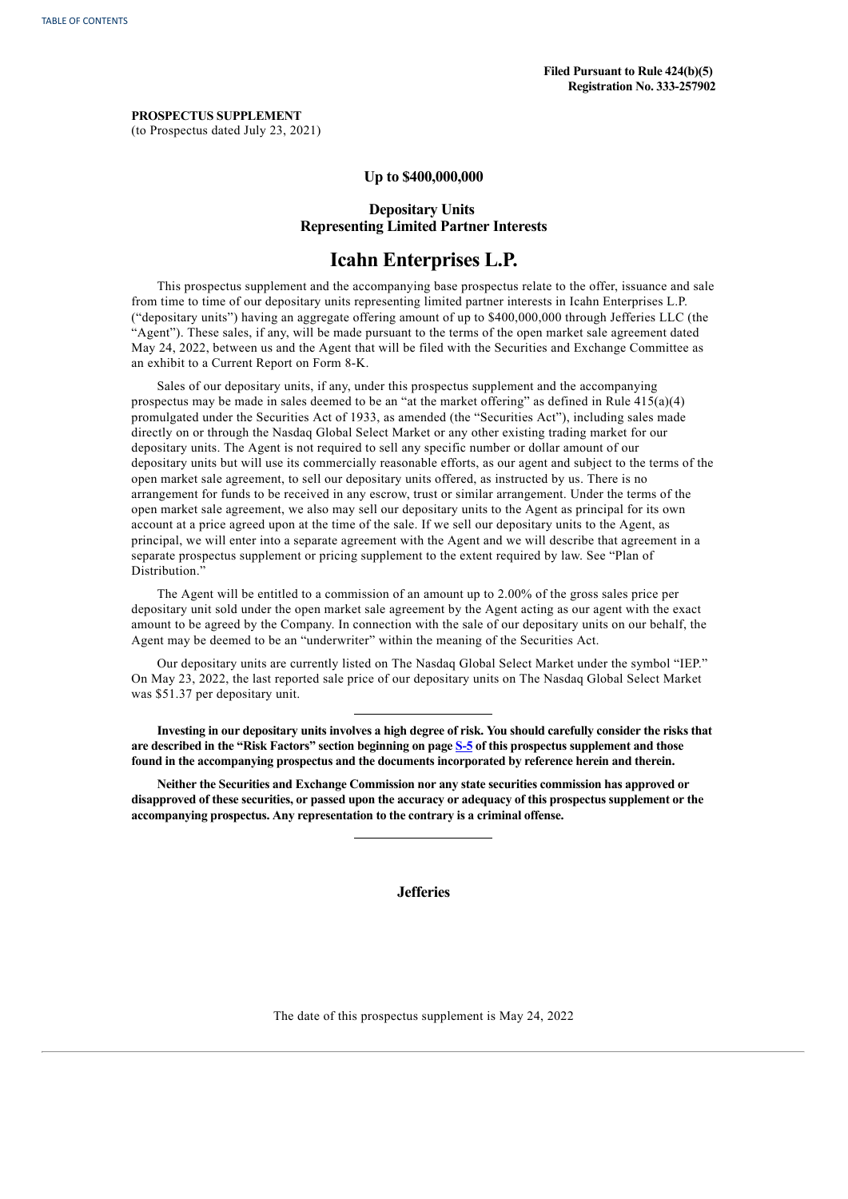**PROSPECTUS SUPPLEMENT** (to Prospectus dated July 23, 2021)

# **Up to \$400,000,000**

# **Depositary Units Representing Limited Partner Interests**

# **Icahn Enterprises L.P.**

This prospectus supplement and the accompanying base prospectus relate to the offer, issuance and sale from time to time of our depositary units representing limited partner interests in Icahn Enterprises L.P. ("depositary units") having an aggregate offering amount of up to \$400,000,000 through Jefferies LLC (the "Agent"). These sales, if any, will be made pursuant to the terms of the open market sale agreement dated May 24, 2022, between us and the Agent that will be filed with the Securities and Exchange Committee as an exhibit to a Current Report on Form 8-K.

Sales of our depositary units, if any, under this prospectus supplement and the accompanying prospectus may be made in sales deemed to be an "at the market offering" as defined in Rule  $415(a)(4)$ promulgated under the Securities Act of 1933, as amended (the "Securities Act"), including sales made directly on or through the Nasdaq Global Select Market or any other existing trading market for our depositary units. The Agent is not required to sell any specific number or dollar amount of our depositary units but will use its commercially reasonable efforts, as our agent and subject to the terms of the open market sale agreement, to sell our depositary units offered, as instructed by us. There is no arrangement for funds to be received in any escrow, trust or similar arrangement. Under the terms of the open market sale agreement, we also may sell our depositary units to the Agent as principal for its own account at a price agreed upon at the time of the sale. If we sell our depositary units to the Agent, as principal, we will enter into a separate agreement with the Agent and we will describe that agreement in a separate prospectus supplement or pricing supplement to the extent required by law. See "Plan of Distribution."

The Agent will be entitled to a commission of an amount up to 2.00% of the gross sales price per depositary unit sold under the open market sale agreement by the Agent acting as our agent with the exact amount to be agreed by the Company. In connection with the sale of our depositary units on our behalf, the Agent may be deemed to be an "underwriter" within the meaning of the Securities Act.

Our depositary units are currently listed on The Nasdaq Global Select Market under the symbol "IEP." On May 23, 2022, the last reported sale price of our depositary units on The Nasdaq Global Select Market was \$51.37 per depositary unit.

Investing in our depositary units involves a high degree of risk. You should carefully consider the risks that **are described in the "Risk Factors" section beginning on page [S-5](#page-5-0) of this prospectus supplement and those found in the accompanying prospectus and the documents incorporated by reference herein and therein.**

**Neither the Securities and Exchange Commission nor any state securities commission has approved or** disapproved of these securities, or passed upon the accuracy or adequacy of this prospectus supplement or the **accompanying prospectus. Any representation to the contrary is a criminal offense.**

**Jefferies**

<span id="page-0-0"></span>The date of this prospectus supplement is May 24, 2022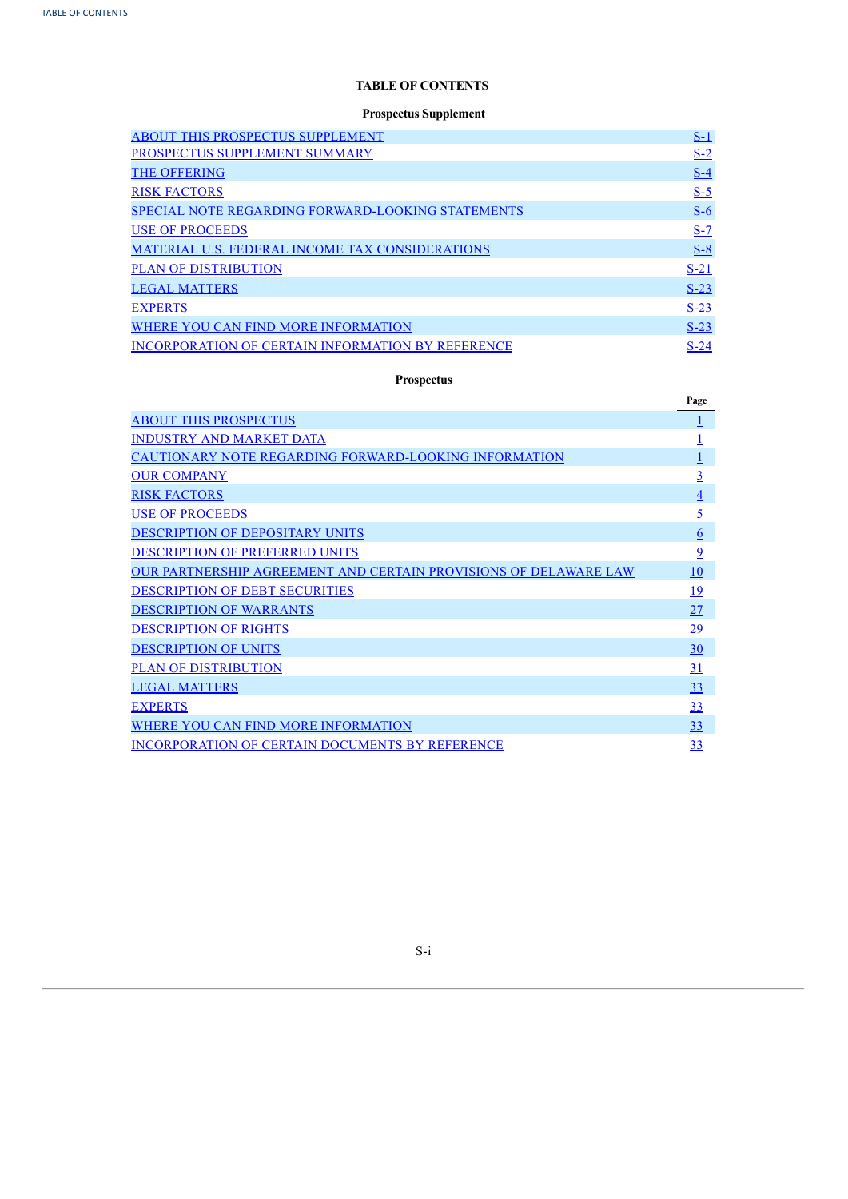# **TABLE OF CONTENTS**

# **Prospectus Supplement**

| <b>ABOUT THIS PROSPECTUS SUPPLEMENT</b>                  | $S-1$  |
|----------------------------------------------------------|--------|
| PROSPECTUS SUPPLEMENT SUMMARY                            | $S-2$  |
| <b>THE OFFERING</b>                                      | $S-4$  |
| <b>RISK FACTORS</b>                                      | $S-5$  |
| <b>SPECIAL NOTE REGARDING FORWARD-LOOKING STATEMENTS</b> | $S-6$  |
| <b>USE OF PROCEEDS</b>                                   | $S-7$  |
| MATERIAL U.S. FEDERAL INCOME TAX CONSIDERATIONS          | $S-8$  |
| <b>PLAN OF DISTRIBUTION</b>                              | $S-21$ |
| <b>LEGAL MATTERS</b>                                     | $S-23$ |
| <b>EXPERTS</b>                                           | $S-23$ |
| WHERE YOU CAN FIND MORE INFORMATION                      | $S-23$ |
| <b>INCORPORATION OF CERTAIN INFORMATION BY REFERENCE</b> | $S-24$ |

# **Prospectus**

|                                                                  | Page           |
|------------------------------------------------------------------|----------------|
| <b>ABOUT THIS PROSPECTUS</b>                                     |                |
| <b>INDUSTRY AND MARKET DATA</b>                                  |                |
| CAUTIONARY NOTE REGARDING FORWARD-LOOKING INFORMATION            |                |
| <b>OUR COMPANY</b>                                               | $\overline{3}$ |
| <b>RISK FACTORS</b>                                              | <u>4</u>       |
| <b>USE OF PROCEEDS</b>                                           | <u>5</u>       |
| DESCRIPTION OF DEPOSITARY UNITS                                  | <u>6</u>       |
| <b>DESCRIPTION OF PREFERRED UNITS</b>                            | $\overline{9}$ |
| OUR PARTNERSHIP AGREEMENT AND CERTAIN PROVISIONS OF DELAWARE LAW | 10             |
| <b>DESCRIPTION OF DEBT SECURITIES</b>                            | <u> 19</u>     |
| <b>DESCRIPTION OF WARRANTS</b>                                   | 27             |
| <b>DESCRIPTION OF RIGHTS</b>                                     | 29             |
| <b>DESCRIPTION OF UNITS</b>                                      | 30             |
| <b>PLAN OF DISTRIBUTION</b>                                      | <u>31</u>      |
| <b>LEGAL MATTERS</b>                                             | 33             |
| <b>EXPERTS</b>                                                   | 33             |
| WHERE YOU CAN FIND MORE INFORMATION                              | 33             |
| <b>INCORPORATION OF CERTAIN DOCUMENTS BY REFERENCE</b>           | 33             |

<span id="page-1-0"></span>S-i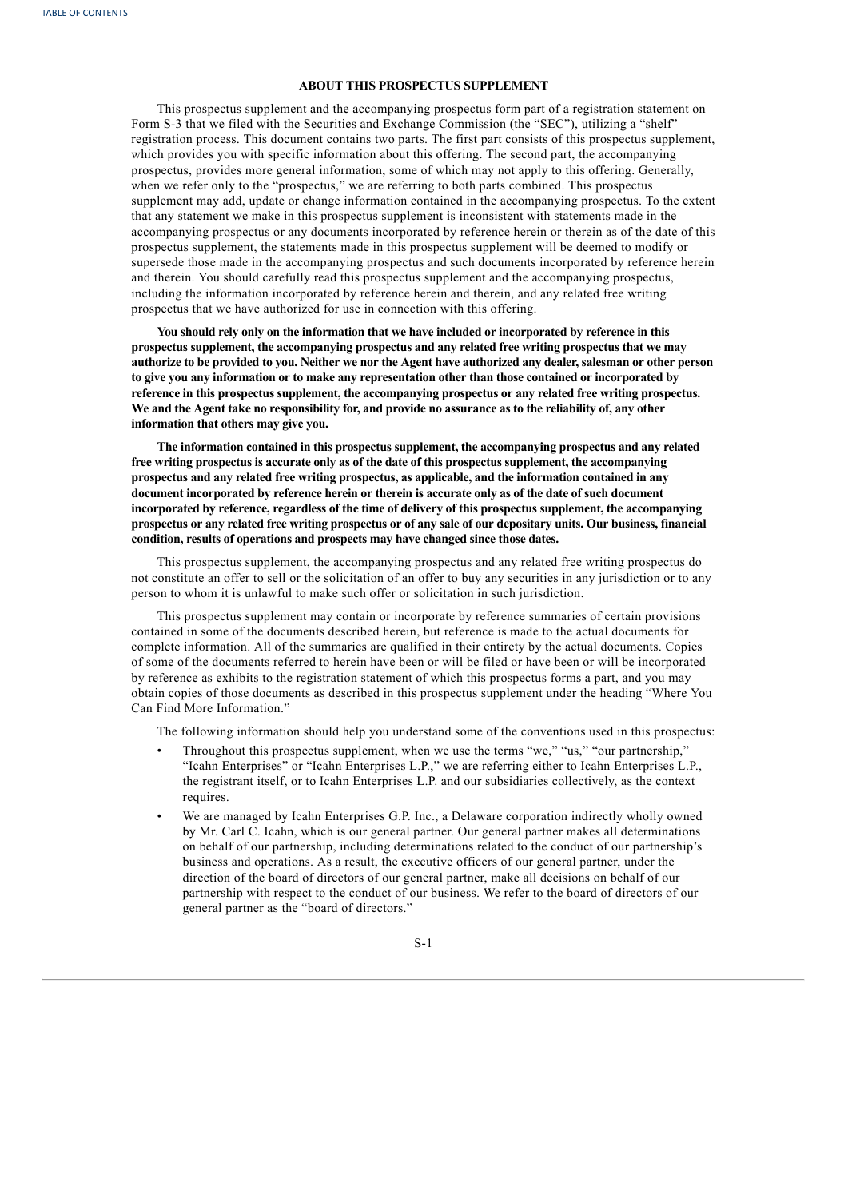# **ABOUT THIS PROSPECTUS SUPPLEMENT**

This prospectus supplement and the accompanying prospectus form part of a registration statement on Form S-3 that we filed with the Securities and Exchange Commission (the "SEC"), utilizing a "shelf" registration process. This document contains two parts. The first part consists of this prospectus supplement, which provides you with specific information about this offering. The second part, the accompanying prospectus, provides more general information, some of which may not apply to this offering. Generally, when we refer only to the "prospectus," we are referring to both parts combined. This prospectus supplement may add, update or change information contained in the accompanying prospectus. To the extent that any statement we make in this prospectus supplement is inconsistent with statements made in the accompanying prospectus or any documents incorporated by reference herein or therein as of the date of this prospectus supplement, the statements made in this prospectus supplement will be deemed to modify or supersede those made in the accompanying prospectus and such documents incorporated by reference herein and therein. You should carefully read this prospectus supplement and the accompanying prospectus, including the information incorporated by reference herein and therein, and any related free writing prospectus that we have authorized for use in connection with this offering.

**You should rely only on the information that we have included or incorporated by reference in this prospectus supplement, the accompanying prospectus and any related free writing prospectus that we may** authorize to be provided to you. Neither we nor the Agent have authorized any dealer, salesman or other person **to give you any information or to make any representation other than those contained or incorporated by reference in this prospectus supplement, the accompanying prospectus or any related free writing prospectus.** We and the Agent take no responsibility for, and provide no assurance as to the reliability of, any other **information that others may give you.**

**The information contained in this prospectus supplement, the accompanying prospectus and any related free writing prospectus is accurate only as of the date of this prospectus supplement, the accompanying prospectus and any related free writing prospectus, as applicable, and the information contained in any document incorporated by reference herein or therein is accurate only as of the date of such document incorporated by reference, regardless of the time of delivery of this prospectus supplement, the accompanying** prospectus or any related free writing prospectus or of any sale of our depositary units. Our business, financial **condition, results of operations and prospects may have changed since those dates.**

This prospectus supplement, the accompanying prospectus and any related free writing prospectus do not constitute an offer to sell or the solicitation of an offer to buy any securities in any jurisdiction or to any person to whom it is unlawful to make such offer or solicitation in such jurisdiction.

This prospectus supplement may contain or incorporate by reference summaries of certain provisions contained in some of the documents described herein, but reference is made to the actual documents for complete information. All of the summaries are qualified in their entirety by the actual documents. Copies of some of the documents referred to herein have been or will be filed or have been or will be incorporated by reference as exhibits to the registration statement of which this prospectus forms a part, and you may obtain copies of those documents as described in this prospectus supplement under the heading "Where You Can Find More Information."

The following information should help you understand some of the conventions used in this prospectus:

- Throughout this prospectus supplement, when we use the terms "we," "us," "our partnership," "Icahn Enterprises" or "Icahn Enterprises L.P.," we are referring either to Icahn Enterprises L.P., the registrant itself, or to Icahn Enterprises L.P. and our subsidiaries collectively, as the context requires.
- <span id="page-2-0"></span>• We are managed by Icahn Enterprises G.P. Inc., a Delaware corporation indirectly wholly owned by Mr. Carl C. Icahn, which is our general partner. Our general partner makes all determinations on behalf of our partnership, including determinations related to the conduct of our partnership's business and operations. As a result, the executive officers of our general partner, under the direction of the board of directors of our general partner, make all decisions on behalf of our partnership with respect to the conduct of our business. We refer to the board of directors of our general partner as the "board of directors."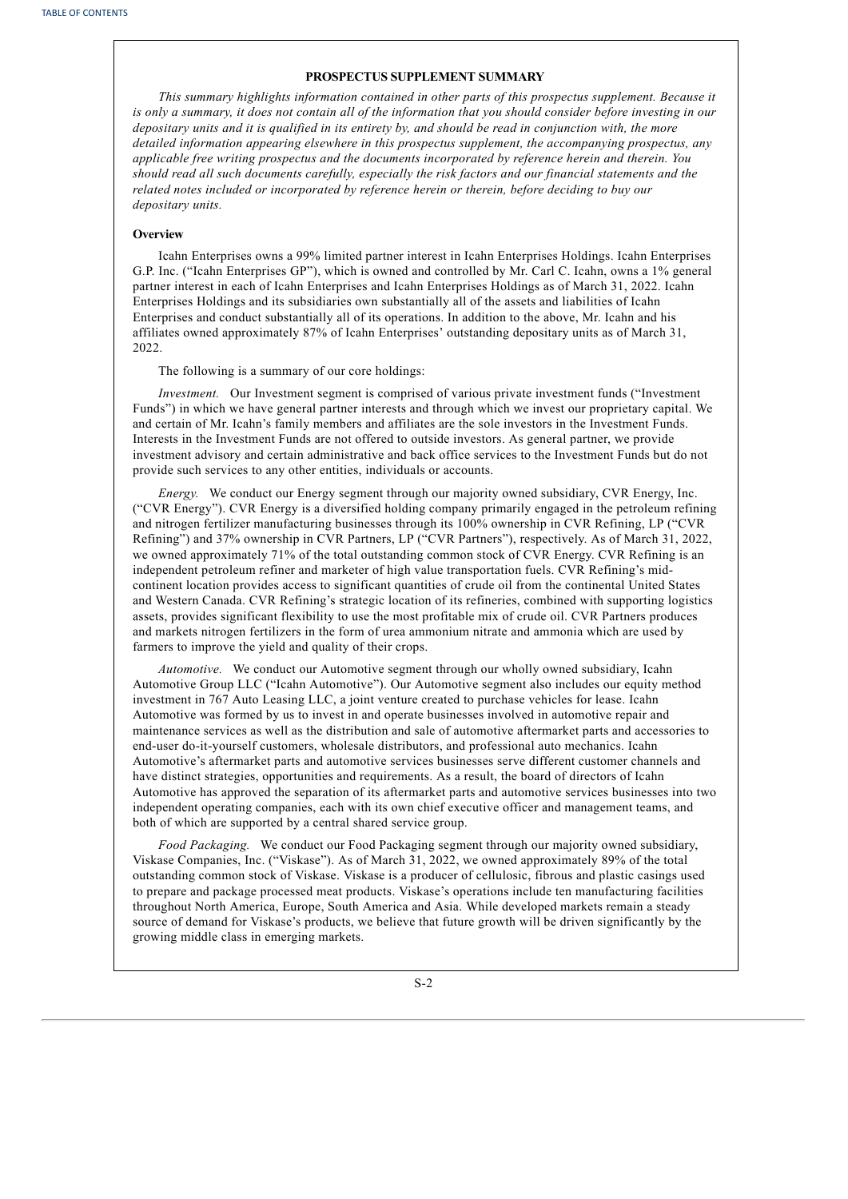# **PROSPECTUS SUPPLEMENT SUMMARY**

*This summary highlights information contained in other parts of this prospectus supplement. Because it* is only a summary, it does not contain all of the information that you should consider before investing in our depositary units and it is qualified in its entirety by, and should be read in conjunction with, the more *detailed information appearing elsewhere in this prospectus supplement, the accompanying prospectus, any applicable free writing prospectus and the documents incorporated by reference herein and therein. You should read all such documents carefully, especially the risk factors and our financial statements and the related notes included or incorporated by reference herein or therein, before deciding to buy our depositary units.*

#### **Overview**

Icahn Enterprises owns a 99% limited partner interest in Icahn Enterprises Holdings. Icahn Enterprises G.P. Inc. ("Icahn Enterprises GP"), which is owned and controlled by Mr. Carl C. Icahn, owns a 1% general partner interest in each of Icahn Enterprises and Icahn Enterprises Holdings as of March 31, 2022. Icahn Enterprises Holdings and its subsidiaries own substantially all of the assets and liabilities of Icahn Enterprises and conduct substantially all of its operations. In addition to the above, Mr. Icahn and his affiliates owned approximately 87% of Icahn Enterprises' outstanding depositary units as of March 31, 2022.

The following is a summary of our core holdings:

*Investment.* Our Investment segment is comprised of various private investment funds ("Investment Funds") in which we have general partner interests and through which we invest our proprietary capital. We and certain of Mr. Icahn's family members and affiliates are the sole investors in the Investment Funds. Interests in the Investment Funds are not offered to outside investors. As general partner, we provide investment advisory and certain administrative and back office services to the Investment Funds but do not provide such services to any other entities, individuals or accounts.

*Energy.* We conduct our Energy segment through our majority owned subsidiary, CVR Energy, Inc. ("CVR Energy"). CVR Energy is a diversified holding company primarily engaged in the petroleum refining and nitrogen fertilizer manufacturing businesses through its 100% ownership in CVR Refining, LP ("CVR Refining") and 37% ownership in CVR Partners, LP ("CVR Partners"), respectively. As of March 31, 2022, we owned approximately 71% of the total outstanding common stock of CVR Energy. CVR Refining is an independent petroleum refiner and marketer of high value transportation fuels. CVR Refining's midcontinent location provides access to significant quantities of crude oil from the continental United States and Western Canada. CVR Refining's strategic location of its refineries, combined with supporting logistics assets, provides significant flexibility to use the most profitable mix of crude oil. CVR Partners produces and markets nitrogen fertilizers in the form of urea ammonium nitrate and ammonia which are used by farmers to improve the yield and quality of their crops.

*Automotive.* We conduct our Automotive segment through our wholly owned subsidiary, Icahn Automotive Group LLC ("Icahn Automotive"). Our Automotive segment also includes our equity method investment in 767 Auto Leasing LLC, a joint venture created to purchase vehicles for lease. Icahn Automotive was formed by us to invest in and operate businesses involved in automotive repair and maintenance services as well as the distribution and sale of automotive aftermarket parts and accessories to end-user do-it-yourself customers, wholesale distributors, and professional auto mechanics. Icahn Automotive's aftermarket parts and automotive services businesses serve different customer channels and have distinct strategies, opportunities and requirements. As a result, the board of directors of Icahn Automotive has approved the separation of its aftermarket parts and automotive services businesses into two independent operating companies, each with its own chief executive officer and management teams, and both of which are supported by a central shared service group.

*Food Packaging.* We conduct our Food Packaging segment through our majority owned subsidiary, Viskase Companies, Inc. ("Viskase"). As of March 31, 2022, we owned approximately 89% of the total outstanding common stock of Viskase. Viskase is a producer of cellulosic, fibrous and plastic casings used to prepare and package processed meat products. Viskase's operations include ten manufacturing facilities throughout North America, Europe, South America and Asia. While developed markets remain a steady source of demand for Viskase's products, we believe that future growth will be driven significantly by the growing middle class in emerging markets.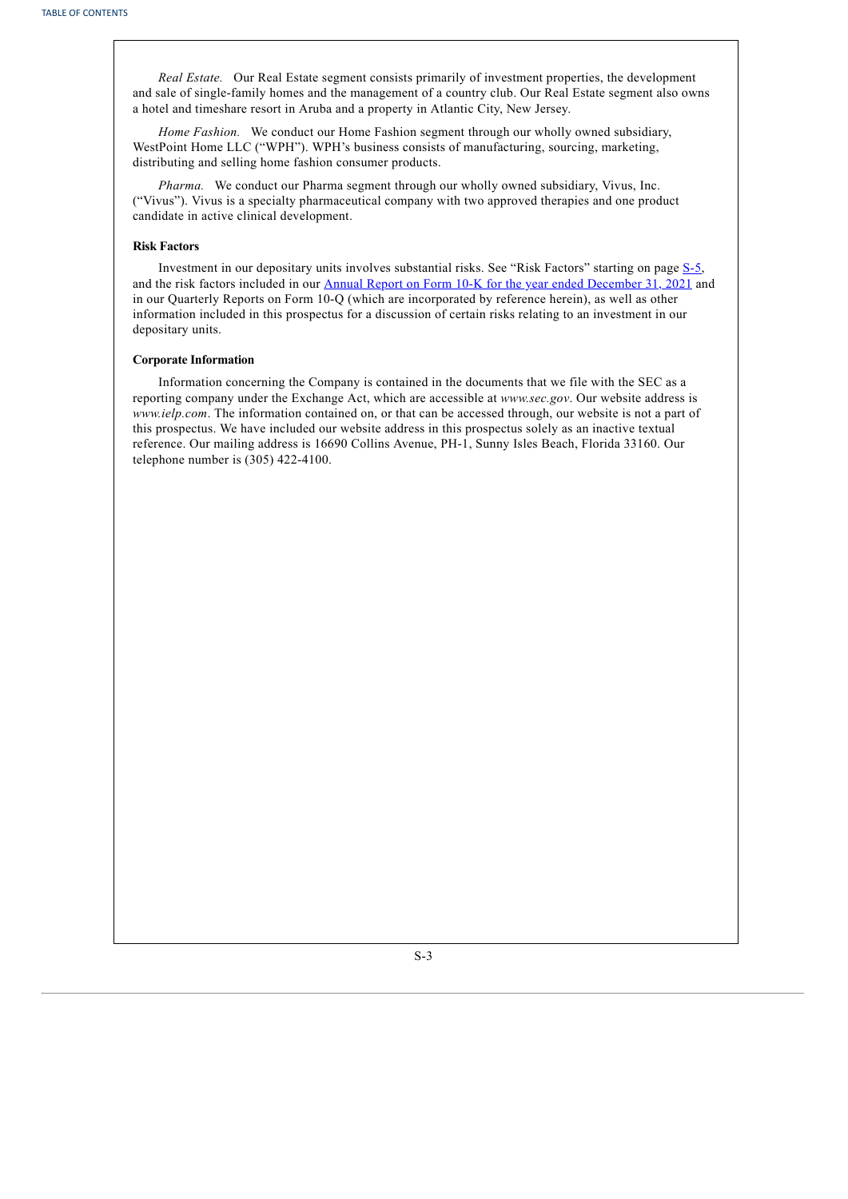*Real Estate.* Our Real Estate segment consists primarily of investment properties, the development and sale of single-family homes and the management of a country club. Our Real Estate segment also owns a hotel and timeshare resort in Aruba and a property in Atlantic City, New Jersey.

*Home Fashion.* We conduct our Home Fashion segment through our wholly owned subsidiary, WestPoint Home LLC ("WPH"). WPH's business consists of manufacturing, sourcing, marketing, distributing and selling home fashion consumer products.

*Pharma.* We conduct our Pharma segment through our wholly owned subsidiary, Vivus, Inc. ("Vivus"). Vivus is a specialty pharmaceutical company with two approved therapies and one product candidate in active clinical development.

# **Risk Factors**

Investment in our depositary units involves substantial risks. See "Risk Factors" starting on page [S-5](#page-5-0), and the risk factors included in our Annual Report on Form 10-K for the year ended [December](http://www.sec.gov/ix?doc=/Archives/edgar/data/813762/000155837022002150/tmb-20211231x10k.htm) 31, 2021 and in our Quarterly Reports on Form 10-Q (which are incorporated by reference herein), as well as other information included in this prospectus for a discussion of certain risks relating to an investment in our depositary units.

## **Corporate Information**

<span id="page-4-0"></span>Information concerning the Company is contained in the documents that we file with the SEC as a reporting company under the Exchange Act, which are accessible at *www.sec.gov*. Our website address is *www.ielp.com*. The information contained on, or that can be accessed through, our website is not a part of this prospectus. We have included our website address in this prospectus solely as an inactive textual reference. Our mailing address is 16690 Collins Avenue, PH-1, Sunny Isles Beach, Florida 33160. Our telephone number is (305) 422-4100.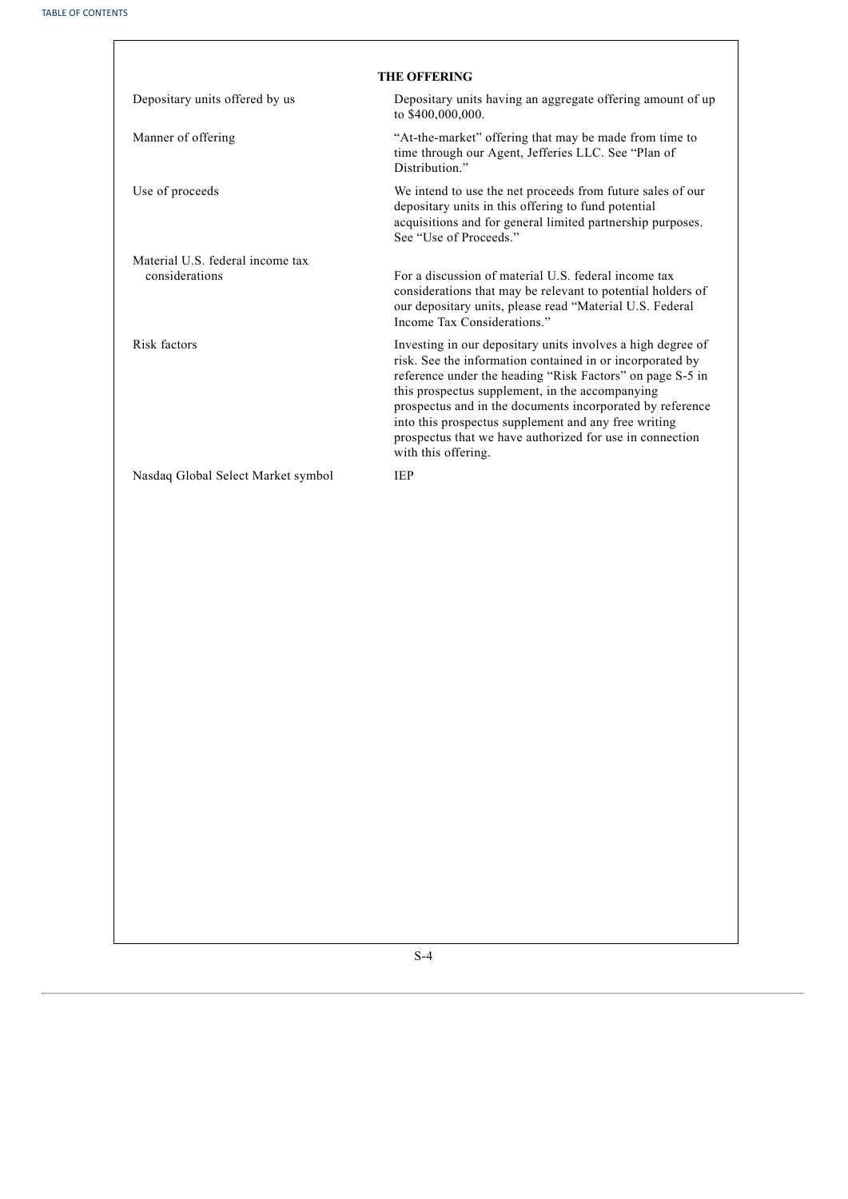<span id="page-5-0"></span>

|                                    | <b>THE OFFERING</b>                                                                                                                                                                                                                                                                                                                                                                                                                              |
|------------------------------------|--------------------------------------------------------------------------------------------------------------------------------------------------------------------------------------------------------------------------------------------------------------------------------------------------------------------------------------------------------------------------------------------------------------------------------------------------|
| Depositary units offered by us     | Depositary units having an aggregate offering amount of up<br>to \$400,000,000.                                                                                                                                                                                                                                                                                                                                                                  |
| Manner of offering                 | "At-the-market" offering that may be made from time to<br>time through our Agent, Jefferies LLC. See "Plan of<br>Distribution."                                                                                                                                                                                                                                                                                                                  |
| Use of proceeds                    | We intend to use the net proceeds from future sales of our<br>depositary units in this offering to fund potential<br>acquisitions and for general limited partnership purposes.<br>See "Use of Proceeds."                                                                                                                                                                                                                                        |
| Material U.S. federal income tax   |                                                                                                                                                                                                                                                                                                                                                                                                                                                  |
| considerations                     | For a discussion of material U.S. federal income tax<br>considerations that may be relevant to potential holders of<br>our depositary units, please read "Material U.S. Federal<br>Income Tax Considerations."                                                                                                                                                                                                                                   |
| Risk factors                       | Investing in our depositary units involves a high degree of<br>risk. See the information contained in or incorporated by<br>reference under the heading "Risk Factors" on page S-5 in<br>this prospectus supplement, in the accompanying<br>prospectus and in the documents incorporated by reference<br>into this prospectus supplement and any free writing<br>prospectus that we have authorized for use in connection<br>with this offering. |
| Nasdaq Global Select Market symbol | <b>IEP</b>                                                                                                                                                                                                                                                                                                                                                                                                                                       |
|                                    |                                                                                                                                                                                                                                                                                                                                                                                                                                                  |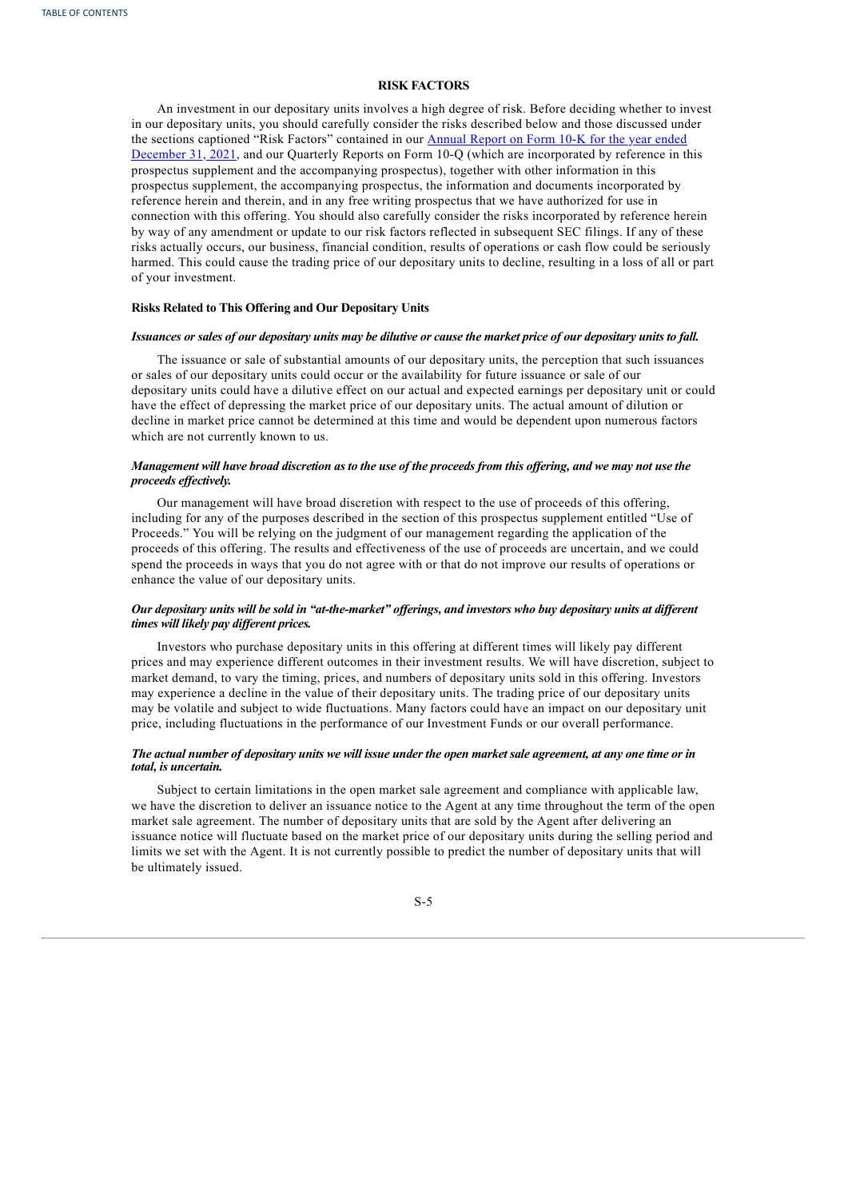# **RISK FACTORS**

An investment in our depositary units involves a high degree of risk. Before deciding whether to invest in our depositary units, you should carefully consider the risks described below and those discussed under the sections captioned "Risk Factors" contained in our Annual Report on Form 10-K for the year ended December 31, 2021, and our Quarterly Reports on Form 10-Q (which are [incorporated](http://www.sec.gov/ix?doc=/Archives/edgar/data/813762/000155837022002150/tmb-20211231x10k.htm) by reference in this prospectus supplement and the accompanying prospectus), together with other information in this prospectus supplement, the accompanying prospectus, the information and documents incorporated by reference herein and therein, and in any free writing prospectus that we have authorized for use in connection with this offering. You should also carefully consider the risks incorporated by reference herein by way of any amendment or update to our risk factors reflected in subsequent SEC filings. If any of these risks actually occurs, our business, financial condition, results of operations or cash flow could be seriously harmed. This could cause the trading price of our depositary units to decline, resulting in a loss of all or part of your investment.

## **Risks Related to This Offering and Our Depositary Units**

#### Issuances or sales of our depositary units may be dilutive or cause the market price of our depositary units to fall.

The issuance or sale of substantial amounts of our depositary units, the perception that such issuances or sales of our depositary units could occur or the availability for future issuance or sale of our depositary units could have a dilutive effect on our actual and expected earnings per depositary unit or could have the effect of depressing the market price of our depositary units. The actual amount of dilution or decline in market price cannot be determined at this time and would be dependent upon numerous factors which are not currently known to us.

# Management will have broad discretion as to the use of the proceeds from this offering, and we may not use the *proceeds ef ectively.*

Our management will have broad discretion with respect to the use of proceeds of this offering, including for any of the purposes described in the section of this prospectus supplement entitled "Use of Proceeds." You will be relying on the judgment of our management regarding the application of the proceeds of this offering. The results and effectiveness of the use of proceeds are uncertain, and we could spend the proceeds in ways that you do not agree with or that do not improve our results of operations or enhance the value of our depositary units.

## Our depositary units will be sold in "at-the-market" offerings, and investors who buy depositary units at different *times will likely pay dif erent prices.*

Investors who purchase depositary units in this offering at different times will likely pay different prices and may experience different outcomes in their investment results. We will have discretion, subject to market demand, to vary the timing, prices, and numbers of depositary units sold in this offering. Investors may experience a decline in the value of their depositary units. The trading price of our depositary units may be volatile and subject to wide fluctuations. Many factors could have an impact on our depositary unit price, including fluctuations in the performance of our Investment Funds or our overall performance.

## The actual number of depositary units we will issue under the open market sale agreement, at any one time or in *total, is uncertain.*

<span id="page-6-0"></span>Subject to certain limitations in the open market sale agreement and compliance with applicable law, we have the discretion to deliver an issuance notice to the Agent at any time throughout the term of the open market sale agreement. The number of depositary units that are sold by the Agent after delivering an issuance notice will fluctuate based on the market price of our depositary units during the selling period and limits we set with the Agent. It is not currently possible to predict the number of depositary units that will be ultimately issued.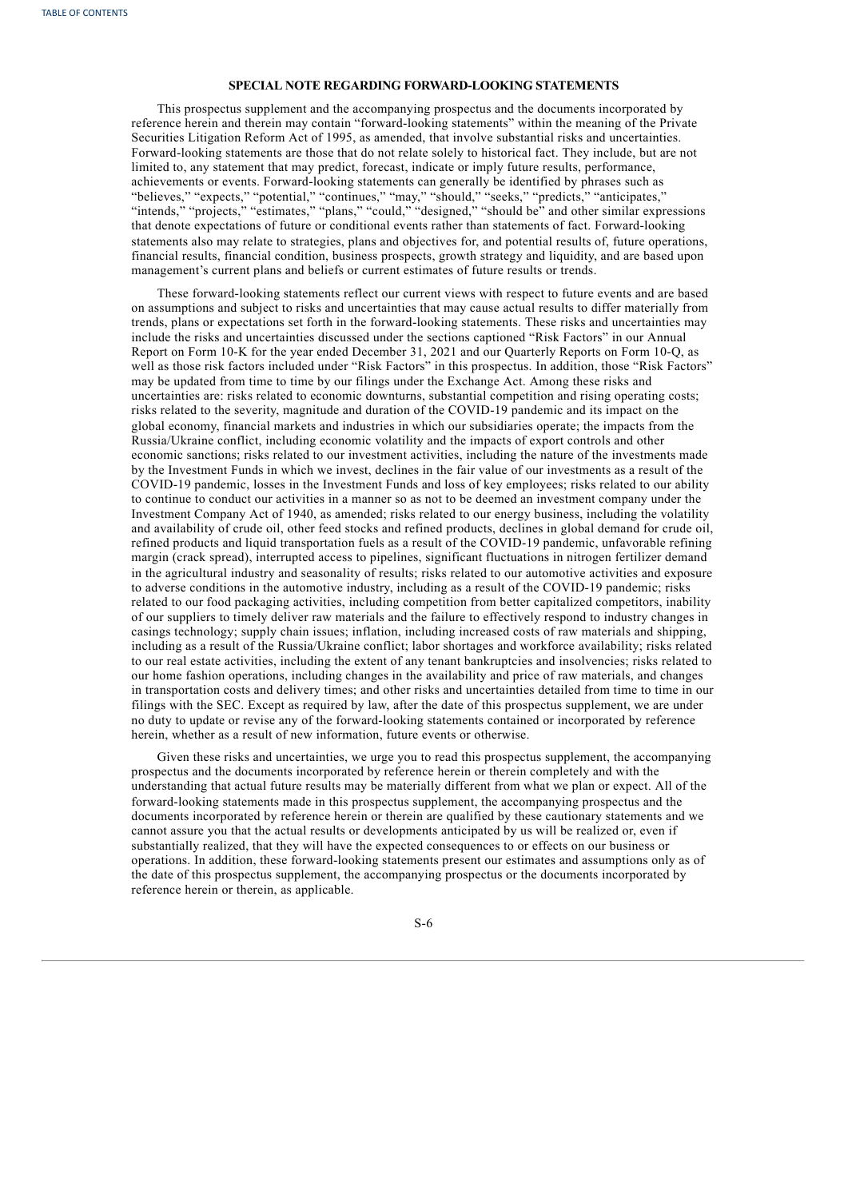# **SPECIAL NOTE REGARDING FORWARD-LOOKING STATEMENTS**

This prospectus supplement and the accompanying prospectus and the documents incorporated by reference herein and therein may contain "forward-looking statements" within the meaning of the Private Securities Litigation Reform Act of 1995, as amended, that involve substantial risks and uncertainties. Forward-looking statements are those that do not relate solely to historical fact. They include, but are not limited to, any statement that may predict, forecast, indicate or imply future results, performance, achievements or events. Forward-looking statements can generally be identified by phrases such as "believes," "expects," "potential," "continues," "may," "should," "seeks," "predicts," "anticipates," "intends," "projects," "estimates," "plans," "could," "designed," "should be" and other similar expressions that denote expectations of future or conditional events rather than statements of fact. Forward-looking statements also may relate to strategies, plans and objectives for, and potential results of, future operations, financial results, financial condition, business prospects, growth strategy and liquidity, and are based upon management's current plans and beliefs or current estimates of future results or trends.

These forward-looking statements reflect our current views with respect to future events and are based on assumptions and subject to risks and uncertainties that may cause actual results to differ materially from trends, plans or expectations set forth in the forward-looking statements. These risks and uncertainties may include the risks and uncertainties discussed under the sections captioned "Risk Factors" in our Annual Report on Form 10-K for the year ended December 31, 2021 and our Quarterly Reports on Form 10-Q, as well as those risk factors included under "Risk Factors" in this prospectus. In addition, those "Risk Factors" may be updated from time to time by our filings under the Exchange Act. Among these risks and uncertainties are: risks related to economic downturns, substantial competition and rising operating costs; risks related to the severity, magnitude and duration of the COVID-19 pandemic and its impact on the global economy, financial markets and industries in which our subsidiaries operate; the impacts from the Russia/Ukraine conflict, including economic volatility and the impacts of export controls and other economic sanctions; risks related to our investment activities, including the nature of the investments made by the Investment Funds in which we invest, declines in the fair value of our investments as a result of the COVID-19 pandemic, losses in the Investment Funds and loss of key employees; risks related to our ability to continue to conduct our activities in a manner so as not to be deemed an investment company under the Investment Company Act of 1940, as amended; risks related to our energy business, including the volatility and availability of crude oil, other feed stocks and refined products, declines in global demand for crude oil, refined products and liquid transportation fuels as a result of the COVID-19 pandemic, unfavorable refining margin (crack spread), interrupted access to pipelines, significant fluctuations in nitrogen fertilizer demand in the agricultural industry and seasonality of results; risks related to our automotive activities and exposure to adverse conditions in the automotive industry, including as a result of the COVID-19 pandemic; risks related to our food packaging activities, including competition from better capitalized competitors, inability of our suppliers to timely deliver raw materials and the failure to effectively respond to industry changes in casings technology; supply chain issues; inflation, including increased costs of raw materials and shipping, including as a result of the Russia/Ukraine conflict; labor shortages and workforce availability; risks related to our real estate activities, including the extent of any tenant bankruptcies and insolvencies; risks related to our home fashion operations, including changes in the availability and price of raw materials, and changes in transportation costs and delivery times; and other risks and uncertainties detailed from time to time in our filings with the SEC. Except as required by law, after the date of this prospectus supplement, we are under no duty to update or revise any of the forward-looking statements contained or incorporated by reference herein, whether as a result of new information, future events or otherwise.

<span id="page-7-0"></span>Given these risks and uncertainties, we urge you to read this prospectus supplement, the accompanying prospectus and the documents incorporated by reference herein or therein completely and with the understanding that actual future results may be materially different from what we plan or expect. All of the forward-looking statements made in this prospectus supplement, the accompanying prospectus and the documents incorporated by reference herein or therein are qualified by these cautionary statements and we cannot assure you that the actual results or developments anticipated by us will be realized or, even if substantially realized, that they will have the expected consequences to or effects on our business or operations. In addition, these forward-looking statements present our estimates and assumptions only as of the date of this prospectus supplement, the accompanying prospectus or the documents incorporated by reference herein or therein, as applicable.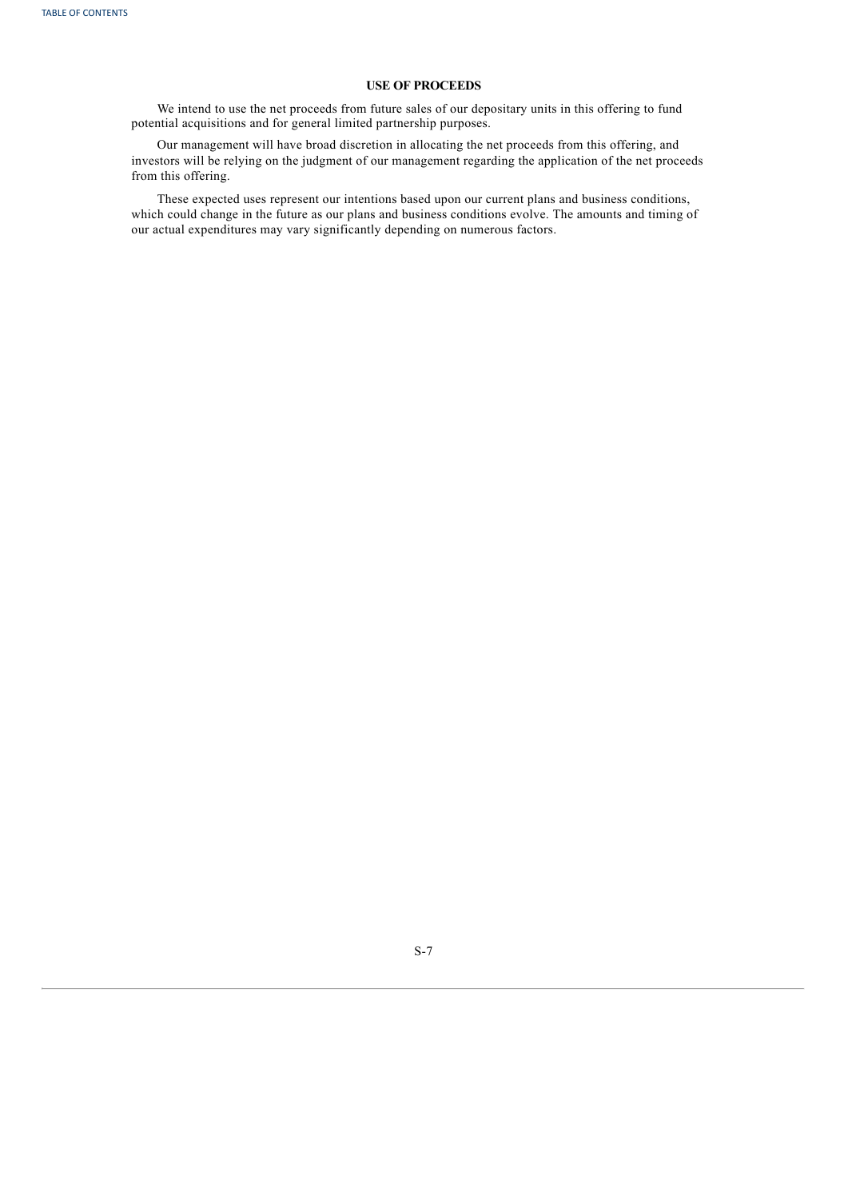# **USE OF PROCEEDS**

We intend to use the net proceeds from future sales of our depositary units in this offering to fund potential acquisitions and for general limited partnership purposes.

Our management will have broad discretion in allocating the net proceeds from this offering, and investors will be relying on the judgment of our management regarding the application of the net proceeds from this offering.

<span id="page-8-0"></span>These expected uses represent our intentions based upon our current plans and business conditions, which could change in the future as our plans and business conditions evolve. The amounts and timing of our actual expenditures may vary significantly depending on numerous factors.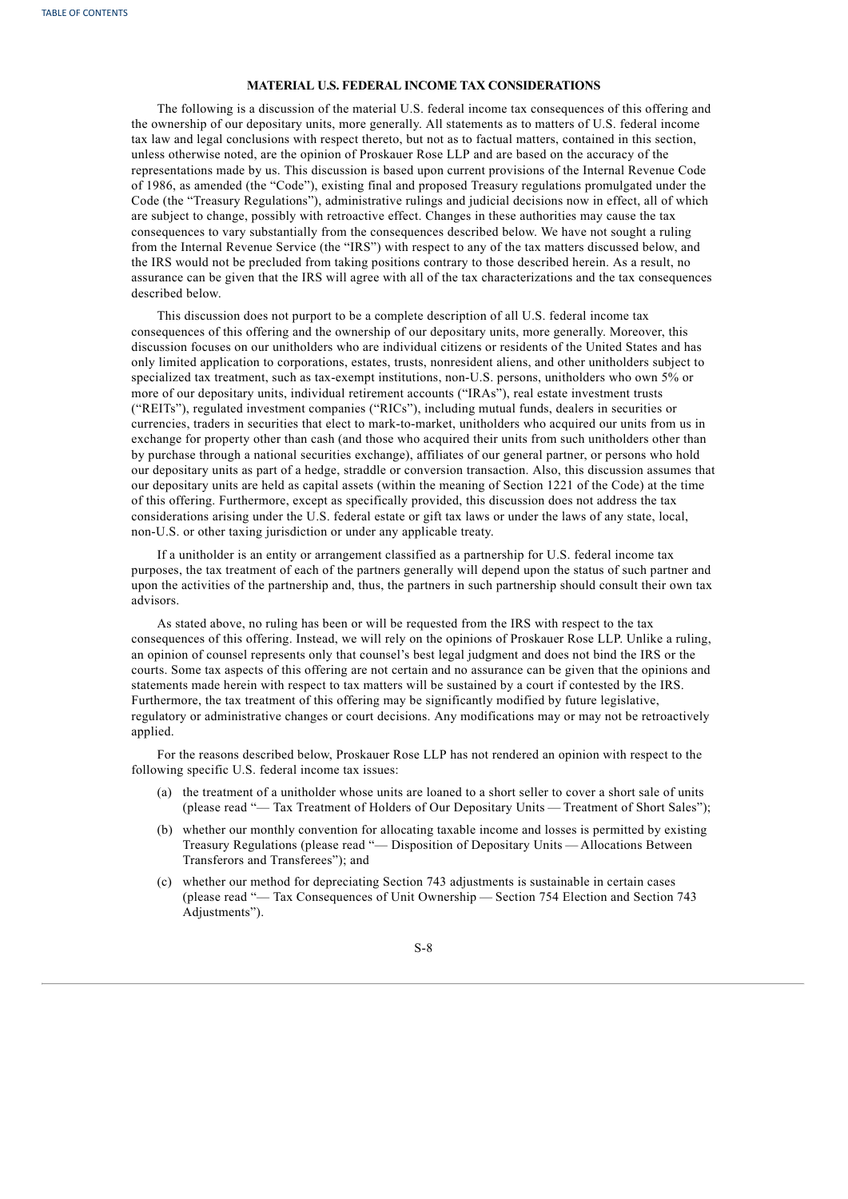# **MATERIAL U.S. FEDERAL INCOME TAX CONSIDERATIONS**

The following is a discussion of the material U.S. federal income tax consequences of this offering and the ownership of our depositary units, more generally. All statements as to matters of U.S. federal income tax law and legal conclusions with respect thereto, but not as to factual matters, contained in this section, unless otherwise noted, are the opinion of Proskauer Rose LLP and are based on the accuracy of the representations made by us. This discussion is based upon current provisions of the Internal Revenue Code of 1986, as amended (the "Code"), existing final and proposed Treasury regulations promulgated under the Code (the "Treasury Regulations"), administrative rulings and judicial decisions now in effect, all of which are subject to change, possibly with retroactive effect. Changes in these authorities may cause the tax consequences to vary substantially from the consequences described below. We have not sought a ruling from the Internal Revenue Service (the "IRS") with respect to any of the tax matters discussed below, and the IRS would not be precluded from taking positions contrary to those described herein. As a result, no assurance can be given that the IRS will agree with all of the tax characterizations and the tax consequences described below.

This discussion does not purport to be a complete description of all U.S. federal income tax consequences of this offering and the ownership of our depositary units, more generally. Moreover, this discussion focuses on our unitholders who are individual citizens or residents of the United States and has only limited application to corporations, estates, trusts, nonresident aliens, and other unitholders subject to specialized tax treatment, such as tax-exempt institutions, non-U.S. persons, unitholders who own 5% or more of our depositary units, individual retirement accounts ("IRAs"), real estate investment trusts ("REITs"), regulated investment companies ("RICs"), including mutual funds, dealers in securities or currencies, traders in securities that elect to mark-to-market, unitholders who acquired our units from us in exchange for property other than cash (and those who acquired their units from such unitholders other than by purchase through a national securities exchange), affiliates of our general partner, or persons who hold our depositary units as part of a hedge, straddle or conversion transaction. Also, this discussion assumes that our depositary units are held as capital assets (within the meaning of Section 1221 of the Code) at the time of this offering. Furthermore, except as specifically provided, this discussion does not address the tax considerations arising under the U.S. federal estate or gift tax laws or under the laws of any state, local, non-U.S. or other taxing jurisdiction or under any applicable treaty.

If a unitholder is an entity or arrangement classified as a partnership for U.S. federal income tax purposes, the tax treatment of each of the partners generally will depend upon the status of such partner and upon the activities of the partnership and, thus, the partners in such partnership should consult their own tax advisors.

As stated above, no ruling has been or will be requested from the IRS with respect to the tax consequences of this offering. Instead, we will rely on the opinions of Proskauer Rose LLP. Unlike a ruling, an opinion of counsel represents only that counsel's best legal judgment and does not bind the IRS or the courts. Some tax aspects of this offering are not certain and no assurance can be given that the opinions and statements made herein with respect to tax matters will be sustained by a court if contested by the IRS. Furthermore, the tax treatment of this offering may be significantly modified by future legislative, regulatory or administrative changes or court decisions. Any modifications may or may not be retroactively applied.

For the reasons described below, Proskauer Rose LLP has not rendered an opinion with respect to the following specific U.S. federal income tax issues:

- (a) the treatment of a unitholder whose units are loaned to a short seller to cover a short sale of units (please read "— Tax Treatment of Holders of Our Depositary Units — Treatment of Short Sales");
- (b) whether our monthly convention for allocating taxable income and losses is permitted by existing Treasury Regulations (please read "— Disposition of Depositary Units — Allocations Between Transferors and Transferees"); and
- (c) whether our method for depreciating Section 743 adjustments is sustainable in certain cases (please read "— Tax Consequences of Unit Ownership — Section 754 Election and Section 743 Adjustments").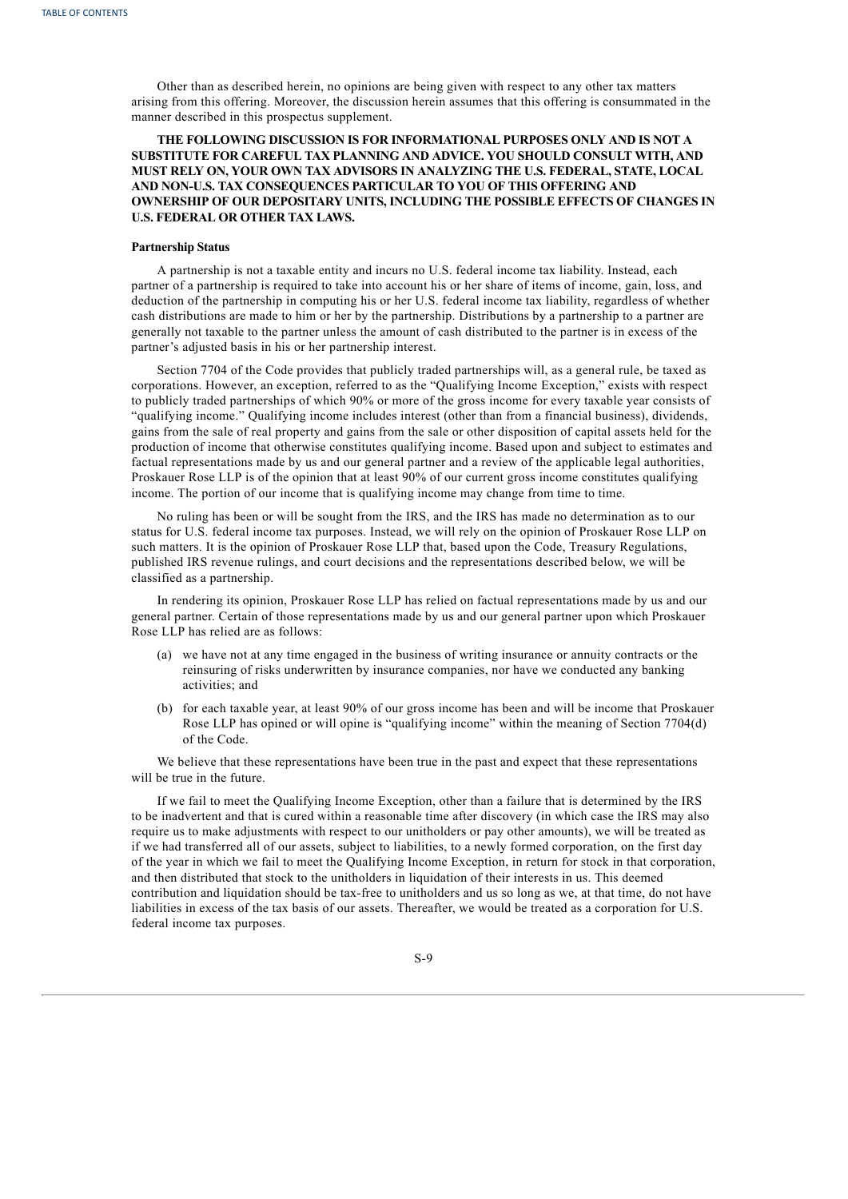Other than as described herein, no opinions are being given with respect to any other tax matters arising from this offering. Moreover, the discussion herein assumes that this offering is consummated in the manner described in this prospectus supplement.

# **THE FOLLOWING DISCUSSION IS FOR INFORMATIONAL PURPOSES ONLY AND IS NOT A SUBSTITUTE FOR CAREFUL TAX PLANNING AND ADVICE. YOU SHOULD CONSULT WITH, AND MUST RELY ON, YOUR OWN TAX ADVISORS IN ANALYZING THE U.S. FEDERAL, STATE, LOCAL AND NON-U.S. TAX CONSEQUENCES PARTICULAR TO YOU OF THIS OFFERING AND OWNERSHIP OF OUR DEPOSITARY UNITS, INCLUDING THE POSSIBLE EFFECTS OF CHANGES IN U.S. FEDERAL OR OTHER TAX LAWS.**

#### **Partnership Status**

A partnership is not a taxable entity and incurs no U.S. federal income tax liability. Instead, each partner of a partnership is required to take into account his or her share of items of income, gain, loss, and deduction of the partnership in computing his or her U.S. federal income tax liability, regardless of whether cash distributions are made to him or her by the partnership. Distributions by a partnership to a partner are generally not taxable to the partner unless the amount of cash distributed to the partner is in excess of the partner's adjusted basis in his or her partnership interest.

Section 7704 of the Code provides that publicly traded partnerships will, as a general rule, be taxed as corporations. However, an exception, referred to as the "Qualifying Income Exception," exists with respect to publicly traded partnerships of which 90% or more of the gross income for every taxable year consists of "qualifying income." Qualifying income includes interest (other than from a financial business), dividends, gains from the sale of real property and gains from the sale or other disposition of capital assets held for the production of income that otherwise constitutes qualifying income. Based upon and subject to estimates and factual representations made by us and our general partner and a review of the applicable legal authorities, Proskauer Rose LLP is of the opinion that at least 90% of our current gross income constitutes qualifying income. The portion of our income that is qualifying income may change from time to time.

No ruling has been or will be sought from the IRS, and the IRS has made no determination as to our status for U.S. federal income tax purposes. Instead, we will rely on the opinion of Proskauer Rose LLP on such matters. It is the opinion of Proskauer Rose LLP that, based upon the Code, Treasury Regulations, published IRS revenue rulings, and court decisions and the representations described below, we will be classified as a partnership.

In rendering its opinion, Proskauer Rose LLP has relied on factual representations made by us and our general partner. Certain of those representations made by us and our general partner upon which Proskauer Rose LLP has relied are as follows:

- (a) we have not at any time engaged in the business of writing insurance or annuity contracts or the reinsuring of risks underwritten by insurance companies, nor have we conducted any banking activities; and
- (b) for each taxable year, at least 90% of our gross income has been and will be income that Proskauer Rose LLP has opined or will opine is "qualifying income" within the meaning of Section 7704(d) of the Code.

We believe that these representations have been true in the past and expect that these representations will be true in the future.

If we fail to meet the Qualifying Income Exception, other than a failure that is determined by the IRS to be inadvertent and that is cured within a reasonable time after discovery (in which case the IRS may also require us to make adjustments with respect to our unitholders or pay other amounts), we will be treated as if we had transferred all of our assets, subject to liabilities, to a newly formed corporation, on the first day of the year in which we fail to meet the Qualifying Income Exception, in return for stock in that corporation, and then distributed that stock to the unitholders in liquidation of their interests in us. This deemed contribution and liquidation should be tax-free to unitholders and us so long as we, at that time, do not have liabilities in excess of the tax basis of our assets. Thereafter, we would be treated as a corporation for U.S. federal income tax purposes.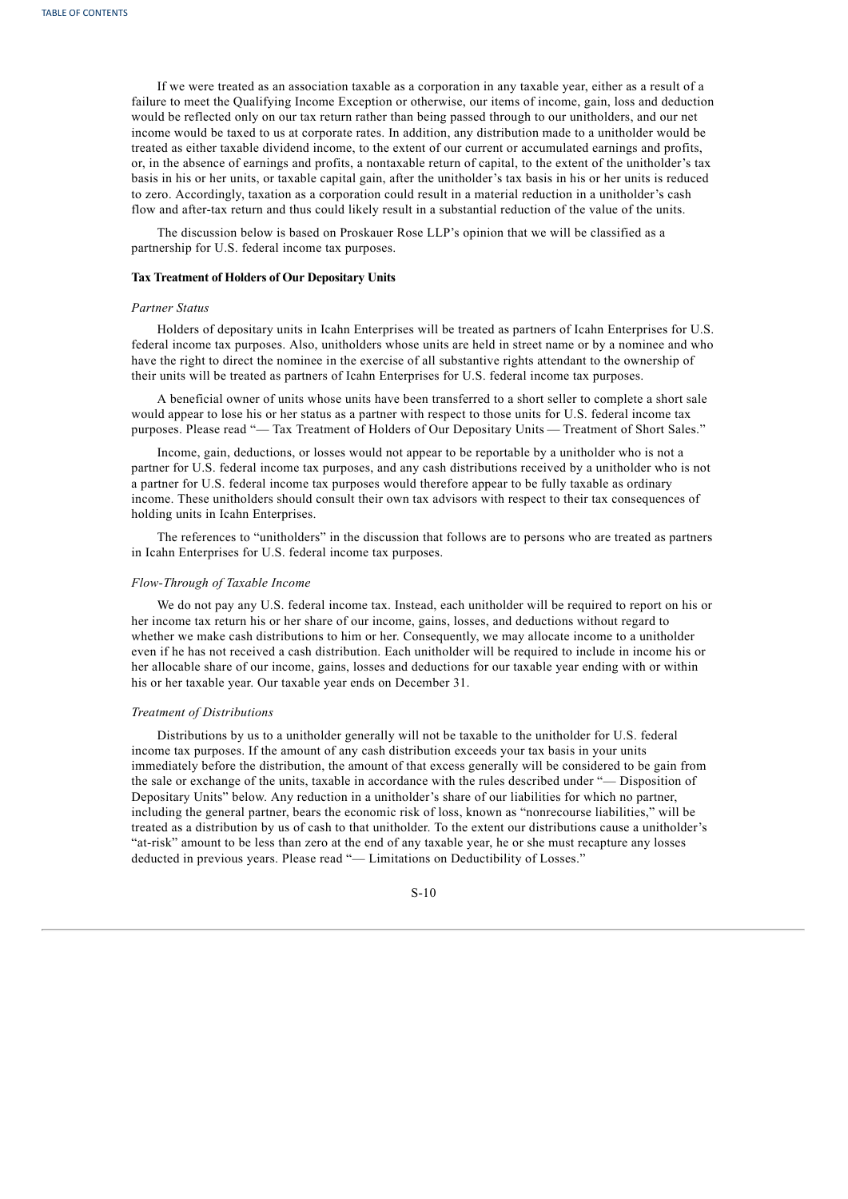If we were treated as an association taxable as a corporation in any taxable year, either as a result of a failure to meet the Qualifying Income Exception or otherwise, our items of income, gain, loss and deduction would be reflected only on our tax return rather than being passed through to our unitholders, and our net income would be taxed to us at corporate rates. In addition, any distribution made to a unitholder would be treated as either taxable dividend income, to the extent of our current or accumulated earnings and profits, or, in the absence of earnings and profits, a nontaxable return of capital, to the extent of the unitholder's tax basis in his or her units, or taxable capital gain, after the unitholder's tax basis in his or her units is reduced to zero. Accordingly, taxation as a corporation could result in a material reduction in a unitholder's cash flow and after-tax return and thus could likely result in a substantial reduction of the value of the units.

The discussion below is based on Proskauer Rose LLP's opinion that we will be classified as a partnership for U.S. federal income tax purposes.

#### **Tax Treatment of Holders of Our Depositary Units**

#### *Partner Status*

Holders of depositary units in Icahn Enterprises will be treated as partners of Icahn Enterprises for U.S. federal income tax purposes. Also, unitholders whose units are held in street name or by a nominee and who have the right to direct the nominee in the exercise of all substantive rights attendant to the ownership of their units will be treated as partners of Icahn Enterprises for U.S. federal income tax purposes.

A beneficial owner of units whose units have been transferred to a short seller to complete a short sale would appear to lose his or her status as a partner with respect to those units for U.S. federal income tax purposes. Please read "— Tax Treatment of Holders of Our Depositary Units — Treatment of Short Sales."

Income, gain, deductions, or losses would not appear to be reportable by a unitholder who is not a partner for U.S. federal income tax purposes, and any cash distributions received by a unitholder who is not a partner for U.S. federal income tax purposes would therefore appear to be fully taxable as ordinary income. These unitholders should consult their own tax advisors with respect to their tax consequences of holding units in Icahn Enterprises.

The references to "unitholders" in the discussion that follows are to persons who are treated as partners in Icahn Enterprises for U.S. federal income tax purposes.

## *Flow-Through of Taxable Income*

We do not pay any U.S. federal income tax. Instead, each unitholder will be required to report on his or her income tax return his or her share of our income, gains, losses, and deductions without regard to whether we make cash distributions to him or her. Consequently, we may allocate income to a unitholder even if he has not received a cash distribution. Each unitholder will be required to include in income his or her allocable share of our income, gains, losses and deductions for our taxable year ending with or within his or her taxable year. Our taxable year ends on December 31.

# *Treatment of Distributions*

Distributions by us to a unitholder generally will not be taxable to the unitholder for U.S. federal income tax purposes. If the amount of any cash distribution exceeds your tax basis in your units immediately before the distribution, the amount of that excess generally will be considered to be gain from the sale or exchange of the units, taxable in accordance with the rules described under "— Disposition of Depositary Units" below. Any reduction in a unitholder's share of our liabilities for which no partner, including the general partner, bears the economic risk of loss, known as "nonrecourse liabilities," will be treated as a distribution by us of cash to that unitholder. To the extent our distributions cause a unitholder's "at-risk" amount to be less than zero at the end of any taxable year, he or she must recapture any losses deducted in previous years. Please read "— Limitations on Deductibility of Losses."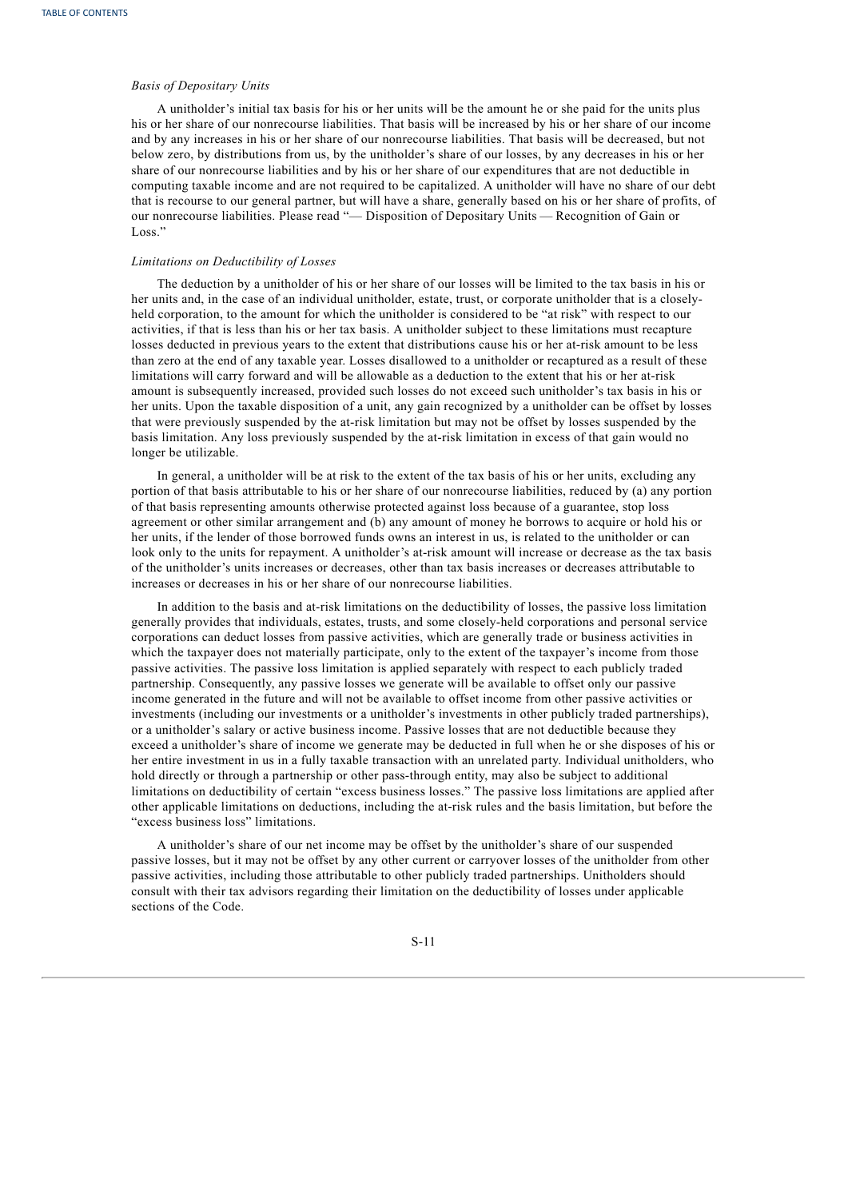# *Basis of Depositary Units*

A unitholder's initial tax basis for his or her units will be the amount he or she paid for the units plus his or her share of our nonrecourse liabilities. That basis will be increased by his or her share of our income and by any increases in his or her share of our nonrecourse liabilities. That basis will be decreased, but not below zero, by distributions from us, by the unitholder's share of our losses, by any decreases in his or her share of our nonrecourse liabilities and by his or her share of our expenditures that are not deductible in computing taxable income and are not required to be capitalized. A unitholder will have no share of our debt that is recourse to our general partner, but will have a share, generally based on his or her share of profits, of our nonrecourse liabilities. Please read "— Disposition of Depositary Units — Recognition of Gain or Loss."

# *Limitations on Deductibility of Losses*

The deduction by a unitholder of his or her share of our losses will be limited to the tax basis in his or her units and, in the case of an individual unitholder, estate, trust, or corporate unitholder that is a closelyheld corporation, to the amount for which the unitholder is considered to be "at risk" with respect to our activities, if that is less than his or her tax basis. A unitholder subject to these limitations must recapture losses deducted in previous years to the extent that distributions cause his or her at-risk amount to be less than zero at the end of any taxable year. Losses disallowed to a unitholder or recaptured as a result of these limitations will carry forward and will be allowable as a deduction to the extent that his or her at-risk amount is subsequently increased, provided such losses do not exceed such unitholder's tax basis in his or her units. Upon the taxable disposition of a unit, any gain recognized by a unitholder can be offset by losses that were previously suspended by the at-risk limitation but may not be offset by losses suspended by the basis limitation. Any loss previously suspended by the at-risk limitation in excess of that gain would no longer be utilizable.

In general, a unitholder will be at risk to the extent of the tax basis of his or her units, excluding any portion of that basis attributable to his or her share of our nonrecourse liabilities, reduced by (a) any portion of that basis representing amounts otherwise protected against loss because of a guarantee, stop loss agreement or other similar arrangement and (b) any amount of money he borrows to acquire or hold his or her units, if the lender of those borrowed funds owns an interest in us, is related to the unitholder or can look only to the units for repayment. A unitholder's at-risk amount will increase or decrease as the tax basis of the unitholder's units increases or decreases, other than tax basis increases or decreases attributable to increases or decreases in his or her share of our nonrecourse liabilities.

In addition to the basis and at-risk limitations on the deductibility of losses, the passive loss limitation generally provides that individuals, estates, trusts, and some closely-held corporations and personal service corporations can deduct losses from passive activities, which are generally trade or business activities in which the taxpayer does not materially participate, only to the extent of the taxpayer's income from those passive activities. The passive loss limitation is applied separately with respect to each publicly traded partnership. Consequently, any passive losses we generate will be available to offset only our passive income generated in the future and will not be available to offset income from other passive activities or investments (including our investments or a unitholder's investments in other publicly traded partnerships), or a unitholder's salary or active business income. Passive losses that are not deductible because they exceed a unitholder's share of income we generate may be deducted in full when he or she disposes of his or her entire investment in us in a fully taxable transaction with an unrelated party. Individual unitholders, who hold directly or through a partnership or other pass-through entity, may also be subject to additional limitations on deductibility of certain "excess business losses." The passive loss limitations are applied after other applicable limitations on deductions, including the at-risk rules and the basis limitation, but before the "excess business loss" limitations.

A unitholder's share of our net income may be offset by the unitholder's share of our suspended passive losses, but it may not be offset by any other current or carryover losses of the unitholder from other passive activities, including those attributable to other publicly traded partnerships. Unitholders should consult with their tax advisors regarding their limitation on the deductibility of losses under applicable sections of the Code.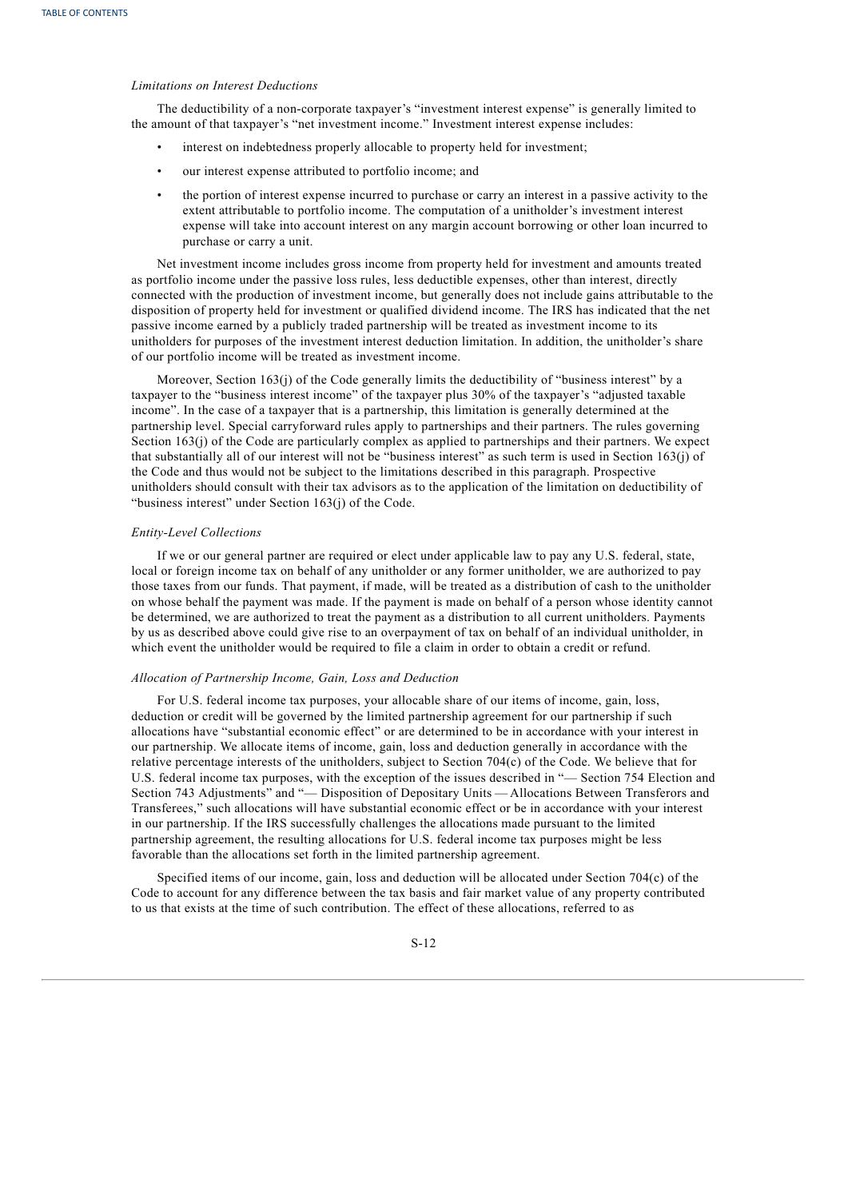# *Limitations on Interest Deductions*

The deductibility of a non-corporate taxpayer's "investment interest expense" is generally limited to the amount of that taxpayer's "net investment income." Investment interest expense includes:

- interest on indebtedness properly allocable to property held for investment;
- our interest expense attributed to portfolio income; and
- the portion of interest expense incurred to purchase or carry an interest in a passive activity to the extent attributable to portfolio income. The computation of a unitholder's investment interest expense will take into account interest on any margin account borrowing or other loan incurred to purchase or carry a unit.

Net investment income includes gross income from property held for investment and amounts treated as portfolio income under the passive loss rules, less deductible expenses, other than interest, directly connected with the production of investment income, but generally does not include gains attributable to the disposition of property held for investment or qualified dividend income. The IRS has indicated that the net passive income earned by a publicly traded partnership will be treated as investment income to its unitholders for purposes of the investment interest deduction limitation. In addition, the unitholder's share of our portfolio income will be treated as investment income.

Moreover, Section  $163(j)$  of the Code generally limits the deductibility of "business interest" by a taxpayer to the "business interest income" of the taxpayer plus 30% of the taxpayer's "adjusted taxable income". In the case of a taxpayer that is a partnership, this limitation is generally determined at the partnership level. Special carryforward rules apply to partnerships and their partners. The rules governing Section 163(j) of the Code are particularly complex as applied to partnerships and their partners. We expect that substantially all of our interest will not be "business interest" as such term is used in Section 163(j) of the Code and thus would not be subject to the limitations described in this paragraph. Prospective unitholders should consult with their tax advisors as to the application of the limitation on deductibility of "business interest" under Section 163(j) of the Code.

#### *Entity-Level Collections*

If we or our general partner are required or elect under applicable law to pay any U.S. federal, state, local or foreign income tax on behalf of any unitholder or any former unitholder, we are authorized to pay those taxes from our funds. That payment, if made, will be treated as a distribution of cash to the unitholder on whose behalf the payment was made. If the payment is made on behalf of a person whose identity cannot be determined, we are authorized to treat the payment as a distribution to all current unitholders. Payments by us as described above could give rise to an overpayment of tax on behalf of an individual unitholder, in which event the unitholder would be required to file a claim in order to obtain a credit or refund.

# *Allocation of Partnership Income, Gain, Loss and Deduction*

For U.S. federal income tax purposes, your allocable share of our items of income, gain, loss, deduction or credit will be governed by the limited partnership agreement for our partnership if such allocations have "substantial economic effect" or are determined to be in accordance with your interest in our partnership. We allocate items of income, gain, loss and deduction generally in accordance with the relative percentage interests of the unitholders, subject to Section 704(c) of the Code. We believe that for U.S. federal income tax purposes, with the exception of the issues described in "— Section 754 Election and Section 743 Adjustments" and "— Disposition of Depositary Units — Allocations Between Transferors and Transferees," such allocations will have substantial economic effect or be in accordance with your interest in our partnership. If the IRS successfully challenges the allocations made pursuant to the limited partnership agreement, the resulting allocations for U.S. federal income tax purposes might be less favorable than the allocations set forth in the limited partnership agreement.

Specified items of our income, gain, loss and deduction will be allocated under Section 704(c) of the Code to account for any difference between the tax basis and fair market value of any property contributed to us that exists at the time of such contribution. The effect of these allocations, referred to as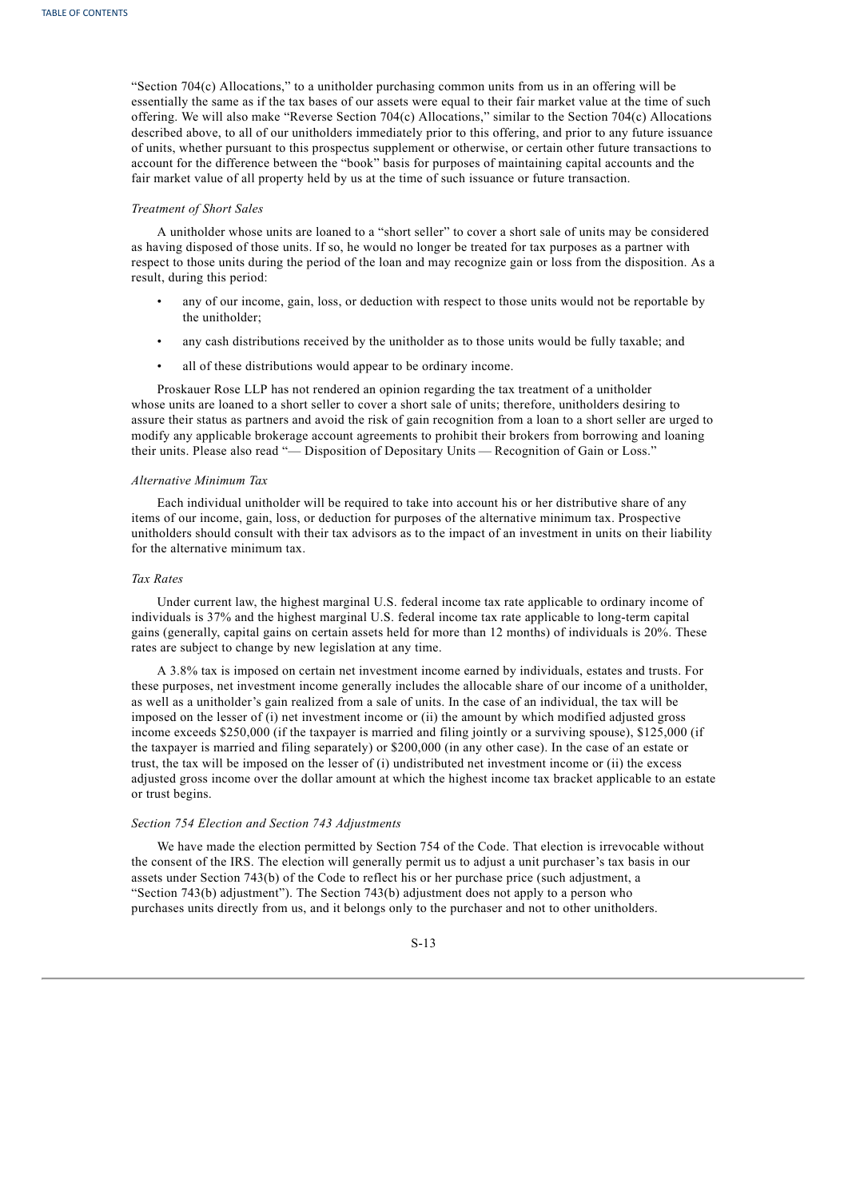"Section 704(c) Allocations," to a unitholder purchasing common units from us in an offering will be essentially the same as if the tax bases of our assets were equal to their fair market value at the time of such offering. We will also make "Reverse Section 704(c) Allocations," similar to the Section 704(c) Allocations described above, to all of our unitholders immediately prior to this offering, and prior to any future issuance of units, whether pursuant to this prospectus supplement or otherwise, or certain other future transactions to account for the difference between the "book" basis for purposes of maintaining capital accounts and the fair market value of all property held by us at the time of such issuance or future transaction.

## *Treatment of Short Sales*

A unitholder whose units are loaned to a "short seller" to cover a short sale of units may be considered as having disposed of those units. If so, he would no longer be treated for tax purposes as a partner with respect to those units during the period of the loan and may recognize gain or loss from the disposition. As a result, during this period:

- any of our income, gain, loss, or deduction with respect to those units would not be reportable by the unitholder;
- any cash distributions received by the unitholder as to those units would be fully taxable; and
- all of these distributions would appear to be ordinary income.

Proskauer Rose LLP has not rendered an opinion regarding the tax treatment of a unitholder whose units are loaned to a short seller to cover a short sale of units; therefore, unitholders desiring to assure their status as partners and avoid the risk of gain recognition from a loan to a short seller are urged to modify any applicable brokerage account agreements to prohibit their brokers from borrowing and loaning their units. Please also read "— Disposition of Depositary Units — Recognition of Gain or Loss."

#### *Alternative Minimum Tax*

Each individual unitholder will be required to take into account his or her distributive share of any items of our income, gain, loss, or deduction for purposes of the alternative minimum tax. Prospective unitholders should consult with their tax advisors as to the impact of an investment in units on their liability for the alternative minimum tax.

## *Tax Rates*

Under current law, the highest marginal U.S. federal income tax rate applicable to ordinary income of individuals is 37% and the highest marginal U.S. federal income tax rate applicable to long-term capital gains (generally, capital gains on certain assets held for more than 12 months) of individuals is 20%. These rates are subject to change by new legislation at any time.

A 3.8% tax is imposed on certain net investment income earned by individuals, estates and trusts. For these purposes, net investment income generally includes the allocable share of our income of a unitholder, as well as a unitholder's gain realized from a sale of units. In the case of an individual, the tax will be imposed on the lesser of (i) net investment income or (ii) the amount by which modified adjusted gross income exceeds \$250,000 (if the taxpayer is married and filing jointly or a surviving spouse), \$125,000 (if the taxpayer is married and filing separately) or \$200,000 (in any other case). In the case of an estate or trust, the tax will be imposed on the lesser of (i) undistributed net investment income or (ii) the excess adjusted gross income over the dollar amount at which the highest income tax bracket applicable to an estate or trust begins.

# *Section 754 Election and Section 743 Adjustments*

We have made the election permitted by Section 754 of the Code. That election is irrevocable without the consent of the IRS. The election will generally permit us to adjust a unit purchaser's tax basis in our assets under Section 743(b) of the Code to reflect his or her purchase price (such adjustment, a "Section 743(b) adjustment"). The Section 743(b) adjustment does not apply to a person who purchases units directly from us, and it belongs only to the purchaser and not to other unitholders.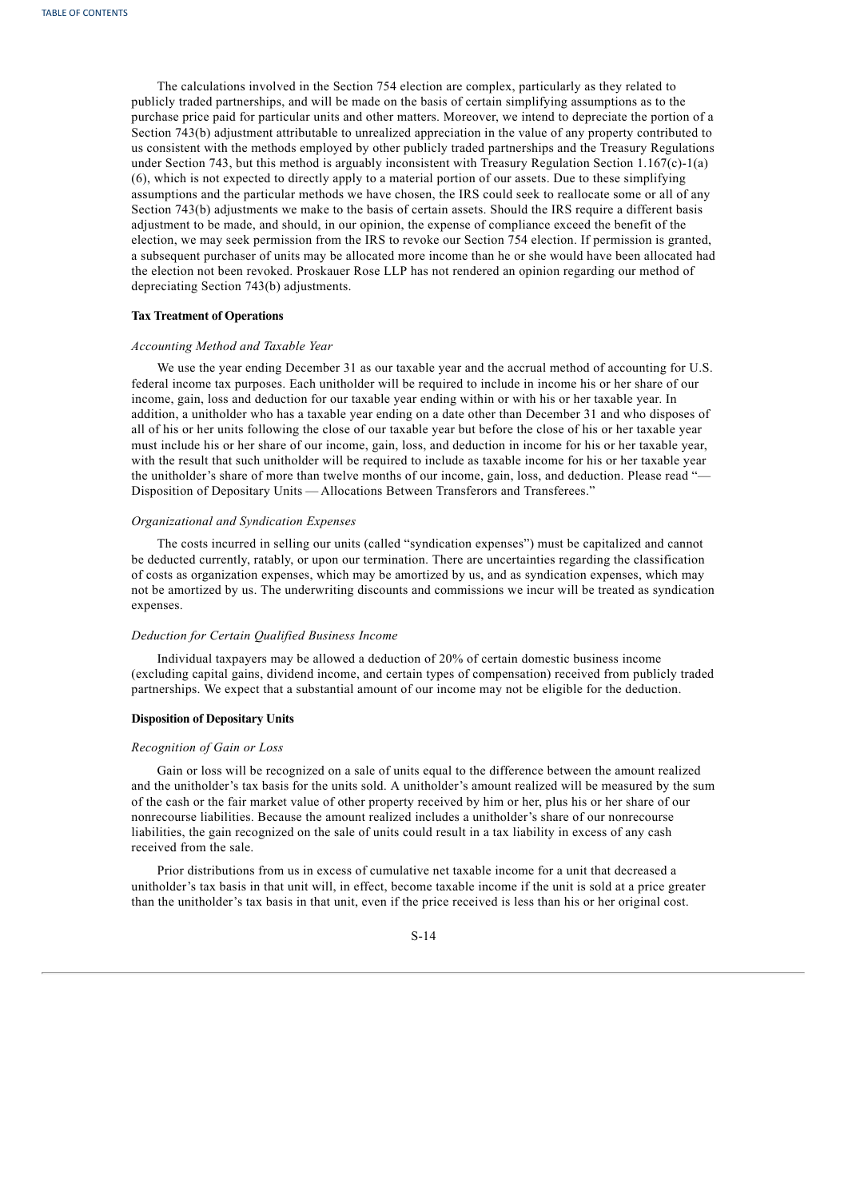The calculations involved in the Section 754 election are complex, particularly as they related to publicly traded partnerships, and will be made on the basis of certain simplifying assumptions as to the purchase price paid for particular units and other matters. Moreover, we intend to depreciate the portion of a Section 743(b) adjustment attributable to unrealized appreciation in the value of any property contributed to us consistent with the methods employed by other publicly traded partnerships and the Treasury Regulations under Section 743, but this method is arguably inconsistent with Treasury Regulation Section 1.167 $(c)$ -1(a) (6), which is not expected to directly apply to a material portion of our assets. Due to these simplifying assumptions and the particular methods we have chosen, the IRS could seek to reallocate some or all of any Section 743(b) adjustments we make to the basis of certain assets. Should the IRS require a different basis adjustment to be made, and should, in our opinion, the expense of compliance exceed the benefit of the election, we may seek permission from the IRS to revoke our Section 754 election. If permission is granted, a subsequent purchaser of units may be allocated more income than he or she would have been allocated had the election not been revoked. Proskauer Rose LLP has not rendered an opinion regarding our method of depreciating Section 743(b) adjustments.

#### **Tax Treatment of Operations**

#### *Accounting Method and Taxable Year*

We use the year ending December 31 as our taxable year and the accrual method of accounting for U.S. federal income tax purposes. Each unitholder will be required to include in income his or her share of our income, gain, loss and deduction for our taxable year ending within or with his or her taxable year. In addition, a unitholder who has a taxable year ending on a date other than December 31 and who disposes of all of his or her units following the close of our taxable year but before the close of his or her taxable year must include his or her share of our income, gain, loss, and deduction in income for his or her taxable year, with the result that such unitholder will be required to include as taxable income for his or her taxable year the unitholder's share of more than twelve months of our income, gain, loss, and deduction. Please read "— Disposition of Depositary Units — Allocations Between Transferors and Transferees."

# *Organizational and Syndication Expenses*

The costs incurred in selling our units (called "syndication expenses") must be capitalized and cannot be deducted currently, ratably, or upon our termination. There are uncertainties regarding the classification of costs as organization expenses, which may be amortized by us, and as syndication expenses, which may not be amortized by us. The underwriting discounts and commissions we incur will be treated as syndication expenses.

## *Deduction for Certain Qualified Business Income*

Individual taxpayers may be allowed a deduction of 20% of certain domestic business income (excluding capital gains, dividend income, and certain types of compensation) received from publicly traded partnerships. We expect that a substantial amount of our income may not be eligible for the deduction.

#### **Disposition of Depositary Units**

# *Recognition of Gain or Loss*

Gain or loss will be recognized on a sale of units equal to the difference between the amount realized and the unitholder's tax basis for the units sold. A unitholder's amount realized will be measured by the sum of the cash or the fair market value of other property received by him or her, plus his or her share of our nonrecourse liabilities. Because the amount realized includes a unitholder's share of our nonrecourse liabilities, the gain recognized on the sale of units could result in a tax liability in excess of any cash received from the sale.

Prior distributions from us in excess of cumulative net taxable income for a unit that decreased a unitholder's tax basis in that unit will, in effect, become taxable income if the unit is sold at a price greater than the unitholder's tax basis in that unit, even if the price received is less than his or her original cost.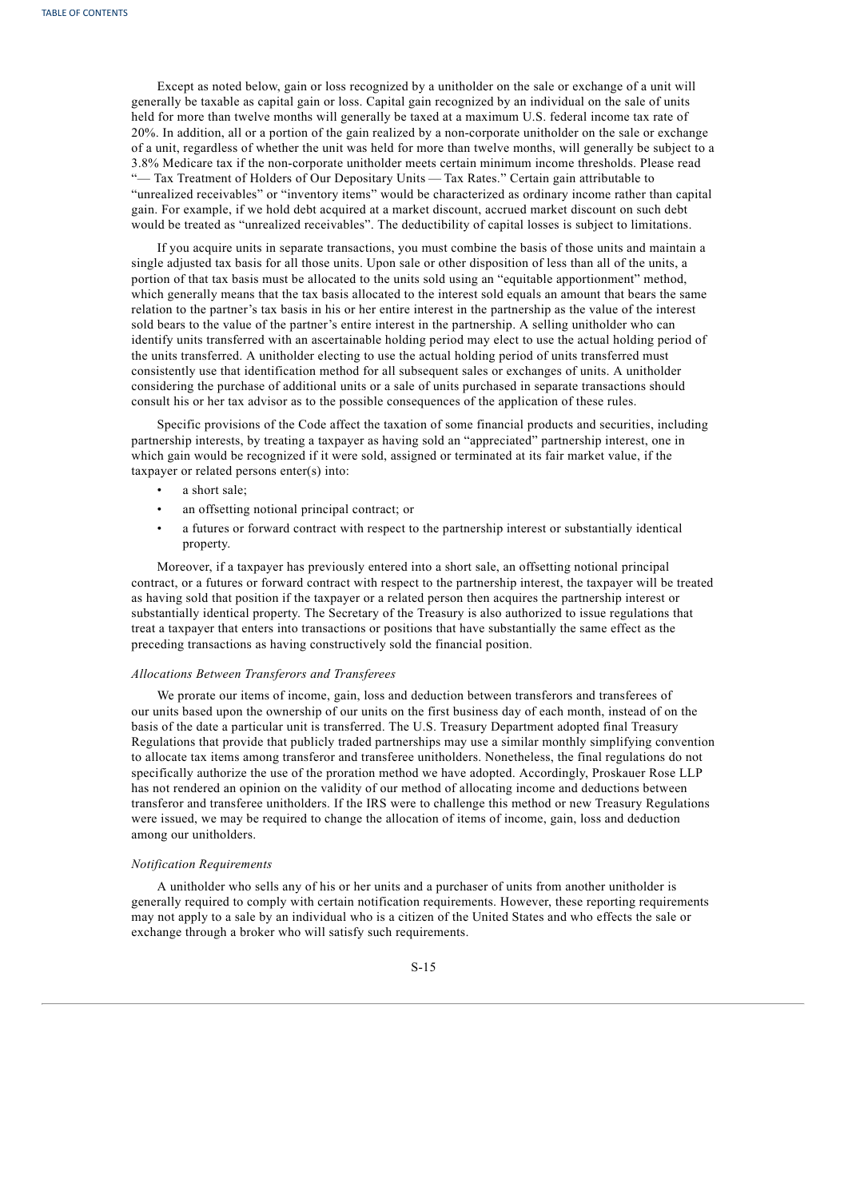Except as noted below, gain or loss recognized by a unitholder on the sale or exchange of a unit will generally be taxable as capital gain or loss. Capital gain recognized by an individual on the sale of units held for more than twelve months will generally be taxed at a maximum U.S. federal income tax rate of 20%. In addition, all or a portion of the gain realized by a non-corporate unitholder on the sale or exchange of a unit, regardless of whether the unit was held for more than twelve months, will generally be subject to a 3.8% Medicare tax if the non-corporate unitholder meets certain minimum income thresholds. Please read "— Tax Treatment of Holders of Our Depositary Units — Tax Rates." Certain gain attributable to "unrealized receivables" or "inventory items" would be characterized as ordinary income rather than capital gain. For example, if we hold debt acquired at a market discount, accrued market discount on such debt would be treated as "unrealized receivables". The deductibility of capital losses is subject to limitations.

If you acquire units in separate transactions, you must combine the basis of those units and maintain a single adjusted tax basis for all those units. Upon sale or other disposition of less than all of the units, a portion of that tax basis must be allocated to the units sold using an "equitable apportionment" method, which generally means that the tax basis allocated to the interest sold equals an amount that bears the same relation to the partner's tax basis in his or her entire interest in the partnership as the value of the interest sold bears to the value of the partner's entire interest in the partnership. A selling unitholder who can identify units transferred with an ascertainable holding period may elect to use the actual holding period of the units transferred. A unitholder electing to use the actual holding period of units transferred must consistently use that identification method for all subsequent sales or exchanges of units. A unitholder considering the purchase of additional units or a sale of units purchased in separate transactions should consult his or her tax advisor as to the possible consequences of the application of these rules.

Specific provisions of the Code affect the taxation of some financial products and securities, including partnership interests, by treating a taxpayer as having sold an "appreciated" partnership interest, one in which gain would be recognized if it were sold, assigned or terminated at its fair market value, if the taxpayer or related persons enter(s) into:

- a short sale;
- an offsetting notional principal contract; or
- a futures or forward contract with respect to the partnership interest or substantially identical property.

Moreover, if a taxpayer has previously entered into a short sale, an offsetting notional principal contract, or a futures or forward contract with respect to the partnership interest, the taxpayer will be treated as having sold that position if the taxpayer or a related person then acquires the partnership interest or substantially identical property. The Secretary of the Treasury is also authorized to issue regulations that treat a taxpayer that enters into transactions or positions that have substantially the same effect as the preceding transactions as having constructively sold the financial position.

#### *Allocations Between Transferors and Transferees*

We prorate our items of income, gain, loss and deduction between transferors and transferees of our units based upon the ownership of our units on the first business day of each month, instead of on the basis of the date a particular unit is transferred. The U.S. Treasury Department adopted final Treasury Regulations that provide that publicly traded partnerships may use a similar monthly simplifying convention to allocate tax items among transferor and transferee unitholders. Nonetheless, the final regulations do not specifically authorize the use of the proration method we have adopted. Accordingly, Proskauer Rose LLP has not rendered an opinion on the validity of our method of allocating income and deductions between transferor and transferee unitholders. If the IRS were to challenge this method or new Treasury Regulations were issued, we may be required to change the allocation of items of income, gain, loss and deduction among our unitholders.

# *Notification Requirements*

A unitholder who sells any of his or her units and a purchaser of units from another unitholder is generally required to comply with certain notification requirements. However, these reporting requirements may not apply to a sale by an individual who is a citizen of the United States and who effects the sale or exchange through a broker who will satisfy such requirements.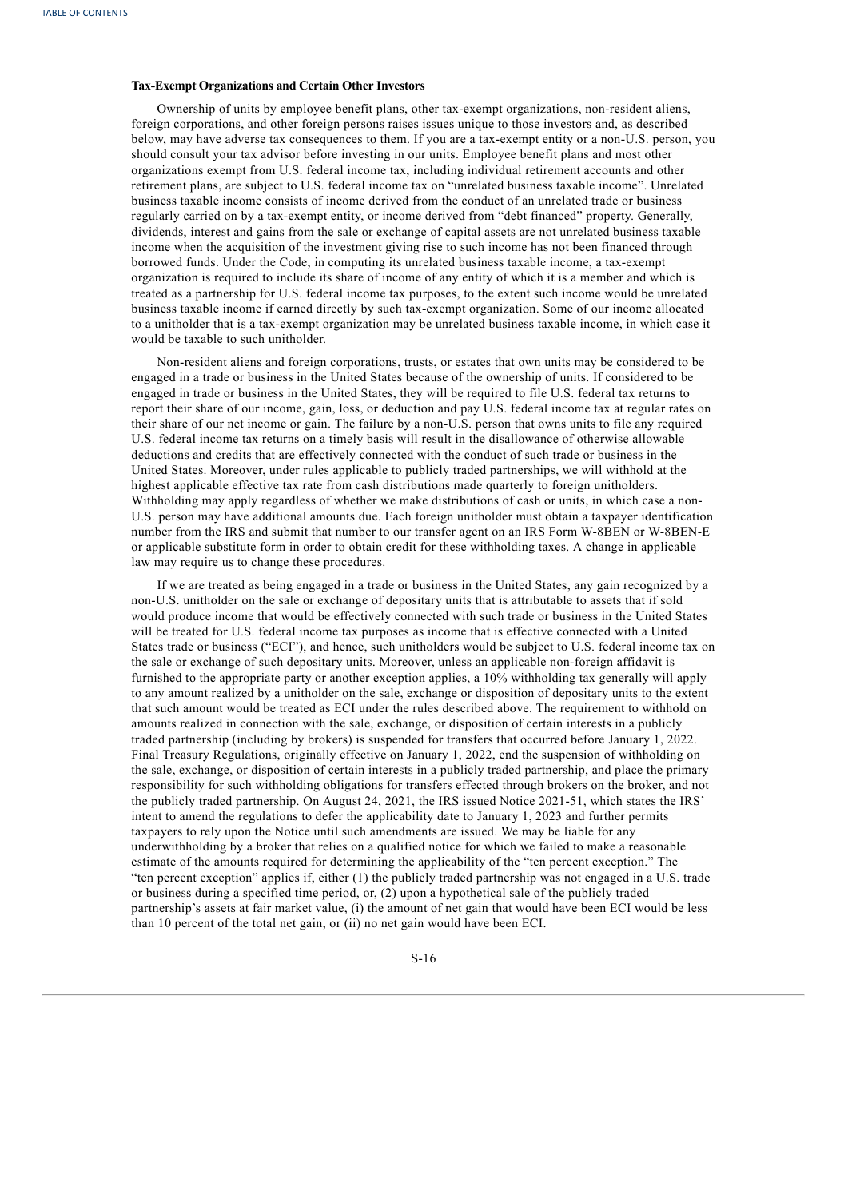# **Tax-Exempt Organizations and Certain Other Investors**

Ownership of units by employee benefit plans, other tax-exempt organizations, non-resident aliens, foreign corporations, and other foreign persons raises issues unique to those investors and, as described below, may have adverse tax consequences to them. If you are a tax-exempt entity or a non-U.S. person, you should consult your tax advisor before investing in our units. Employee benefit plans and most other organizations exempt from U.S. federal income tax, including individual retirement accounts and other retirement plans, are subject to U.S. federal income tax on "unrelated business taxable income". Unrelated business taxable income consists of income derived from the conduct of an unrelated trade or business regularly carried on by a tax-exempt entity, or income derived from "debt financed" property. Generally, dividends, interest and gains from the sale or exchange of capital assets are not unrelated business taxable income when the acquisition of the investment giving rise to such income has not been financed through borrowed funds. Under the Code, in computing its unrelated business taxable income, a tax-exempt organization is required to include its share of income of any entity of which it is a member and which is treated as a partnership for U.S. federal income tax purposes, to the extent such income would be unrelated business taxable income if earned directly by such tax-exempt organization. Some of our income allocated to a unitholder that is a tax-exempt organization may be unrelated business taxable income, in which case it would be taxable to such unitholder.

Non-resident aliens and foreign corporations, trusts, or estates that own units may be considered to be engaged in a trade or business in the United States because of the ownership of units. If considered to be engaged in trade or business in the United States, they will be required to file U.S. federal tax returns to report their share of our income, gain, loss, or deduction and pay U.S. federal income tax at regular rates on their share of our net income or gain. The failure by a non-U.S. person that owns units to file any required U.S. federal income tax returns on a timely basis will result in the disallowance of otherwise allowable deductions and credits that are effectively connected with the conduct of such trade or business in the United States. Moreover, under rules applicable to publicly traded partnerships, we will withhold at the highest applicable effective tax rate from cash distributions made quarterly to foreign unitholders. Withholding may apply regardless of whether we make distributions of cash or units, in which case a non-U.S. person may have additional amounts due. Each foreign unitholder must obtain a taxpayer identification number from the IRS and submit that number to our transfer agent on an IRS Form W-8BEN or W-8BEN-E or applicable substitute form in order to obtain credit for these withholding taxes. A change in applicable law may require us to change these procedures.

If we are treated as being engaged in a trade or business in the United States, any gain recognized by a non-U.S. unitholder on the sale or exchange of depositary units that is attributable to assets that if sold would produce income that would be effectively connected with such trade or business in the United States will be treated for U.S. federal income tax purposes as income that is effective connected with a United States trade or business ("ECI"), and hence, such unitholders would be subject to U.S. federal income tax on the sale or exchange of such depositary units. Moreover, unless an applicable non-foreign affidavit is furnished to the appropriate party or another exception applies, a 10% withholding tax generally will apply to any amount realized by a unitholder on the sale, exchange or disposition of depositary units to the extent that such amount would be treated as ECI under the rules described above. The requirement to withhold on amounts realized in connection with the sale, exchange, or disposition of certain interests in a publicly traded partnership (including by brokers) is suspended for transfers that occurred before January 1, 2022. Final Treasury Regulations, originally effective on January 1, 2022, end the suspension of withholding on the sale, exchange, or disposition of certain interests in a publicly traded partnership, and place the primary responsibility for such withholding obligations for transfers effected through brokers on the broker, and not the publicly traded partnership. On August 24, 2021, the IRS issued Notice 2021-51, which states the IRS' intent to amend the regulations to defer the applicability date to January 1, 2023 and further permits taxpayers to rely upon the Notice until such amendments are issued. We may be liable for any underwithholding by a broker that relies on a qualified notice for which we failed to make a reasonable estimate of the amounts required for determining the applicability of the "ten percent exception." The "ten percent exception" applies if, either (1) the publicly traded partnership was not engaged in a U.S. trade or business during a specified time period, or, (2) upon a hypothetical sale of the publicly traded partnership's assets at fair market value, (i) the amount of net gain that would have been ECI would be less than 10 percent of the total net gain, or (ii) no net gain would have been ECI.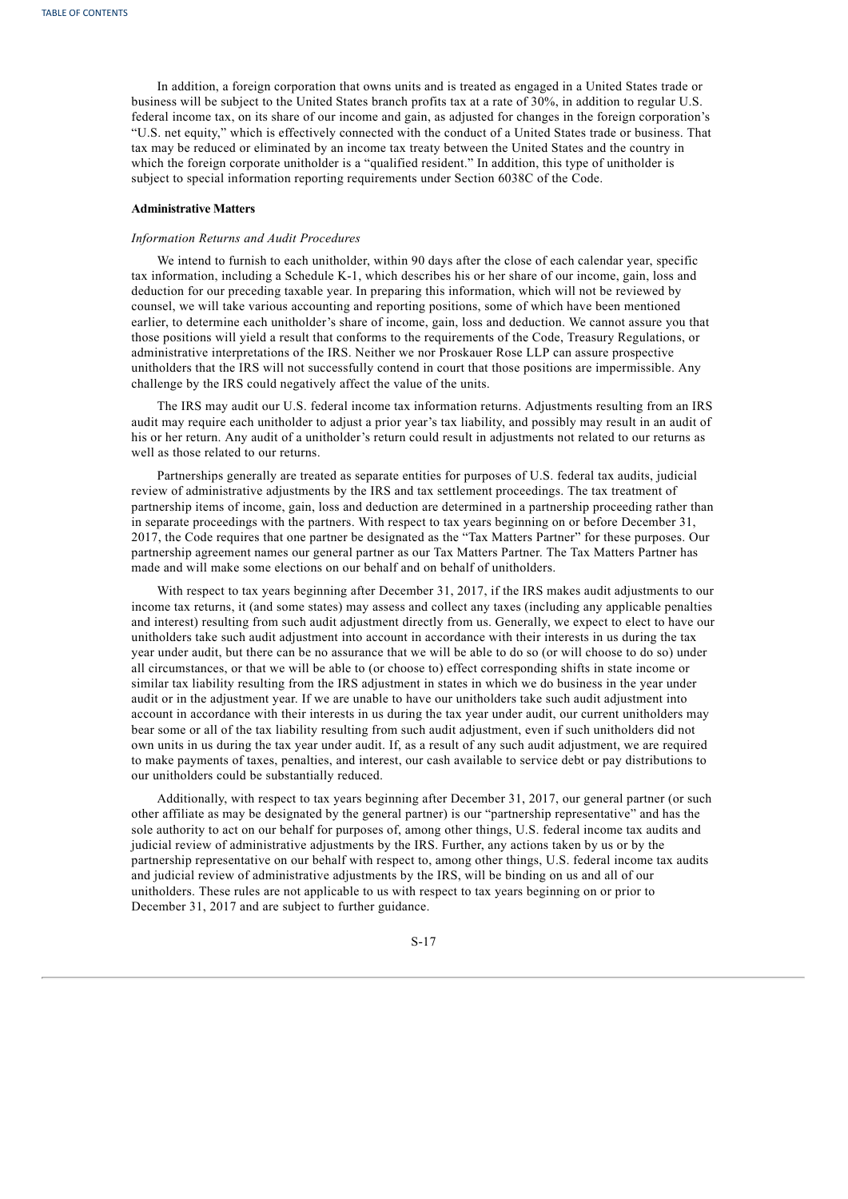In addition, a foreign corporation that owns units and is treated as engaged in a United States trade or business will be subject to the United States branch profits tax at a rate of 30%, in addition to regular U.S. federal income tax, on its share of our income and gain, as adjusted for changes in the foreign corporation's "U.S. net equity," which is effectively connected with the conduct of a United States trade or business. That tax may be reduced or eliminated by an income tax treaty between the United States and the country in which the foreign corporate unitholder is a "qualified resident." In addition, this type of unitholder is subject to special information reporting requirements under Section 6038C of the Code.

# **Administrative Matters**

#### *Information Returns and Audit Procedures*

We intend to furnish to each unitholder, within 90 days after the close of each calendar year, specific tax information, including a Schedule K-1, which describes his or her share of our income, gain, loss and deduction for our preceding taxable year. In preparing this information, which will not be reviewed by counsel, we will take various accounting and reporting positions, some of which have been mentioned earlier, to determine each unitholder's share of income, gain, loss and deduction. We cannot assure you that those positions will yield a result that conforms to the requirements of the Code, Treasury Regulations, or administrative interpretations of the IRS. Neither we nor Proskauer Rose LLP can assure prospective unitholders that the IRS will not successfully contend in court that those positions are impermissible. Any challenge by the IRS could negatively affect the value of the units.

The IRS may audit our U.S. federal income tax information returns. Adjustments resulting from an IRS audit may require each unitholder to adjust a prior year's tax liability, and possibly may result in an audit of his or her return. Any audit of a unitholder's return could result in adjustments not related to our returns as well as those related to our returns.

Partnerships generally are treated as separate entities for purposes of U.S. federal tax audits, judicial review of administrative adjustments by the IRS and tax settlement proceedings. The tax treatment of partnership items of income, gain, loss and deduction are determined in a partnership proceeding rather than in separate proceedings with the partners. With respect to tax years beginning on or before December 31, 2017, the Code requires that one partner be designated as the "Tax Matters Partner" for these purposes. Our partnership agreement names our general partner as our Tax Matters Partner. The Tax Matters Partner has made and will make some elections on our behalf and on behalf of unitholders.

With respect to tax years beginning after December 31, 2017, if the IRS makes audit adjustments to our income tax returns, it (and some states) may assess and collect any taxes (including any applicable penalties and interest) resulting from such audit adjustment directly from us. Generally, we expect to elect to have our unitholders take such audit adjustment into account in accordance with their interests in us during the tax year under audit, but there can be no assurance that we will be able to do so (or will choose to do so) under all circumstances, or that we will be able to (or choose to) effect corresponding shifts in state income or similar tax liability resulting from the IRS adjustment in states in which we do business in the year under audit or in the adjustment year. If we are unable to have our unitholders take such audit adjustment into account in accordance with their interests in us during the tax year under audit, our current unitholders may bear some or all of the tax liability resulting from such audit adjustment, even if such unitholders did not own units in us during the tax year under audit. If, as a result of any such audit adjustment, we are required to make payments of taxes, penalties, and interest, our cash available to service debt or pay distributions to our unitholders could be substantially reduced.

Additionally, with respect to tax years beginning after December 31, 2017, our general partner (or such other affiliate as may be designated by the general partner) is our "partnership representative" and has the sole authority to act on our behalf for purposes of, among other things, U.S. federal income tax audits and judicial review of administrative adjustments by the IRS. Further, any actions taken by us or by the partnership representative on our behalf with respect to, among other things, U.S. federal income tax audits and judicial review of administrative adjustments by the IRS, will be binding on us and all of our unitholders. These rules are not applicable to us with respect to tax years beginning on or prior to December 31, 2017 and are subject to further guidance.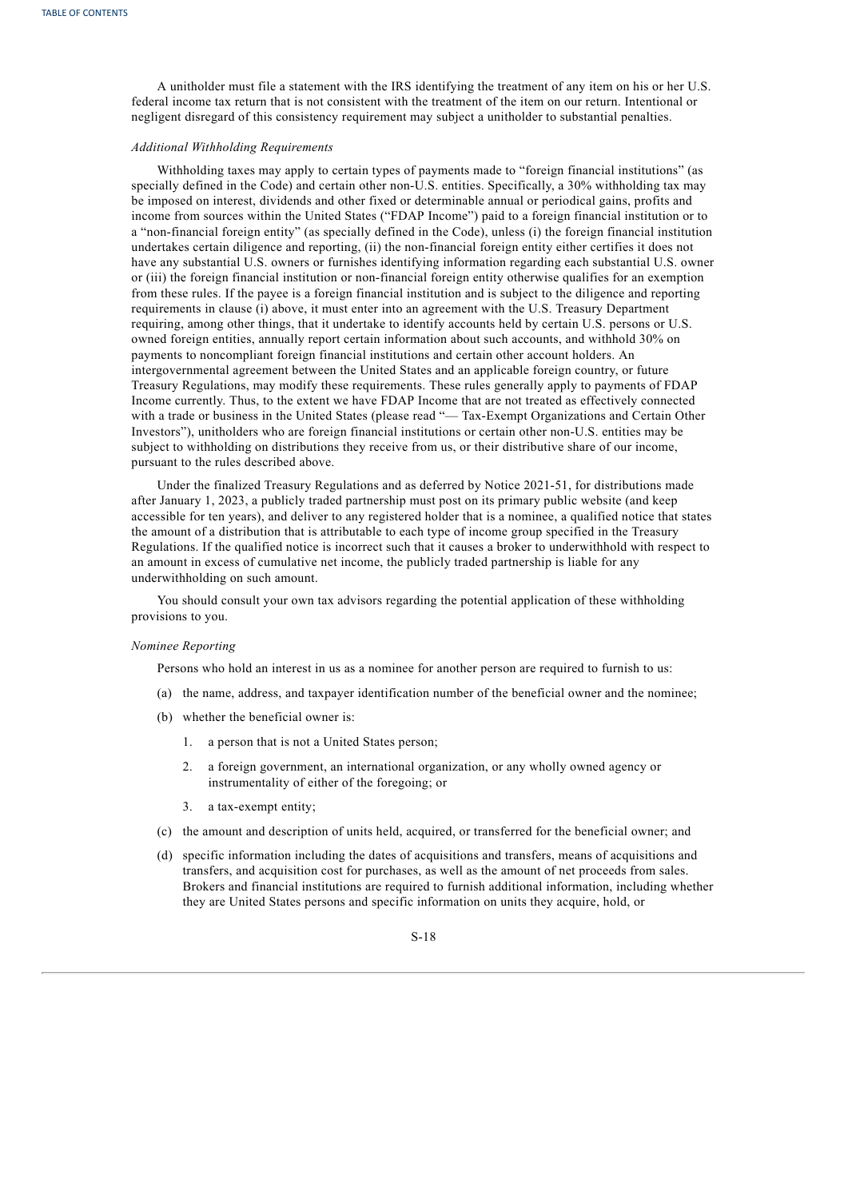A unitholder must file a statement with the IRS identifying the treatment of any item on his or her U.S. federal income tax return that is not consistent with the treatment of the item on our return. Intentional or negligent disregard of this consistency requirement may subject a unitholder to substantial penalties.

# *Additional Withholding Requirements*

Withholding taxes may apply to certain types of payments made to "foreign financial institutions" (as specially defined in the Code) and certain other non-U.S. entities. Specifically, a 30% withholding tax may be imposed on interest, dividends and other fixed or determinable annual or periodical gains, profits and income from sources within the United States ("FDAP Income") paid to a foreign financial institution or to a "non-financial foreign entity" (as specially defined in the Code), unless (i) the foreign financial institution undertakes certain diligence and reporting, (ii) the non-financial foreign entity either certifies it does not have any substantial U.S. owners or furnishes identifying information regarding each substantial U.S. owner or (iii) the foreign financial institution or non-financial foreign entity otherwise qualifies for an exemption from these rules. If the payee is a foreign financial institution and is subject to the diligence and reporting requirements in clause (i) above, it must enter into an agreement with the U.S. Treasury Department requiring, among other things, that it undertake to identify accounts held by certain U.S. persons or U.S. owned foreign entities, annually report certain information about such accounts, and withhold 30% on payments to noncompliant foreign financial institutions and certain other account holders. An intergovernmental agreement between the United States and an applicable foreign country, or future Treasury Regulations, may modify these requirements. These rules generally apply to payments of FDAP Income currently. Thus, to the extent we have FDAP Income that are not treated as effectively connected with a trade or business in the United States (please read "— Tax-Exempt Organizations and Certain Other Investors"), unitholders who are foreign financial institutions or certain other non-U.S. entities may be subject to withholding on distributions they receive from us, or their distributive share of our income, pursuant to the rules described above.

Under the finalized Treasury Regulations and as deferred by Notice 2021-51, for distributions made after January 1, 2023, a publicly traded partnership must post on its primary public website (and keep accessible for ten years), and deliver to any registered holder that is a nominee, a qualified notice that states the amount of a distribution that is attributable to each type of income group specified in the Treasury Regulations. If the qualified notice is incorrect such that it causes a broker to underwithhold with respect to an amount in excess of cumulative net income, the publicly traded partnership is liable for any underwithholding on such amount.

You should consult your own tax advisors regarding the potential application of these withholding provisions to you.

## *Nominee Reporting*

Persons who hold an interest in us as a nominee for another person are required to furnish to us:

- (a) the name, address, and taxpayer identification number of the beneficial owner and the nominee;
- (b) whether the beneficial owner is:
	- 1. a person that is not a United States person;
	- 2. a foreign government, an international organization, or any wholly owned agency or instrumentality of either of the foregoing; or
	- 3. a tax-exempt entity;
- (c) the amount and description of units held, acquired, or transferred for the beneficial owner; and
- (d) specific information including the dates of acquisitions and transfers, means of acquisitions and transfers, and acquisition cost for purchases, as well as the amount of net proceeds from sales. Brokers and financial institutions are required to furnish additional information, including whether they are United States persons and specific information on units they acquire, hold, or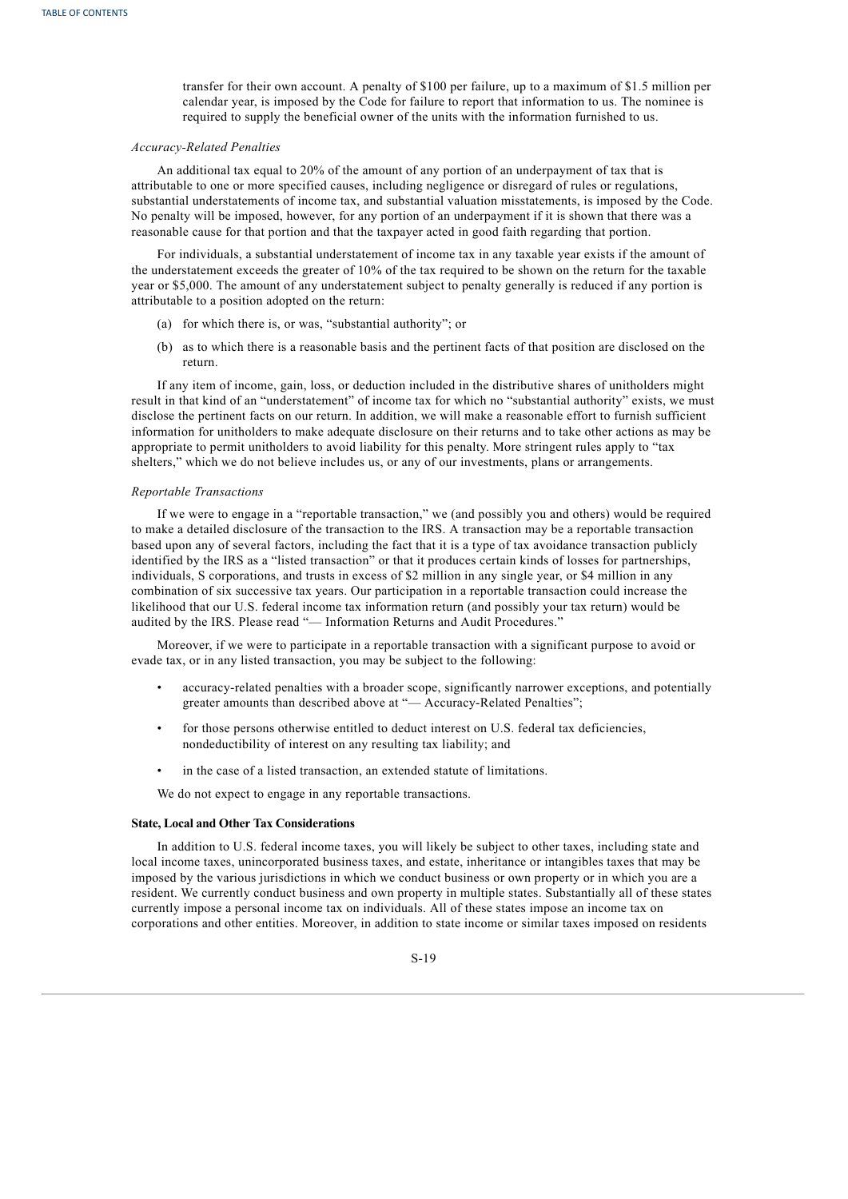transfer for their own account. A penalty of \$100 per failure, up to a maximum of \$1.5 million per calendar year, is imposed by the Code for failure to report that information to us. The nominee is required to supply the beneficial owner of the units with the information furnished to us.

# *Accuracy-Related Penalties*

An additional tax equal to 20% of the amount of any portion of an underpayment of tax that is attributable to one or more specified causes, including negligence or disregard of rules or regulations, substantial understatements of income tax, and substantial valuation misstatements, is imposed by the Code. No penalty will be imposed, however, for any portion of an underpayment if it is shown that there was a reasonable cause for that portion and that the taxpayer acted in good faith regarding that portion.

For individuals, a substantial understatement of income tax in any taxable year exists if the amount of the understatement exceeds the greater of 10% of the tax required to be shown on the return for the taxable year or \$5,000. The amount of any understatement subject to penalty generally is reduced if any portion is attributable to a position adopted on the return:

- (a) for which there is, or was, "substantial authority"; or
- (b) as to which there is a reasonable basis and the pertinent facts of that position are disclosed on the return.

If any item of income, gain, loss, or deduction included in the distributive shares of unitholders might result in that kind of an "understatement" of income tax for which no "substantial authority" exists, we must disclose the pertinent facts on our return. In addition, we will make a reasonable effort to furnish sufficient information for unitholders to make adequate disclosure on their returns and to take other actions as may be appropriate to permit unitholders to avoid liability for this penalty. More stringent rules apply to "tax shelters," which we do not believe includes us, or any of our investments, plans or arrangements.

## *Reportable Transactions*

If we were to engage in a "reportable transaction," we (and possibly you and others) would be required to make a detailed disclosure of the transaction to the IRS. A transaction may be a reportable transaction based upon any of several factors, including the fact that it is a type of tax avoidance transaction publicly identified by the IRS as a "listed transaction" or that it produces certain kinds of losses for partnerships, individuals, S corporations, and trusts in excess of \$2 million in any single year, or \$4 million in any combination of six successive tax years. Our participation in a reportable transaction could increase the likelihood that our U.S. federal income tax information return (and possibly your tax return) would be audited by the IRS. Please read "— Information Returns and Audit Procedures."

Moreover, if we were to participate in a reportable transaction with a significant purpose to avoid or evade tax, or in any listed transaction, you may be subject to the following:

- accuracy-related penalties with a broader scope, significantly narrower exceptions, and potentially greater amounts than described above at "— Accuracy-Related Penalties";
- for those persons otherwise entitled to deduct interest on U.S. federal tax deficiencies, nondeductibility of interest on any resulting tax liability; and
- in the case of a listed transaction, an extended statute of limitations.

We do not expect to engage in any reportable transactions.

# **State, Local and Other Tax Considerations**

In addition to U.S. federal income taxes, you will likely be subject to other taxes, including state and local income taxes, unincorporated business taxes, and estate, inheritance or intangibles taxes that may be imposed by the various jurisdictions in which we conduct business or own property or in which you are a resident. We currently conduct business and own property in multiple states. Substantially all of these states currently impose a personal income tax on individuals. All of these states impose an income tax on corporations and other entities. Moreover, in addition to state income or similar taxes imposed on residents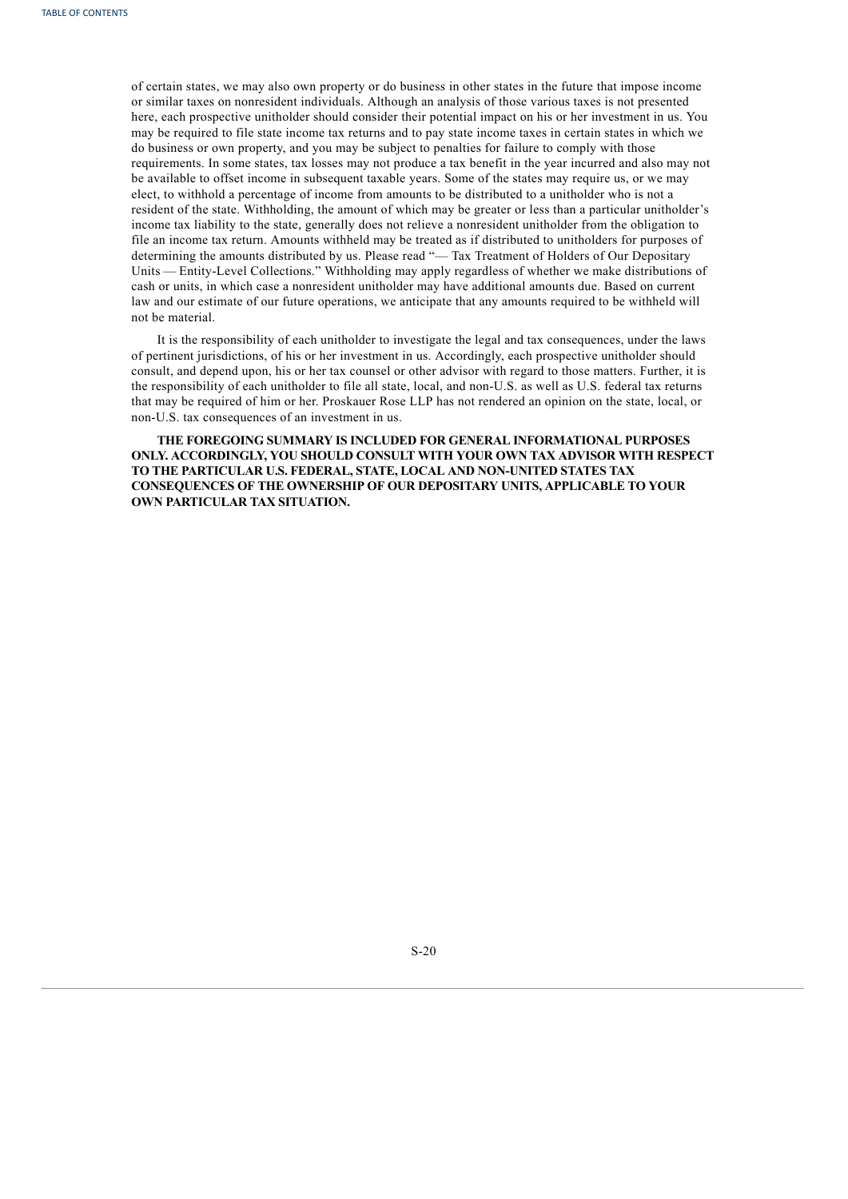of certain states, we may also own property or do business in other states in the future that impose income or similar taxes on nonresident individuals. Although an analysis of those various taxes is not presented here, each prospective unitholder should consider their potential impact on his or her investment in us. You may be required to file state income tax returns and to pay state income taxes in certain states in which we do business or own property, and you may be subject to penalties for failure to comply with those requirements. In some states, tax losses may not produce a tax benefit in the year incurred and also may not be available to offset income in subsequent taxable years. Some of the states may require us, or we may elect, to withhold a percentage of income from amounts to be distributed to a unitholder who is not a resident of the state. Withholding, the amount of which may be greater or less than a particular unitholder's income tax liability to the state, generally does not relieve a nonresident unitholder from the obligation to file an income tax return. Amounts withheld may be treated as if distributed to unitholders for purposes of determining the amounts distributed by us. Please read "— Tax Treatment of Holders of Our Depositary Units — Entity-Level Collections." Withholding may apply regardless of whether we make distributions of cash or units, in which case a nonresident unitholder may have additional amounts due. Based on current law and our estimate of our future operations, we anticipate that any amounts required to be withheld will not be material.

It is the responsibility of each unitholder to investigate the legal and tax consequences, under the laws of pertinent jurisdictions, of his or her investment in us. Accordingly, each prospective unitholder should consult, and depend upon, his or her tax counsel or other advisor with regard to those matters. Further, it is the responsibility of each unitholder to file all state, local, and non-U.S. as well as U.S. federal tax returns that may be required of him or her. Proskauer Rose LLP has not rendered an opinion on the state, local, or non-U.S. tax consequences of an investment in us.

<span id="page-21-0"></span>**THE FOREGOING SUMMARY IS INCLUDED FOR GENERAL INFORMATIONAL PURPOSES ONLY. ACCORDINGLY, YOU SHOULD CONSULT WITH YOUR OWN TAX ADVISOR WITH RESPECT TO THE PARTICULAR U.S. FEDERAL, STATE, LOCAL AND NON-UNITED STATES TAX CONSEQUENCES OF THE OWNERSHIP OF OUR DEPOSITARY UNITS, APPLICABLE TO YOUR OWN PARTICULAR TAX SITUATION.**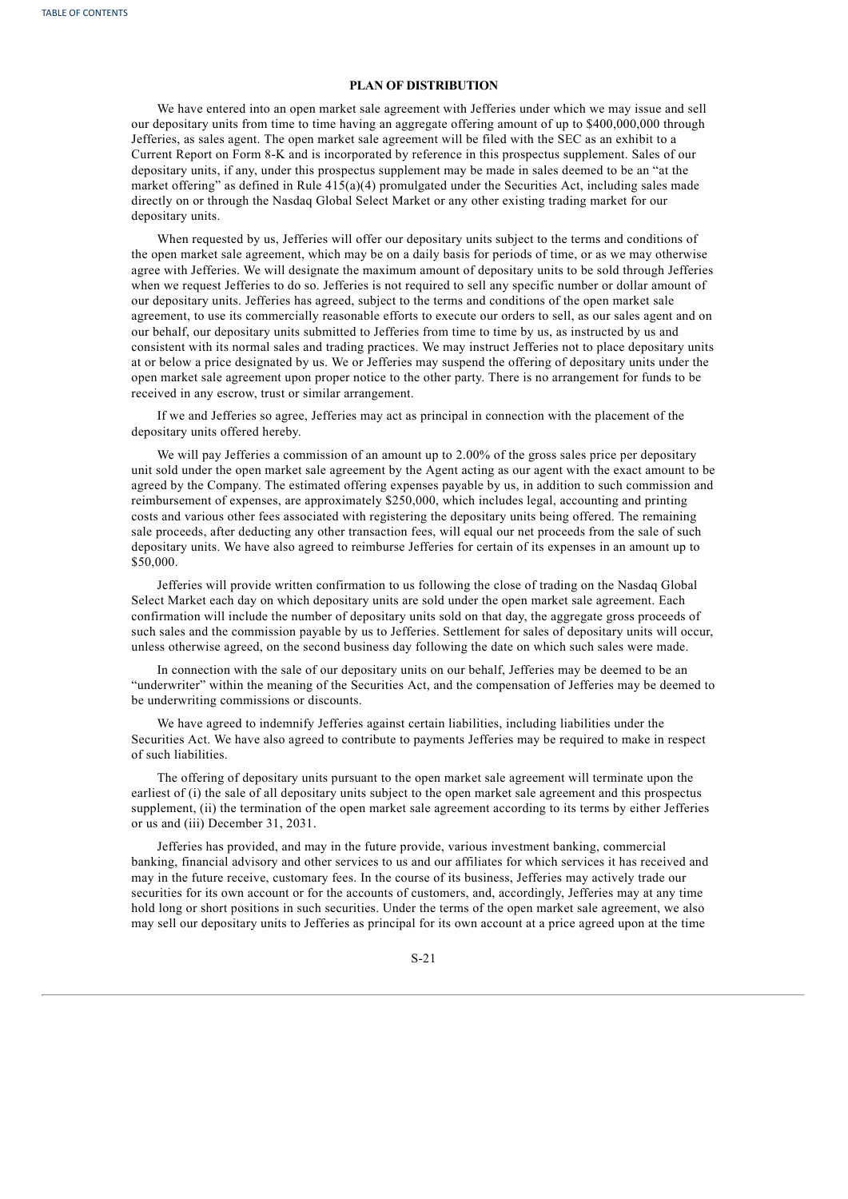# **PLAN OF DISTRIBUTION**

We have entered into an open market sale agreement with Jefferies under which we may issue and sell our depositary units from time to time having an aggregate offering amount of up to \$400,000,000 through Jefferies, as sales agent. The open market sale agreement will be filed with the SEC as an exhibit to a Current Report on Form 8-K and is incorporated by reference in this prospectus supplement. Sales of our depositary units, if any, under this prospectus supplement may be made in sales deemed to be an "at the market offering" as defined in Rule  $415(a)(4)$  promulgated under the Securities Act, including sales made directly on or through the Nasdaq Global Select Market or any other existing trading market for our depositary units.

When requested by us, Jefferies will offer our depositary units subject to the terms and conditions of the open market sale agreement, which may be on a daily basis for periods of time, or as we may otherwise agree with Jefferies. We will designate the maximum amount of depositary units to be sold through Jefferies when we request Jefferies to do so. Jefferies is not required to sell any specific number or dollar amount of our depositary units. Jefferies has agreed, subject to the terms and conditions of the open market sale agreement, to use its commercially reasonable efforts to execute our orders to sell, as our sales agent and on our behalf, our depositary units submitted to Jefferies from time to time by us, as instructed by us and consistent with its normal sales and trading practices. We may instruct Jefferies not to place depositary units at or below a price designated by us. We or Jefferies may suspend the offering of depositary units under the open market sale agreement upon proper notice to the other party. There is no arrangement for funds to be received in any escrow, trust or similar arrangement.

If we and Jefferies so agree, Jefferies may act as principal in connection with the placement of the depositary units offered hereby.

We will pay Jefferies a commission of an amount up to 2.00% of the gross sales price per depositary unit sold under the open market sale agreement by the Agent acting as our agent with the exact amount to be agreed by the Company. The estimated offering expenses payable by us, in addition to such commission and reimbursement of expenses, are approximately \$250,000, which includes legal, accounting and printing costs and various other fees associated with registering the depositary units being offered. The remaining sale proceeds, after deducting any other transaction fees, will equal our net proceeds from the sale of such depositary units. We have also agreed to reimburse Jefferies for certain of its expenses in an amount up to \$50,000.

Jefferies will provide written confirmation to us following the close of trading on the Nasdaq Global Select Market each day on which depositary units are sold under the open market sale agreement. Each confirmation will include the number of depositary units sold on that day, the aggregate gross proceeds of such sales and the commission payable by us to Jefferies. Settlement for sales of depositary units will occur, unless otherwise agreed, on the second business day following the date on which such sales were made.

In connection with the sale of our depositary units on our behalf, Jefferies may be deemed to be an "underwriter" within the meaning of the Securities Act, and the compensation of Jefferies may be deemed to be underwriting commissions or discounts.

We have agreed to indemnify Jefferies against certain liabilities, including liabilities under the Securities Act. We have also agreed to contribute to payments Jefferies may be required to make in respect of such liabilities.

The offering of depositary units pursuant to the open market sale agreement will terminate upon the earliest of (i) the sale of all depositary units subject to the open market sale agreement and this prospectus supplement, (ii) the termination of the open market sale agreement according to its terms by either Jefferies or us and (iii) December 31, 2031.

Jefferies has provided, and may in the future provide, various investment banking, commercial banking, financial advisory and other services to us and our affiliates for which services it has received and may in the future receive, customary fees. In the course of its business, Jefferies may actively trade our securities for its own account or for the accounts of customers, and, accordingly, Jefferies may at any time hold long or short positions in such securities. Under the terms of the open market sale agreement, we also may sell our depositary units to Jefferies as principal for its own account at a price agreed upon at the time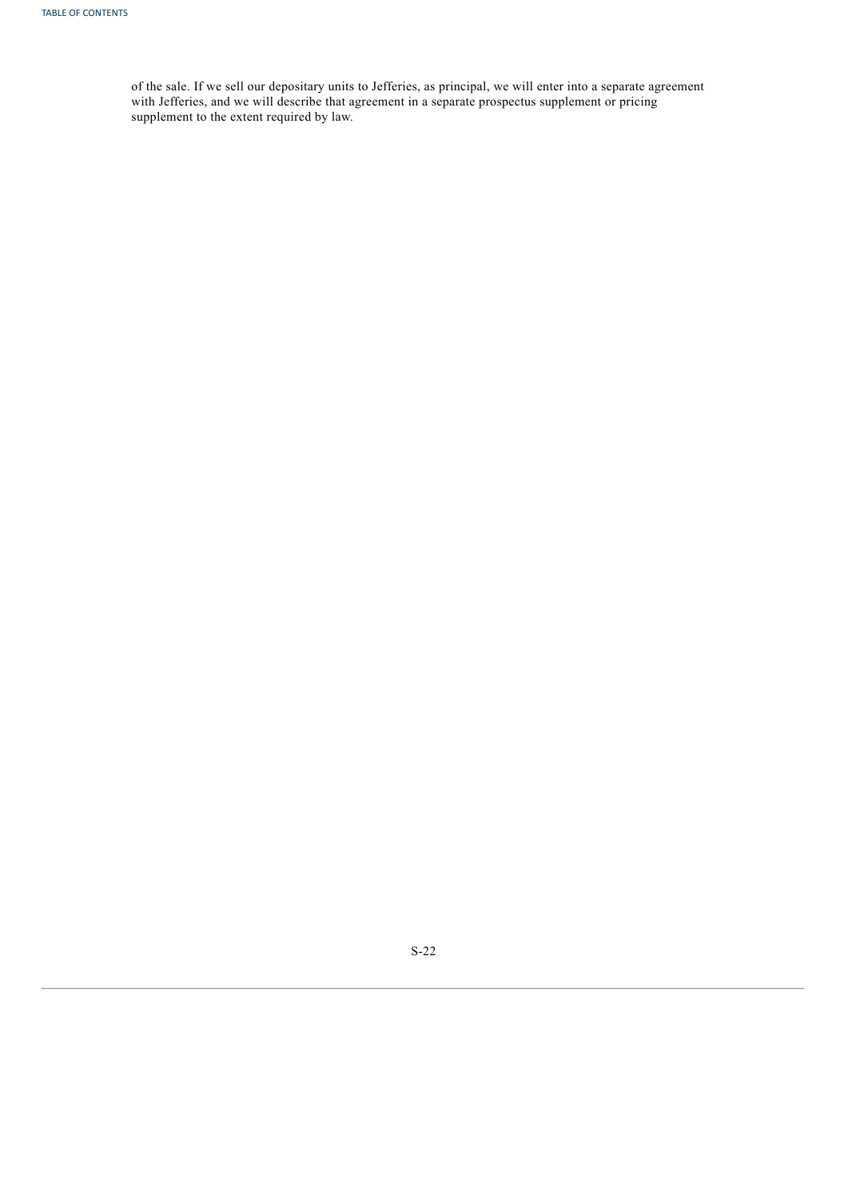<span id="page-23-0"></span>of the sale. If we sell our depositary units to Jefferies, as principal, we will enter into a separate agreement with Jefferies, and we will describe that agreement in a separate prospectus supplement or pricing supplement to the extent required by law.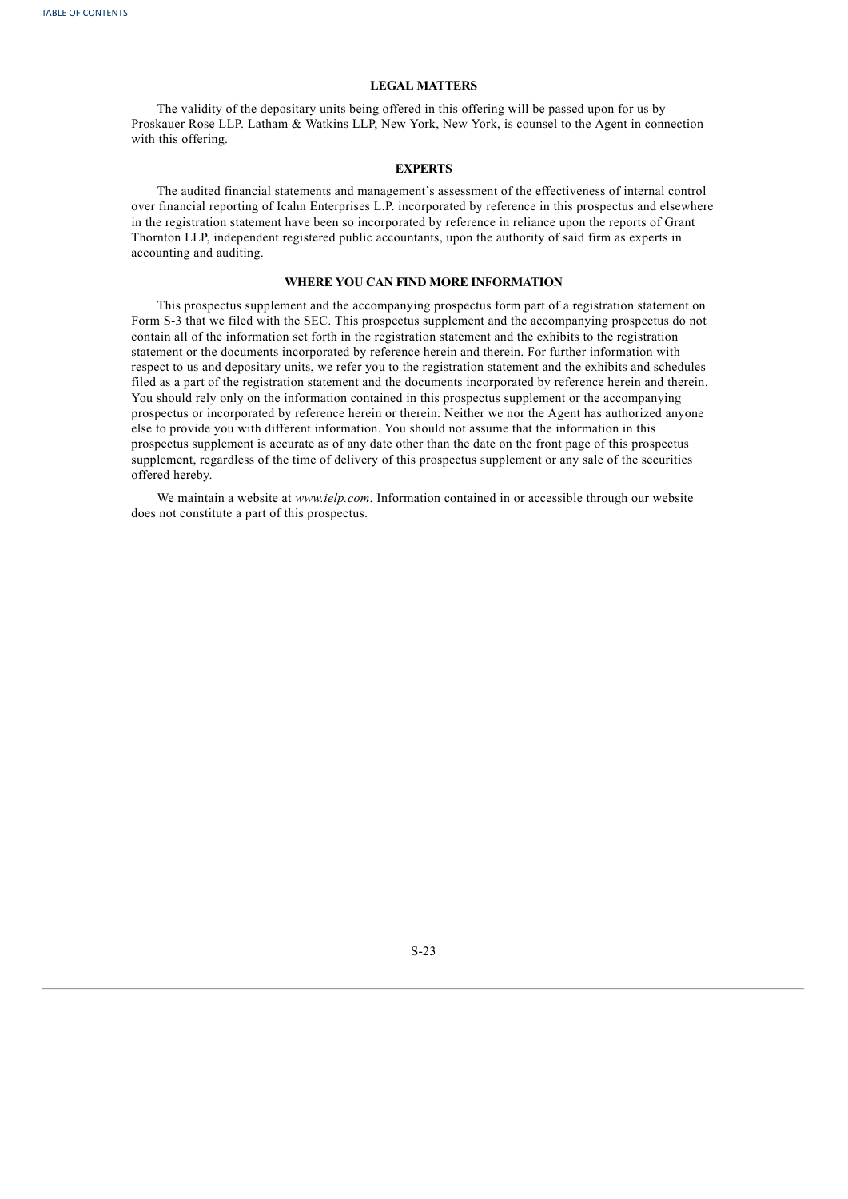# **LEGAL MATTERS**

The validity of the depositary units being offered in this offering will be passed upon for us by Proskauer Rose LLP. Latham & Watkins LLP, New York, New York, is counsel to the Agent in connection with this offering.

# **EXPERTS**

The audited financial statements and management's assessment of the effectiveness of internal control over financial reporting of Icahn Enterprises L.P. incorporated by reference in this prospectus and elsewhere in the registration statement have been so incorporated by reference in reliance upon the reports of Grant Thornton LLP, independent registered public accountants, upon the authority of said firm as experts in accounting and auditing.

# **WHERE YOU CAN FIND MORE INFORMATION**

This prospectus supplement and the accompanying prospectus form part of a registration statement on Form S-3 that we filed with the SEC. This prospectus supplement and the accompanying prospectus do not contain all of the information set forth in the registration statement and the exhibits to the registration statement or the documents incorporated by reference herein and therein. For further information with respect to us and depositary units, we refer you to the registration statement and the exhibits and schedules filed as a part of the registration statement and the documents incorporated by reference herein and therein. You should rely only on the information contained in this prospectus supplement or the accompanying prospectus or incorporated by reference herein or therein. Neither we nor the Agent has authorized anyone else to provide you with different information. You should not assume that the information in this prospectus supplement is accurate as of any date other than the date on the front page of this prospectus supplement, regardless of the time of delivery of this prospectus supplement or any sale of the securities offered hereby.

<span id="page-24-0"></span>We maintain a website at *www.ielp.com*. Information contained in or accessible through our website does not constitute a part of this prospectus.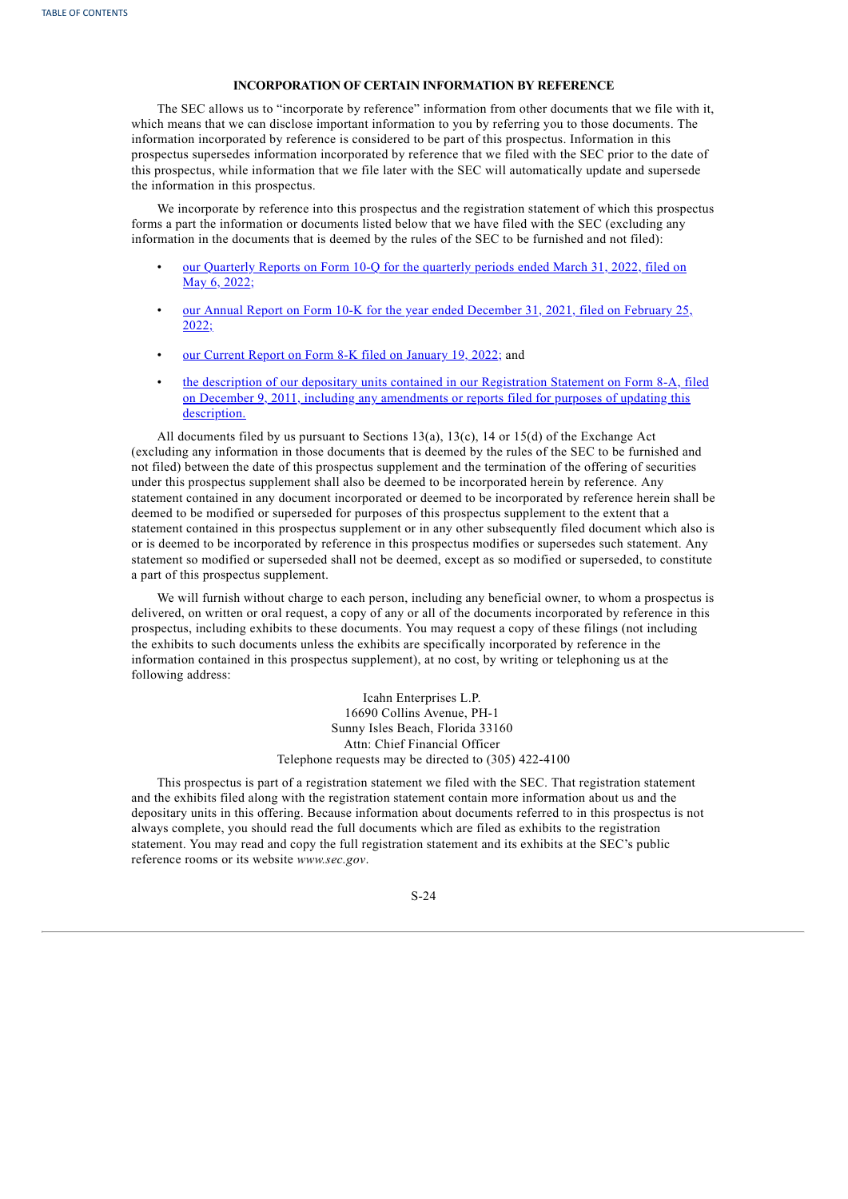# **INCORPORATION OF CERTAIN INFORMATION BY REFERENCE**

The SEC allows us to "incorporate by reference" information from other documents that we file with it, which means that we can disclose important information to you by referring you to those documents. The information incorporated by reference is considered to be part of this prospectus. Information in this prospectus supersedes information incorporated by reference that we filed with the SEC prior to the date of this prospectus, while information that we file later with the SEC will automatically update and supersede the information in this prospectus.

We incorporate by reference into this prospectus and the registration statement of which this prospectus forms a part the information or documents listed below that we have filed with the SEC (excluding any information in the documents that is deemed by the rules of the SEC to be furnished and not filed):

- our [Quarterly](http://www.sec.gov/ix?doc=/Archives/edgar/data/813762/000155837022007610/tmb-20220331x10q.htm) Reports on Form 10-Q for the quarterly periods ended March 31, 2022, filed on May 6, 2022;
- our Annual Report on Form 10-K for the year ended [December](http://www.sec.gov/ix?doc=/Archives/edgar/data/813762/000155837022002150/tmb-20211231x10k.htm) 31, 2021, filed on February 25,  $2022$ ;
- our Current Report on Form 8-K filed on [January](http://www.sec.gov/ix?doc=/Archives/edgar/data/813762/000110465922005417/tm223784d1_8k.htm) 19, 2022; and
- the description of our depositary units contained in our Registration Statement on Form 8-A, filed on December 9, 2011, including any [amendments](http://www.sec.gov/Archives/edgar/data/813762/000092847511000301/iepf8-a12b120811.txt) or reports filed for purposes of updating this description.

All documents filed by us pursuant to Sections 13(a), 13(c), 14 or 15(d) of the Exchange Act (excluding any information in those documents that is deemed by the rules of the SEC to be furnished and not filed) between the date of this prospectus supplement and the termination of the offering of securities under this prospectus supplement shall also be deemed to be incorporated herein by reference. Any statement contained in any document incorporated or deemed to be incorporated by reference herein shall be deemed to be modified or superseded for purposes of this prospectus supplement to the extent that a statement contained in this prospectus supplement or in any other subsequently filed document which also is or is deemed to be incorporated by reference in this prospectus modifies or supersedes such statement. Any statement so modified or superseded shall not be deemed, except as so modified or superseded, to constitute a part of this prospectus supplement.

We will furnish without charge to each person, including any beneficial owner, to whom a prospectus is delivered, on written or oral request, a copy of any or all of the documents incorporated by reference in this prospectus, including exhibits to these documents. You may request a copy of these filings (not including the exhibits to such documents unless the exhibits are specifically incorporated by reference in the information contained in this prospectus supplement), at no cost, by writing or telephoning us at the following address:

> Icahn Enterprises L.P. 16690 Collins Avenue, PH-1 Sunny Isles Beach, Florida 33160 Attn: Chief Financial Officer Telephone requests may be directed to (305) 422-4100

This prospectus is part of a registration statement we filed with the SEC. That registration statement and the exhibits filed along with the registration statement contain more information about us and the depositary units in this offering. Because information about documents referred to in this prospectus is not always complete, you should read the full documents which are filed as exhibits to the registration statement. You may read and copy the full registration statement and its exhibits at the SEC's public reference rooms or its website *www.sec.gov*.

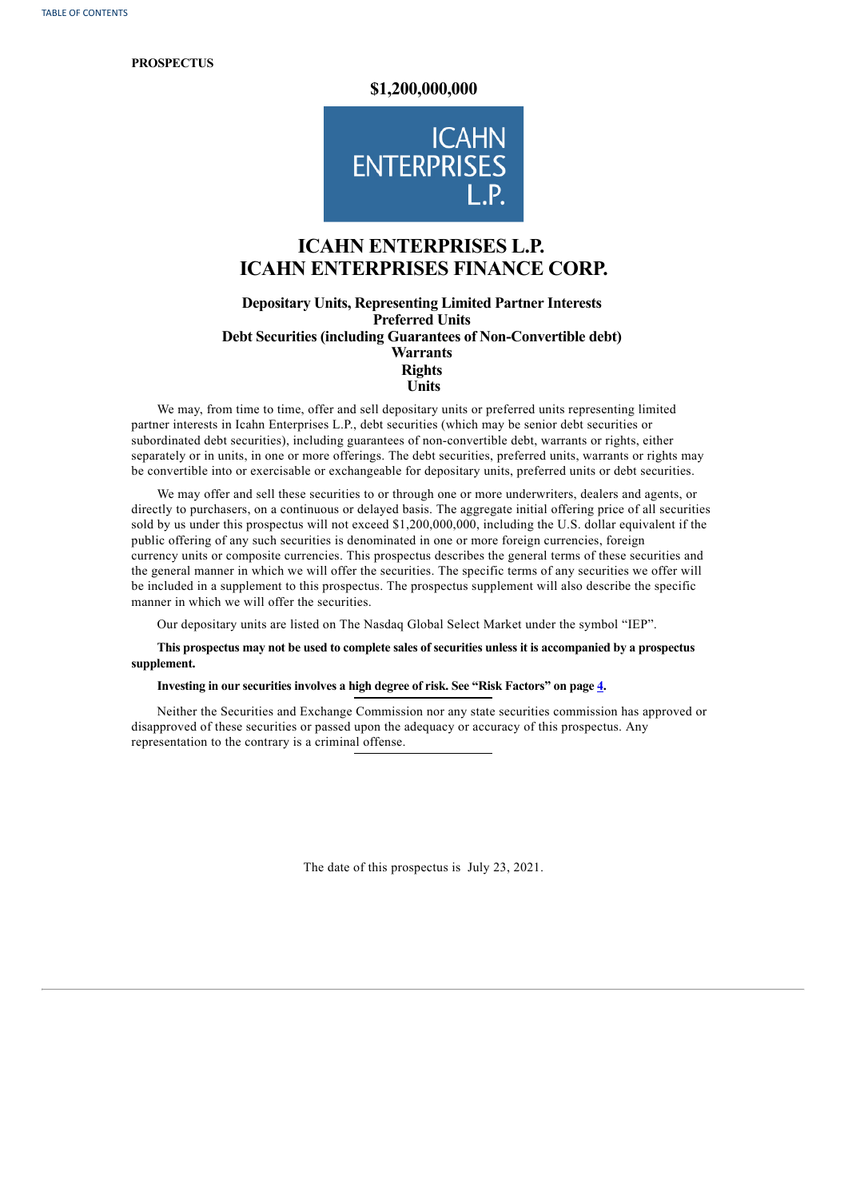**PROSPECTUS**

# **\$1,200,000,000**



# **ICAHN ENTERPRISES L.P. ICAHN ENTERPRISES FINANCE CORP.**

# **Depositary Units, Representing Limited Partner Interests Preferred Units Debt Securities (including Guarantees of Non-Convertible debt) Warrants Rights Units**

We may, from time to time, offer and sell depositary units or preferred units representing limited partner interests in Icahn Enterprises L.P., debt securities (which may be senior debt securities or subordinated debt securities), including guarantees of non-convertible debt, warrants or rights, either separately or in units, in one or more offerings. The debt securities, preferred units, warrants or rights may be convertible into or exercisable or exchangeable for depositary units, preferred units or debt securities.

We may offer and sell these securities to or through one or more underwriters, dealers and agents, or directly to purchasers, on a continuous or delayed basis. The aggregate initial offering price of all securities sold by us under this prospectus will not exceed \$1,200,000,000, including the U.S. dollar equivalent if the public offering of any such securities is denominated in one or more foreign currencies, foreign currency units or composite currencies. This prospectus describes the general terms of these securities and the general manner in which we will offer the securities. The specific terms of any securities we offer will be included in a supplement to this prospectus. The prospectus supplement will also describe the specific manner in which we will offer the securities.

Our depositary units are listed on The Nasdaq Global Select Market under the symbol "IEP".

This prospectus may not be used to complete sales of securities unless it is accompanied by a prospectus **supplement.**

**Investing in our securities involves a high degree of risk. See "Risk Factors" on page [4](#page-30-0).**

Neither the Securities and Exchange Commission nor any state securities commission has approved or disapproved of these securities or passed upon the adequacy or accuracy of this prospectus. Any representation to the contrary is a criminal offense.

The date of this prospectus is July 23, 2021.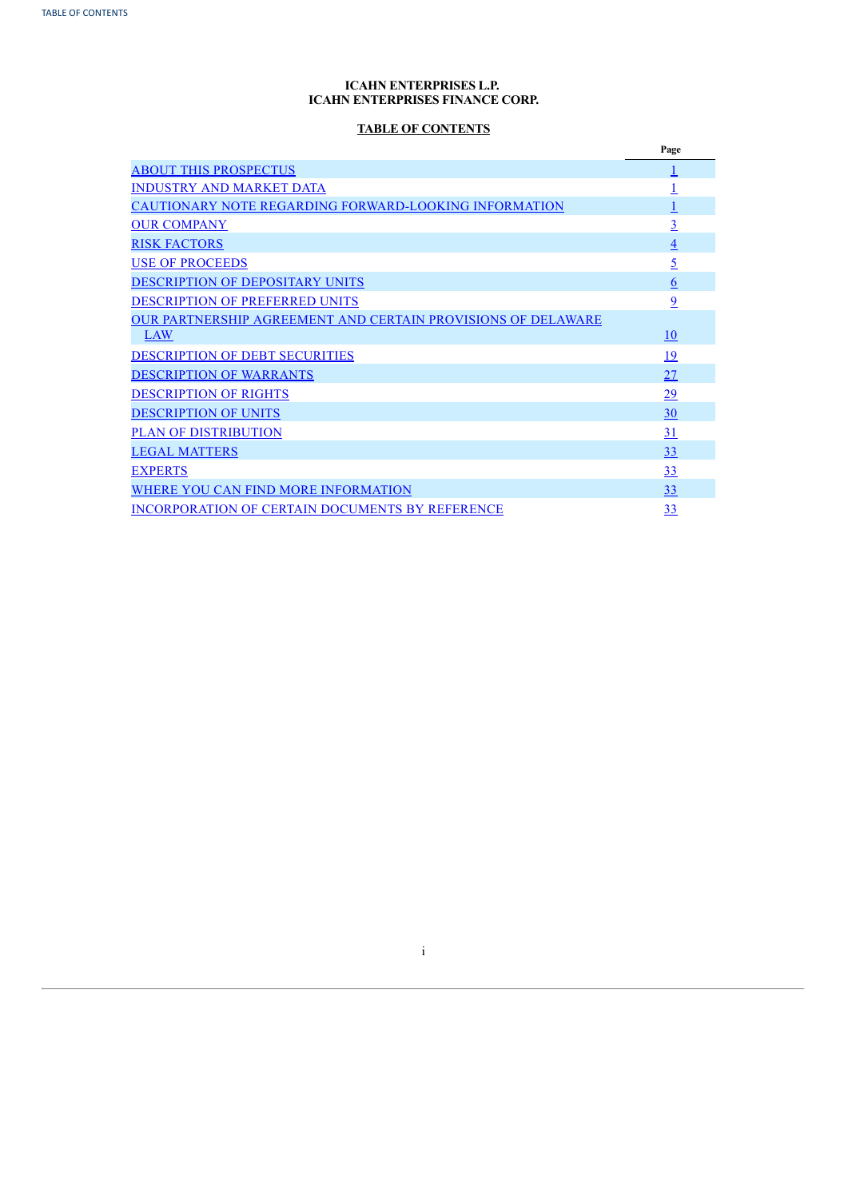# **ICAHN ENTERPRISES L.P. ICAHN ENTERPRISES FINANCE CORP.**

# **TABLE OF CONTENTS**

|                                                                     | Page                     |
|---------------------------------------------------------------------|--------------------------|
| <b>ABOUT THIS PROSPECTUS</b>                                        |                          |
| <b>INDUSTRY AND MARKET DATA</b>                                     |                          |
| <b>CAUTIONARY NOTE REGARDING FORWARD-LOOKING INFORMATION</b>        |                          |
| <b>OUR COMPANY</b>                                                  | <u>3</u>                 |
| <b>RISK FACTORS</b>                                                 | $\overline{\mathcal{A}}$ |
| <b>USE OF PROCEEDS</b>                                              | <u>5</u>                 |
| DESCRIPTION OF DEPOSITARY UNITS                                     | $6\overline{6}$          |
| <b>DESCRIPTION OF PREFERRED UNITS</b>                               | 9                        |
| <b>OUR PARTNERSHIP AGREEMENT AND CERTAIN PROVISIONS OF DELAWARE</b> |                          |
| LAW                                                                 | 10                       |
| <b>DESCRIPTION OF DEBT SECURITIES</b>                               | <u> 19</u>               |
| <b>DESCRIPTION OF WARRANTS</b>                                      | 27                       |
| <b>DESCRIPTION OF RIGHTS</b>                                        | 29                       |
| <b>DESCRIPTION OF UNITS</b>                                         | 30                       |
| <b>PLAN OF DISTRIBUTION</b>                                         | 31                       |
| <b>LEGAL MATTERS</b>                                                | 33                       |
| <b>EXPERTS</b>                                                      | 33                       |
| WHERE YOU CAN FIND MORE INFORMATION                                 | 33                       |
| <b>INCORPORATION OF CERTAIN DOCUMENTS BY REFERENCE</b>              | 33                       |

<span id="page-27-0"></span>i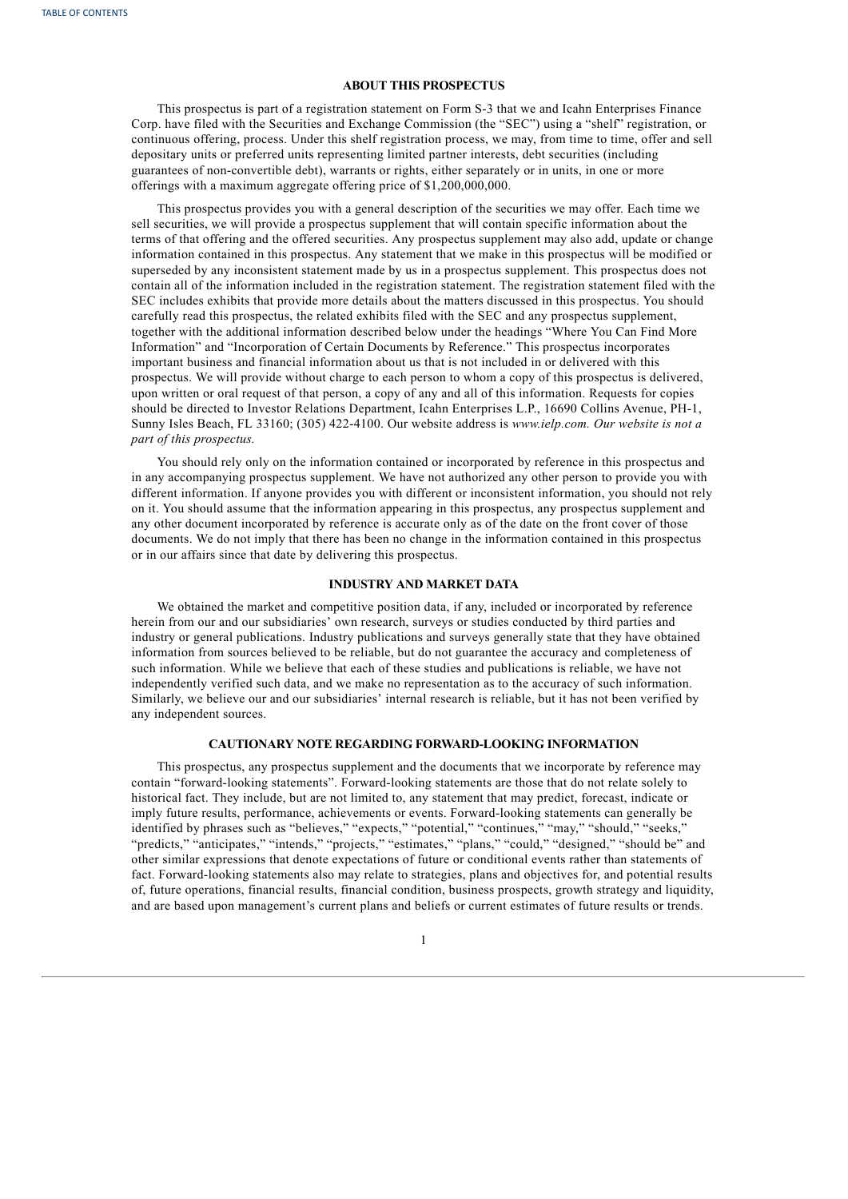# **ABOUT THIS PROSPECTUS**

This prospectus is part of a registration statement on Form S-3 that we and Icahn Enterprises Finance Corp. have filed with the Securities and Exchange Commission (the "SEC") using a "shelf" registration, or continuous offering, process. Under this shelf registration process, we may, from time to time, offer and sell depositary units or preferred units representing limited partner interests, debt securities (including guarantees of non-convertible debt), warrants or rights, either separately or in units, in one or more offerings with a maximum aggregate offering price of \$1,200,000,000.

This prospectus provides you with a general description of the securities we may offer. Each time we sell securities, we will provide a prospectus supplement that will contain specific information about the terms of that offering and the offered securities. Any prospectus supplement may also add, update or change information contained in this prospectus. Any statement that we make in this prospectus will be modified or superseded by any inconsistent statement made by us in a prospectus supplement. This prospectus does not contain all of the information included in the registration statement. The registration statement filed with the SEC includes exhibits that provide more details about the matters discussed in this prospectus. You should carefully read this prospectus, the related exhibits filed with the SEC and any prospectus supplement, together with the additional information described below under the headings "Where You Can Find More Information" and "Incorporation of Certain Documents by Reference." This prospectus incorporates important business and financial information about us that is not included in or delivered with this prospectus. We will provide without charge to each person to whom a copy of this prospectus is delivered, upon written or oral request of that person, a copy of any and all of this information. Requests for copies should be directed to Investor Relations Department, Icahn Enterprises L.P., 16690 Collins Avenue, PH-1, Sunny Isles Beach, FL 33160; (305) 422-4100. Our website address is *www.ielp.com. Our website is not a part of this prospectus.*

You should rely only on the information contained or incorporated by reference in this prospectus and in any accompanying prospectus supplement. We have not authorized any other person to provide you with different information. If anyone provides you with different or inconsistent information, you should not rely on it. You should assume that the information appearing in this prospectus, any prospectus supplement and any other document incorporated by reference is accurate only as of the date on the front cover of those documents. We do not imply that there has been no change in the information contained in this prospectus or in our affairs since that date by delivering this prospectus.

# **INDUSTRY AND MARKET DATA**

We obtained the market and competitive position data, if any, included or incorporated by reference herein from our and our subsidiaries' own research, surveys or studies conducted by third parties and industry or general publications. Industry publications and surveys generally state that they have obtained information from sources believed to be reliable, but do not guarantee the accuracy and completeness of such information. While we believe that each of these studies and publications is reliable, we have not independently verified such data, and we make no representation as to the accuracy of such information. Similarly, we believe our and our subsidiaries' internal research is reliable, but it has not been verified by any independent sources.

## **CAUTIONARY NOTE REGARDING FORWARD-LOOKING INFORMATION**

This prospectus, any prospectus supplement and the documents that we incorporate by reference may contain "forward-looking statements". Forward-looking statements are those that do not relate solely to historical fact. They include, but are not limited to, any statement that may predict, forecast, indicate or imply future results, performance, achievements or events. Forward-looking statements can generally be identified by phrases such as "believes," "expects," "potential," "continues," "may," "should," "seeks," "predicts," "anticipates," "intends," "projects," "estimates," "plans," "could," "designed," "should be" and other similar expressions that denote expectations of future or conditional events rather than statements of fact. Forward-looking statements also may relate to strategies, plans and objectives for, and potential results of, future operations, financial results, financial condition, business prospects, growth strategy and liquidity, and are based upon management's current plans and beliefs or current estimates of future results or trends.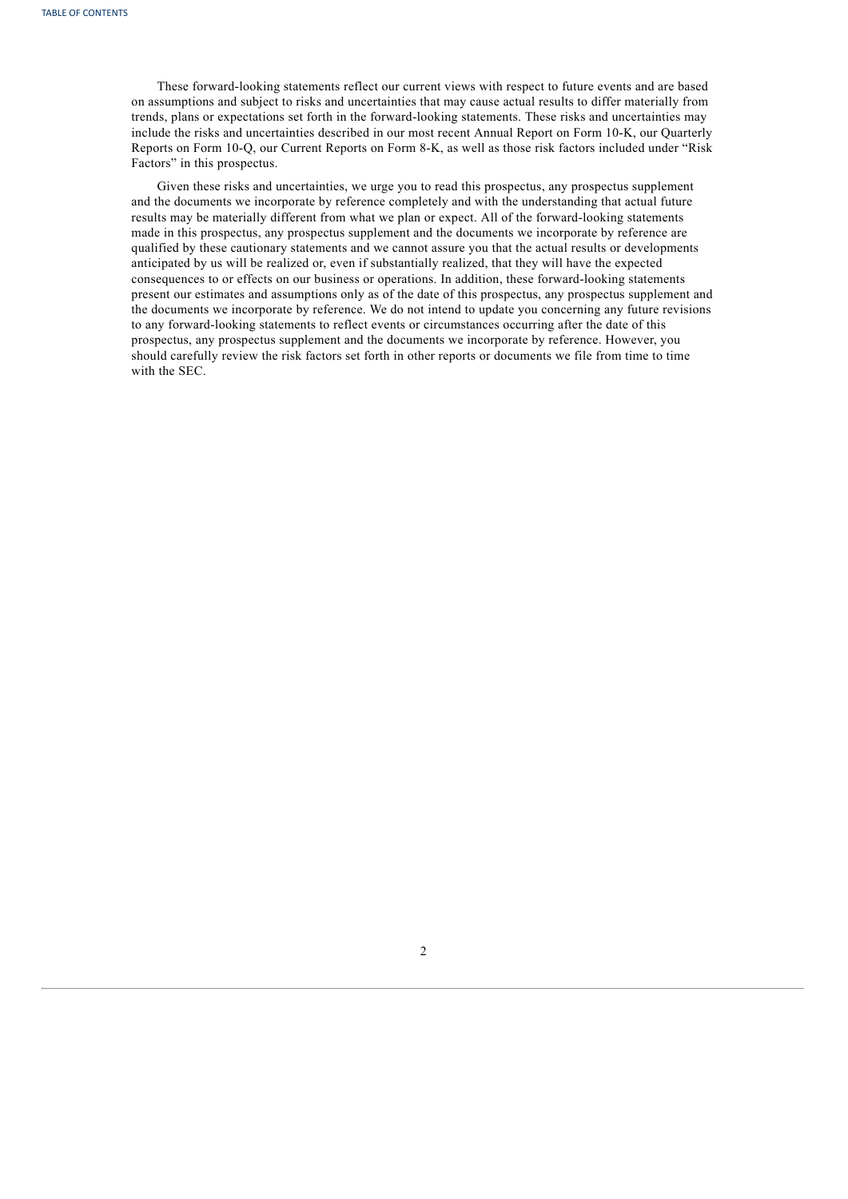These forward-looking statements reflect our current views with respect to future events and are based on assumptions and subject to risks and uncertainties that may cause actual results to differ materially from trends, plans or expectations set forth in the forward-looking statements. These risks and uncertainties may include the risks and uncertainties described in our most recent Annual Report on Form 10-K, our Quarterly Reports on Form 10-Q, our Current Reports on Form 8-K, as well as those risk factors included under "Risk Factors" in this prospectus.

<span id="page-29-0"></span>Given these risks and uncertainties, we urge you to read this prospectus, any prospectus supplement and the documents we incorporate by reference completely and with the understanding that actual future results may be materially different from what we plan or expect. All of the forward-looking statements made in this prospectus, any prospectus supplement and the documents we incorporate by reference are qualified by these cautionary statements and we cannot assure you that the actual results or developments anticipated by us will be realized or, even if substantially realized, that they will have the expected consequences to or effects on our business or operations. In addition, these forward-looking statements present our estimates and assumptions only as of the date of this prospectus, any prospectus supplement and the documents we incorporate by reference. We do not intend to update you concerning any future revisions to any forward-looking statements to reflect events or circumstances occurring after the date of this prospectus, any prospectus supplement and the documents we incorporate by reference. However, you should carefully review the risk factors set forth in other reports or documents we file from time to time with the SEC.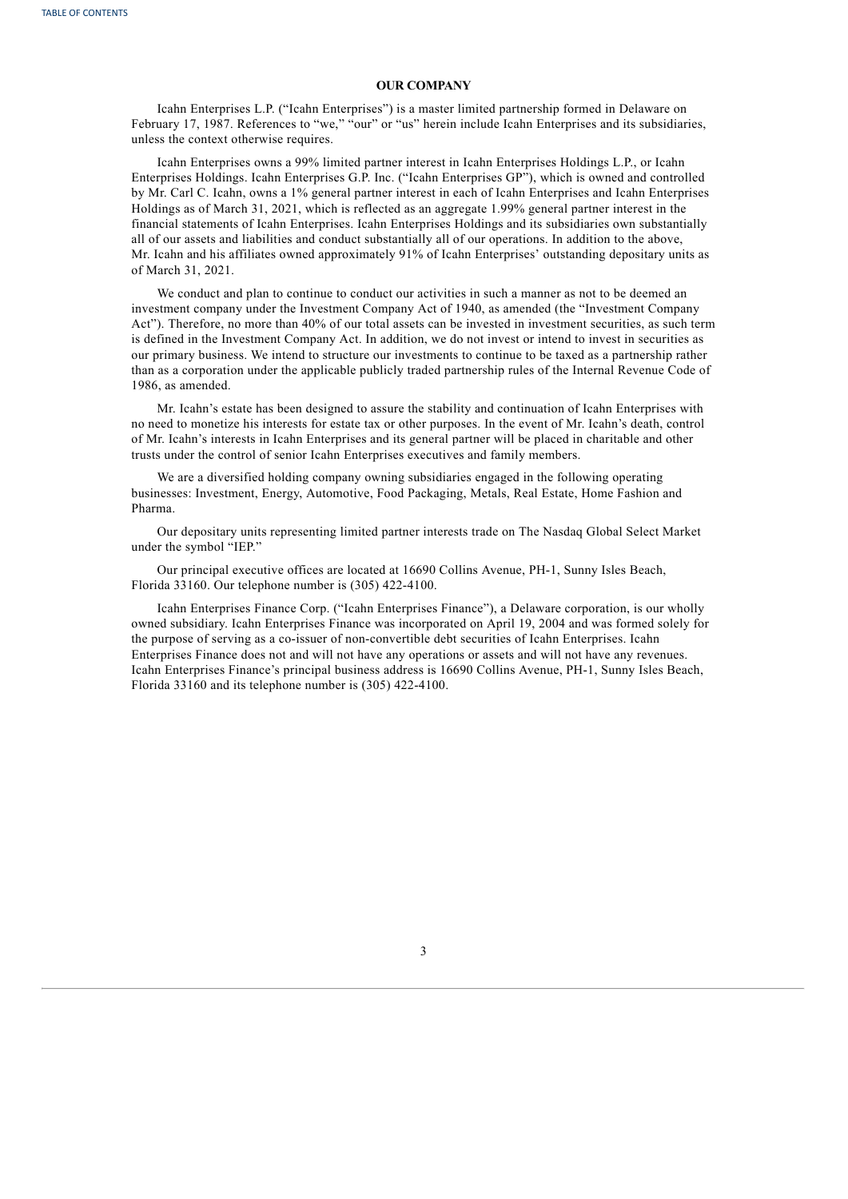# **OUR COMPANY**

Icahn Enterprises L.P. ("Icahn Enterprises") is a master limited partnership formed in Delaware on February 17, 1987. References to "we," "our" or "us" herein include Icahn Enterprises and its subsidiaries, unless the context otherwise requires.

Icahn Enterprises owns a 99% limited partner interest in Icahn Enterprises Holdings L.P., or Icahn Enterprises Holdings. Icahn Enterprises G.P. Inc. ("Icahn Enterprises GP"), which is owned and controlled by Mr. Carl C. Icahn, owns a 1% general partner interest in each of Icahn Enterprises and Icahn Enterprises Holdings as of March 31, 2021, which is reflected as an aggregate 1.99% general partner interest in the financial statements of Icahn Enterprises. Icahn Enterprises Holdings and its subsidiaries own substantially all of our assets and liabilities and conduct substantially all of our operations. In addition to the above, Mr. Icahn and his affiliates owned approximately 91% of Icahn Enterprises' outstanding depositary units as of March 31, 2021.

We conduct and plan to continue to conduct our activities in such a manner as not to be deemed an investment company under the Investment Company Act of 1940, as amended (the "Investment Company Act"). Therefore, no more than 40% of our total assets can be invested in investment securities, as such term is defined in the Investment Company Act. In addition, we do not invest or intend to invest in securities as our primary business. We intend to structure our investments to continue to be taxed as a partnership rather than as a corporation under the applicable publicly traded partnership rules of the Internal Revenue Code of 1986, as amended.

Mr. Icahn's estate has been designed to assure the stability and continuation of Icahn Enterprises with no need to monetize his interests for estate tax or other purposes. In the event of Mr. Icahn's death, control of Mr. Icahn's interests in Icahn Enterprises and its general partner will be placed in charitable and other trusts under the control of senior Icahn Enterprises executives and family members.

We are a diversified holding company owning subsidiaries engaged in the following operating businesses: Investment, Energy, Automotive, Food Packaging, Metals, Real Estate, Home Fashion and Pharma.

Our depositary units representing limited partner interests trade on The Nasdaq Global Select Market under the symbol "IEP."

Our principal executive offices are located at 16690 Collins Avenue, PH-1, Sunny Isles Beach, Florida 33160. Our telephone number is (305) 422-4100.

<span id="page-30-0"></span>Icahn Enterprises Finance Corp. ("Icahn Enterprises Finance"), a Delaware corporation, is our wholly owned subsidiary. Icahn Enterprises Finance was incorporated on April 19, 2004 and was formed solely for the purpose of serving as a co-issuer of non-convertible debt securities of Icahn Enterprises. Icahn Enterprises Finance does not and will not have any operations or assets and will not have any revenues. Icahn Enterprises Finance's principal business address is 16690 Collins Avenue, PH-1, Sunny Isles Beach, Florida 33160 and its telephone number is (305) 422-4100.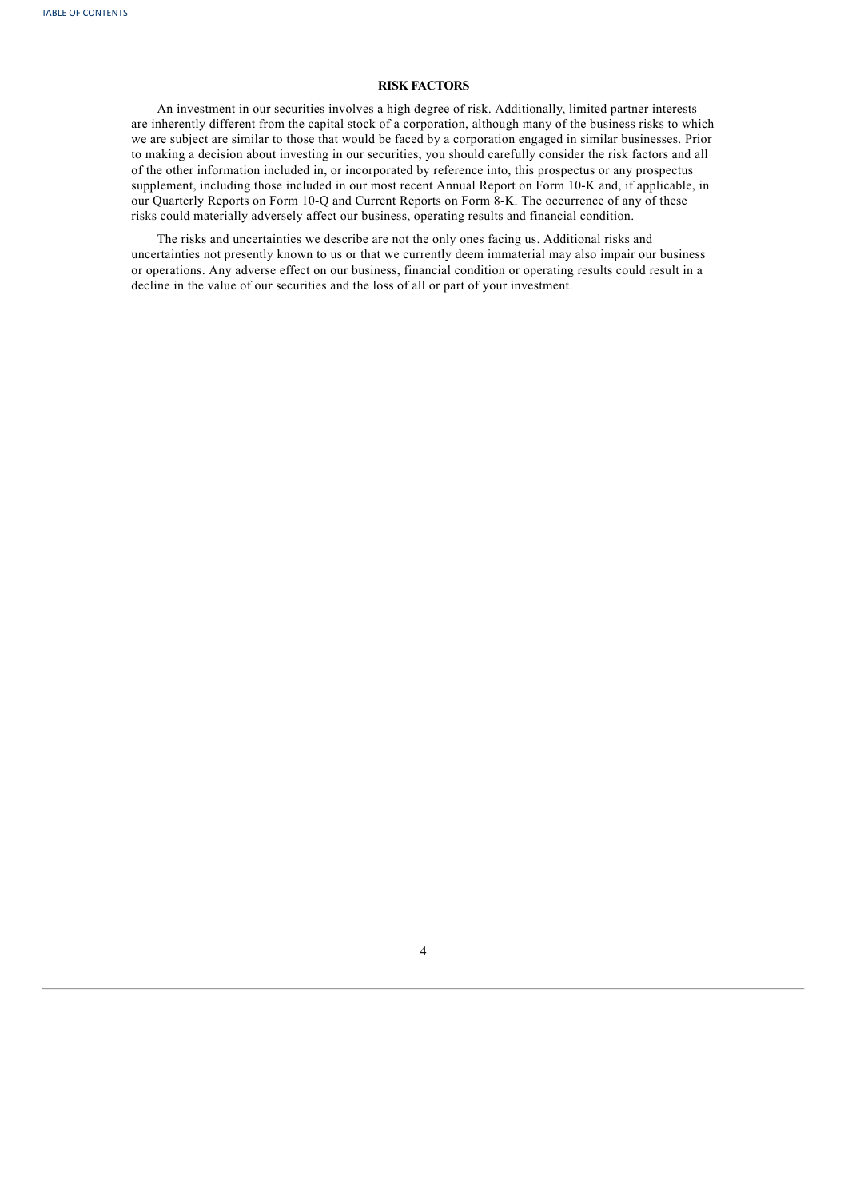# **RISK FACTORS**

An investment in our securities involves a high degree of risk. Additionally, limited partner interests are inherently different from the capital stock of a corporation, although many of the business risks to which we are subject are similar to those that would be faced by a corporation engaged in similar businesses. Prior to making a decision about investing in our securities, you should carefully consider the risk factors and all of the other information included in, or incorporated by reference into, this prospectus or any prospectus supplement, including those included in our most recent Annual Report on Form 10-K and, if applicable, in our Quarterly Reports on Form 10-Q and Current Reports on Form 8-K. The occurrence of any of these risks could materially adversely affect our business, operating results and financial condition.

<span id="page-31-0"></span>The risks and uncertainties we describe are not the only ones facing us. Additional risks and uncertainties not presently known to us or that we currently deem immaterial may also impair our business or operations. Any adverse effect on our business, financial condition or operating results could result in a decline in the value of our securities and the loss of all or part of your investment.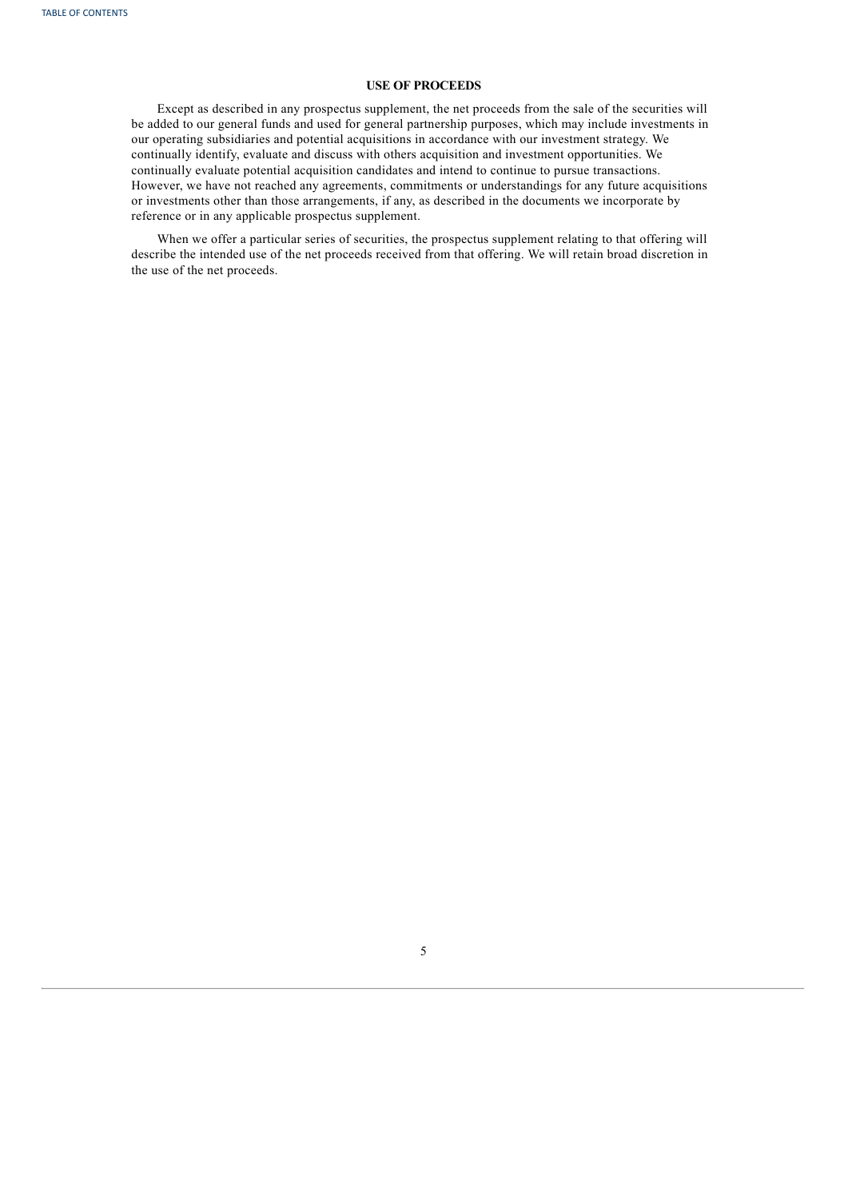# **USE OF PROCEEDS**

Except as described in any prospectus supplement, the net proceeds from the sale of the securities will be added to our general funds and used for general partnership purposes, which may include investments in our operating subsidiaries and potential acquisitions in accordance with our investment strategy. We continually identify, evaluate and discuss with others acquisition and investment opportunities. We continually evaluate potential acquisition candidates and intend to continue to pursue transactions. However, we have not reached any agreements, commitments or understandings for any future acquisitions or investments other than those arrangements, if any, as described in the documents we incorporate by reference or in any applicable prospectus supplement.

<span id="page-32-0"></span>When we offer a particular series of securities, the prospectus supplement relating to that offering will describe the intended use of the net proceeds received from that offering. We will retain broad discretion in the use of the net proceeds.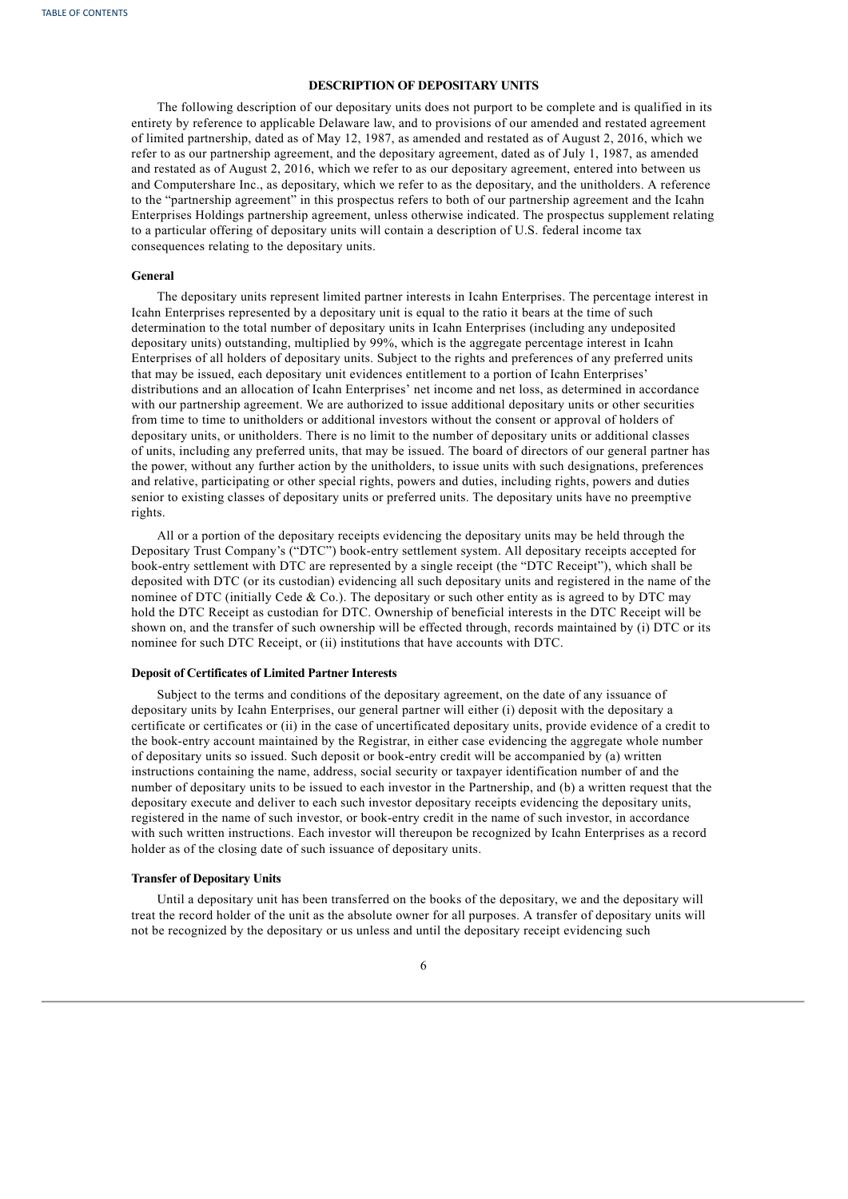# **DESCRIPTION OF DEPOSITARY UNITS**

The following description of our depositary units does not purport to be complete and is qualified in its entirety by reference to applicable Delaware law, and to provisions of our amended and restated agreement of limited partnership, dated as of May 12, 1987, as amended and restated as of August 2, 2016, which we refer to as our partnership agreement, and the depositary agreement, dated as of July 1, 1987, as amended and restated as of August 2, 2016, which we refer to as our depositary agreement, entered into between us and Computershare Inc., as depositary, which we refer to as the depositary, and the unitholders. A reference to the "partnership agreement" in this prospectus refers to both of our partnership agreement and the Icahn Enterprises Holdings partnership agreement, unless otherwise indicated. The prospectus supplement relating to a particular offering of depositary units will contain a description of U.S. federal income tax consequences relating to the depositary units.

# **General**

The depositary units represent limited partner interests in Icahn Enterprises. The percentage interest in Icahn Enterprises represented by a depositary unit is equal to the ratio it bears at the time of such determination to the total number of depositary units in Icahn Enterprises (including any undeposited depositary units) outstanding, multiplied by 99%, which is the aggregate percentage interest in Icahn Enterprises of all holders of depositary units. Subject to the rights and preferences of any preferred units that may be issued, each depositary unit evidences entitlement to a portion of Icahn Enterprises' distributions and an allocation of Icahn Enterprises' net income and net loss, as determined in accordance with our partnership agreement. We are authorized to issue additional depositary units or other securities from time to time to unitholders or additional investors without the consent or approval of holders of depositary units, or unitholders. There is no limit to the number of depositary units or additional classes of units, including any preferred units, that may be issued. The board of directors of our general partner has the power, without any further action by the unitholders, to issue units with such designations, preferences and relative, participating or other special rights, powers and duties, including rights, powers and duties senior to existing classes of depositary units or preferred units. The depositary units have no preemptive rights.

All or a portion of the depositary receipts evidencing the depositary units may be held through the Depositary Trust Company's ("DTC") book-entry settlement system. All depositary receipts accepted for book-entry settlement with DTC are represented by a single receipt (the "DTC Receipt"), which shall be deposited with DTC (or its custodian) evidencing all such depositary units and registered in the name of the nominee of DTC (initially Cede & Co.). The depositary or such other entity as is agreed to by DTC may hold the DTC Receipt as custodian for DTC. Ownership of beneficial interests in the DTC Receipt will be shown on, and the transfer of such ownership will be effected through, records maintained by (i) DTC or its nominee for such DTC Receipt, or (ii) institutions that have accounts with DTC.

#### **Deposit of Certificates of Limited Partner Interests**

Subject to the terms and conditions of the depositary agreement, on the date of any issuance of depositary units by Icahn Enterprises, our general partner will either (i) deposit with the depositary a certificate or certificates or (ii) in the case of uncertificated depositary units, provide evidence of a credit to the book-entry account maintained by the Registrar, in either case evidencing the aggregate whole number of depositary units so issued. Such deposit or book-entry credit will be accompanied by (a) written instructions containing the name, address, social security or taxpayer identification number of and the number of depositary units to be issued to each investor in the Partnership, and (b) a written request that the depositary execute and deliver to each such investor depositary receipts evidencing the depositary units, registered in the name of such investor, or book-entry credit in the name of such investor, in accordance with such written instructions. Each investor will thereupon be recognized by Icahn Enterprises as a record holder as of the closing date of such issuance of depositary units.

# **Transfer of Depositary Units**

Until a depositary unit has been transferred on the books of the depositary, we and the depositary will treat the record holder of the unit as the absolute owner for all purposes. A transfer of depositary units will not be recognized by the depositary or us unless and until the depositary receipt evidencing such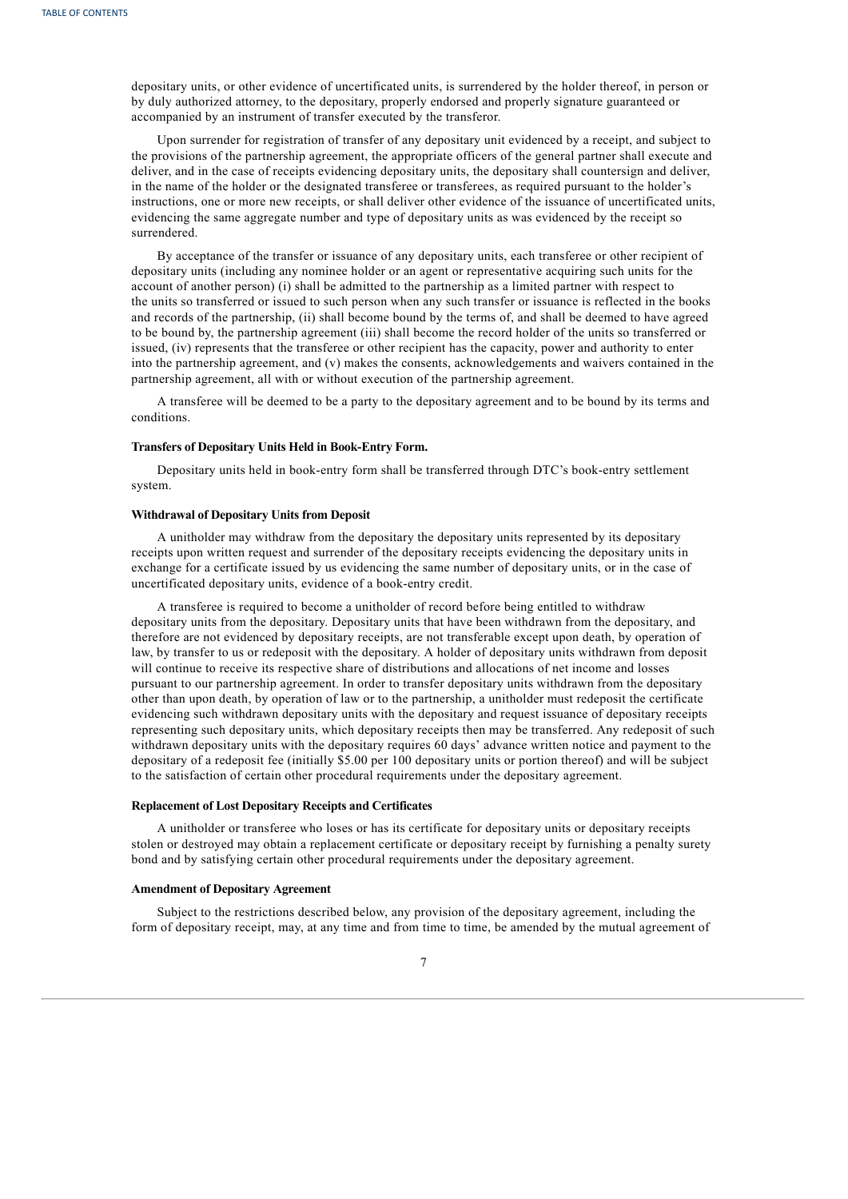depositary units, or other evidence of uncertificated units, is surrendered by the holder thereof, in person or by duly authorized attorney, to the depositary, properly endorsed and properly signature guaranteed or accompanied by an instrument of transfer executed by the transferor.

Upon surrender for registration of transfer of any depositary unit evidenced by a receipt, and subject to the provisions of the partnership agreement, the appropriate officers of the general partner shall execute and deliver, and in the case of receipts evidencing depositary units, the depositary shall countersign and deliver, in the name of the holder or the designated transferee or transferees, as required pursuant to the holder's instructions, one or more new receipts, or shall deliver other evidence of the issuance of uncertificated units, evidencing the same aggregate number and type of depositary units as was evidenced by the receipt so surrendered.

By acceptance of the transfer or issuance of any depositary units, each transferee or other recipient of depositary units (including any nominee holder or an agent or representative acquiring such units for the account of another person) (i) shall be admitted to the partnership as a limited partner with respect to the units so transferred or issued to such person when any such transfer or issuance is reflected in the books and records of the partnership, (ii) shall become bound by the terms of, and shall be deemed to have agreed to be bound by, the partnership agreement (iii) shall become the record holder of the units so transferred or issued, (iv) represents that the transferee or other recipient has the capacity, power and authority to enter into the partnership agreement, and (v) makes the consents, acknowledgements and waivers contained in the partnership agreement, all with or without execution of the partnership agreement.

A transferee will be deemed to be a party to the depositary agreement and to be bound by its terms and conditions.

## **Transfers of Depositary Units Held in Book-Entry Form.**

Depositary units held in book-entry form shall be transferred through DTC's book-entry settlement system.

#### **Withdrawal of Depositary Units from Deposit**

A unitholder may withdraw from the depositary the depositary units represented by its depositary receipts upon written request and surrender of the depositary receipts evidencing the depositary units in exchange for a certificate issued by us evidencing the same number of depositary units, or in the case of uncertificated depositary units, evidence of a book-entry credit.

A transferee is required to become a unitholder of record before being entitled to withdraw depositary units from the depositary. Depositary units that have been withdrawn from the depositary, and therefore are not evidenced by depositary receipts, are not transferable except upon death, by operation of law, by transfer to us or redeposit with the depositary. A holder of depositary units withdrawn from deposit will continue to receive its respective share of distributions and allocations of net income and losses pursuant to our partnership agreement. In order to transfer depositary units withdrawn from the depositary other than upon death, by operation of law or to the partnership, a unitholder must redeposit the certificate evidencing such withdrawn depositary units with the depositary and request issuance of depositary receipts representing such depositary units, which depositary receipts then may be transferred. Any redeposit of such withdrawn depositary units with the depositary requires 60 days' advance written notice and payment to the depositary of a redeposit fee (initially \$5.00 per 100 depositary units or portion thereof) and will be subject to the satisfaction of certain other procedural requirements under the depositary agreement.

#### **Replacement of Lost Depositary Receipts and Certificates**

A unitholder or transferee who loses or has its certificate for depositary units or depositary receipts stolen or destroyed may obtain a replacement certificate or depositary receipt by furnishing a penalty surety bond and by satisfying certain other procedural requirements under the depositary agreement.

#### **Amendment of Depositary Agreement**

Subject to the restrictions described below, any provision of the depositary agreement, including the form of depositary receipt, may, at any time and from time to time, be amended by the mutual agreement of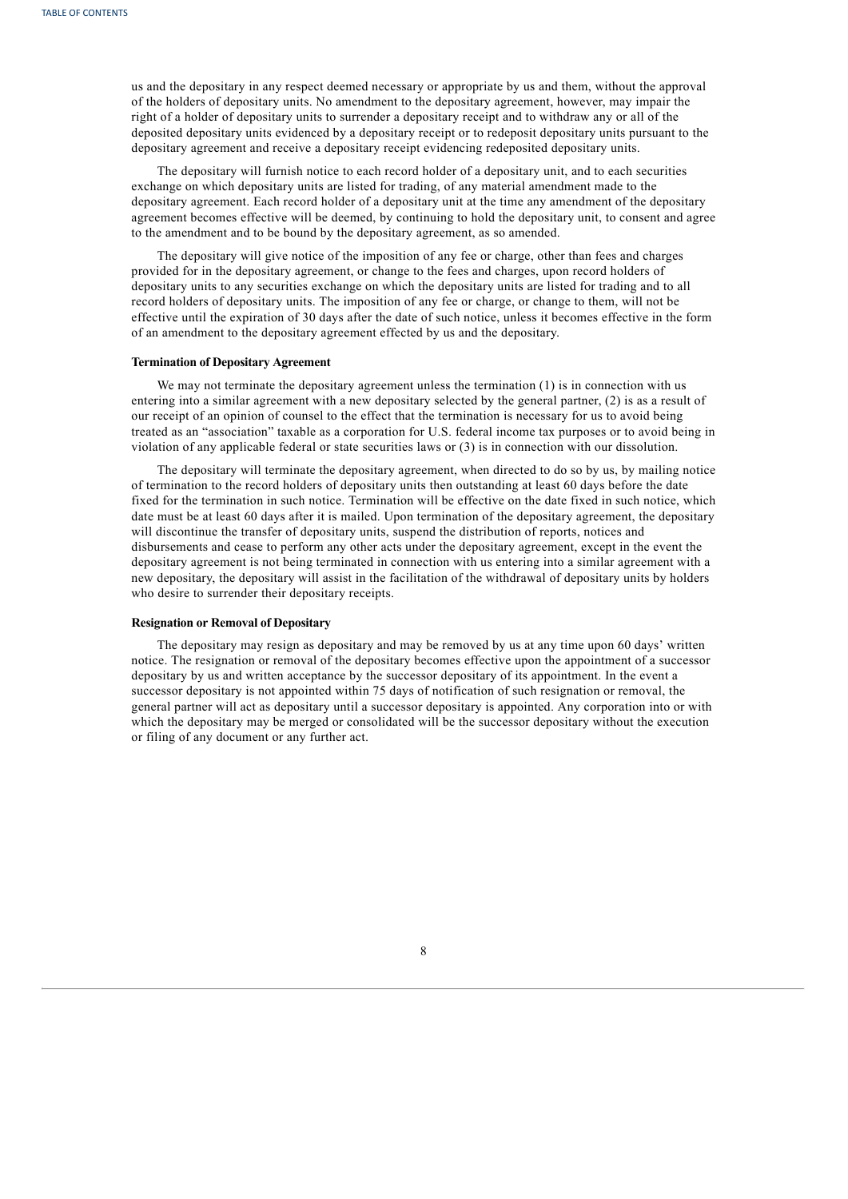us and the depositary in any respect deemed necessary or appropriate by us and them, without the approval of the holders of depositary units. No amendment to the depositary agreement, however, may impair the right of a holder of depositary units to surrender a depositary receipt and to withdraw any or all of the deposited depositary units evidenced by a depositary receipt or to redeposit depositary units pursuant to the depositary agreement and receive a depositary receipt evidencing redeposited depositary units.

The depositary will furnish notice to each record holder of a depositary unit, and to each securities exchange on which depositary units are listed for trading, of any material amendment made to the depositary agreement. Each record holder of a depositary unit at the time any amendment of the depositary agreement becomes effective will be deemed, by continuing to hold the depositary unit, to consent and agree to the amendment and to be bound by the depositary agreement, as so amended.

The depositary will give notice of the imposition of any fee or charge, other than fees and charges provided for in the depositary agreement, or change to the fees and charges, upon record holders of depositary units to any securities exchange on which the depositary units are listed for trading and to all record holders of depositary units. The imposition of any fee or charge, or change to them, will not be effective until the expiration of 30 days after the date of such notice, unless it becomes effective in the form of an amendment to the depositary agreement effected by us and the depositary.

#### **Termination of Depositary Agreement**

We may not terminate the depositary agreement unless the termination (1) is in connection with us entering into a similar agreement with a new depositary selected by the general partner, (2) is as a result of our receipt of an opinion of counsel to the effect that the termination is necessary for us to avoid being treated as an "association" taxable as a corporation for U.S. federal income tax purposes or to avoid being in violation of any applicable federal or state securities laws or (3) is in connection with our dissolution.

The depositary will terminate the depositary agreement, when directed to do so by us, by mailing notice of termination to the record holders of depositary units then outstanding at least 60 days before the date fixed for the termination in such notice. Termination will be effective on the date fixed in such notice, which date must be at least 60 days after it is mailed. Upon termination of the depositary agreement, the depositary will discontinue the transfer of depositary units, suspend the distribution of reports, notices and disbursements and cease to perform any other acts under the depositary agreement, except in the event the depositary agreement is not being terminated in connection with us entering into a similar agreement with a new depositary, the depositary will assist in the facilitation of the withdrawal of depositary units by holders who desire to surrender their depositary receipts.

#### **Resignation or Removal of Depositary**

<span id="page-35-0"></span>The depositary may resign as depositary and may be removed by us at any time upon 60 days' written notice. The resignation or removal of the depositary becomes effective upon the appointment of a successor depositary by us and written acceptance by the successor depositary of its appointment. In the event a successor depositary is not appointed within 75 days of notification of such resignation or removal, the general partner will act as depositary until a successor depositary is appointed. Any corporation into or with which the depositary may be merged or consolidated will be the successor depositary without the execution or filing of any document or any further act.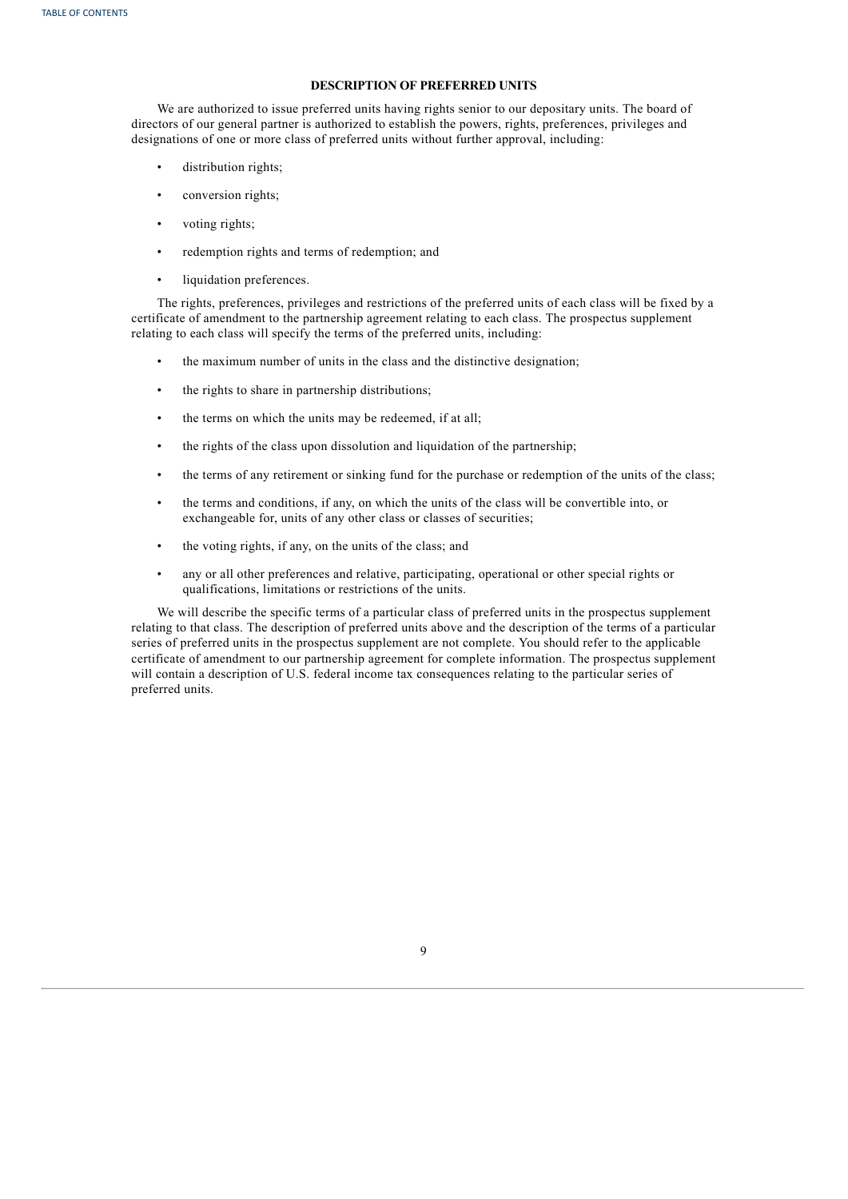# **DESCRIPTION OF PREFERRED UNITS**

We are authorized to issue preferred units having rights senior to our depositary units. The board of directors of our general partner is authorized to establish the powers, rights, preferences, privileges and designations of one or more class of preferred units without further approval, including:

- distribution rights;
- conversion rights;
- voting rights;
- redemption rights and terms of redemption; and
- liquidation preferences.

The rights, preferences, privileges and restrictions of the preferred units of each class will be fixed by a certificate of amendment to the partnership agreement relating to each class. The prospectus supplement relating to each class will specify the terms of the preferred units, including:

- the maximum number of units in the class and the distinctive designation;
- the rights to share in partnership distributions;
- the terms on which the units may be redeemed, if at all;
- the rights of the class upon dissolution and liquidation of the partnership;
- the terms of any retirement or sinking fund for the purchase or redemption of the units of the class;
- the terms and conditions, if any, on which the units of the class will be convertible into, or exchangeable for, units of any other class or classes of securities;
- the voting rights, if any, on the units of the class; and
- any or all other preferences and relative, participating, operational or other special rights or qualifications, limitations or restrictions of the units.

<span id="page-36-0"></span>We will describe the specific terms of a particular class of preferred units in the prospectus supplement relating to that class. The description of preferred units above and the description of the terms of a particular series of preferred units in the prospectus supplement are not complete. You should refer to the applicable certificate of amendment to our partnership agreement for complete information. The prospectus supplement will contain a description of U.S. federal income tax consequences relating to the particular series of preferred units.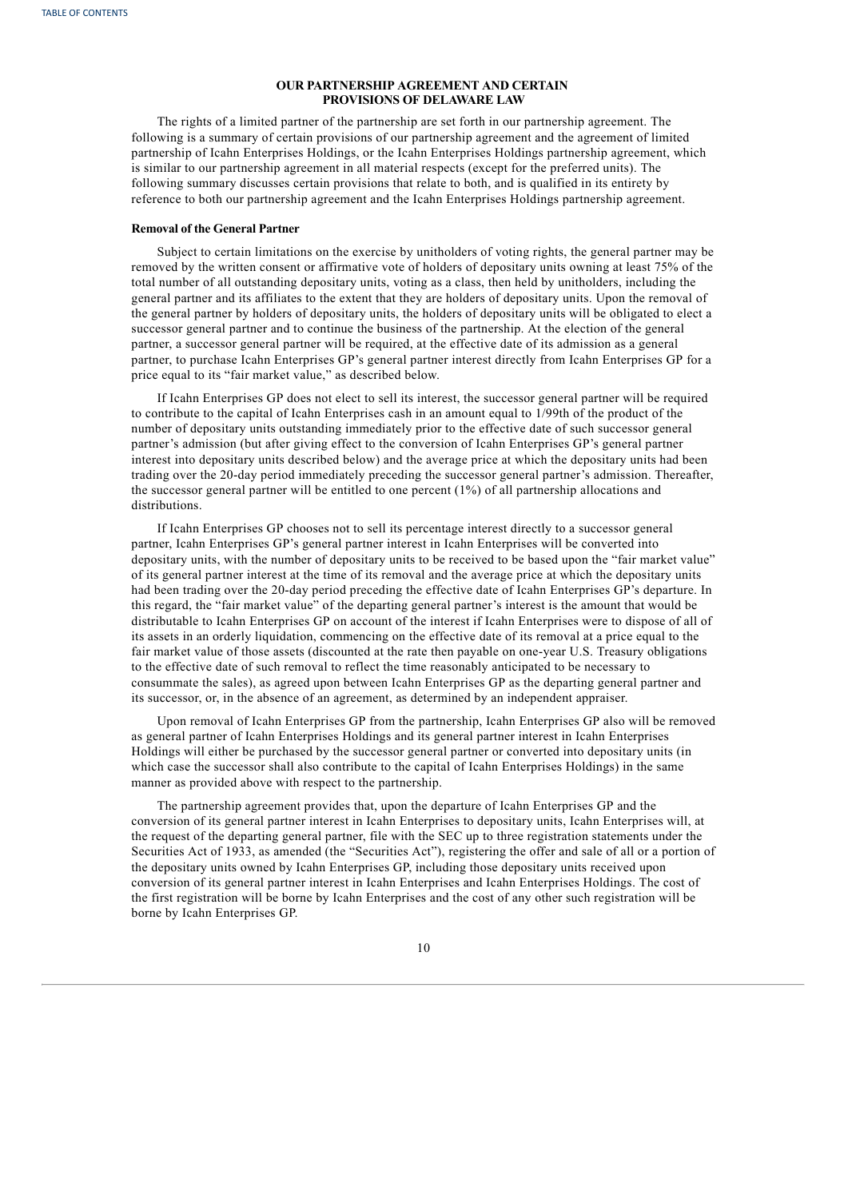# **OUR PARTNERSHIP AGREEMENT AND CERTAIN PROVISIONS OF DELAWARE LAW**

The rights of a limited partner of the partnership are set forth in our partnership agreement. The following is a summary of certain provisions of our partnership agreement and the agreement of limited partnership of Icahn Enterprises Holdings, or the Icahn Enterprises Holdings partnership agreement, which is similar to our partnership agreement in all material respects (except for the preferred units). The following summary discusses certain provisions that relate to both, and is qualified in its entirety by reference to both our partnership agreement and the Icahn Enterprises Holdings partnership agreement.

# **Removal of the General Partner**

Subject to certain limitations on the exercise by unitholders of voting rights, the general partner may be removed by the written consent or affirmative vote of holders of depositary units owning at least 75% of the total number of all outstanding depositary units, voting as a class, then held by unitholders, including the general partner and its affiliates to the extent that they are holders of depositary units. Upon the removal of the general partner by holders of depositary units, the holders of depositary units will be obligated to elect a successor general partner and to continue the business of the partnership. At the election of the general partner, a successor general partner will be required, at the effective date of its admission as a general partner, to purchase Icahn Enterprises GP's general partner interest directly from Icahn Enterprises GP for a price equal to its "fair market value," as described below.

If Icahn Enterprises GP does not elect to sell its interest, the successor general partner will be required to contribute to the capital of Icahn Enterprises cash in an amount equal to 1/99th of the product of the number of depositary units outstanding immediately prior to the effective date of such successor general partner's admission (but after giving effect to the conversion of Icahn Enterprises GP's general partner interest into depositary units described below) and the average price at which the depositary units had been trading over the 20-day period immediately preceding the successor general partner's admission. Thereafter, the successor general partner will be entitled to one percent (1%) of all partnership allocations and distributions.

If Icahn Enterprises GP chooses not to sell its percentage interest directly to a successor general partner, Icahn Enterprises GP's general partner interest in Icahn Enterprises will be converted into depositary units, with the number of depositary units to be received to be based upon the "fair market value" of its general partner interest at the time of its removal and the average price at which the depositary units had been trading over the 20-day period preceding the effective date of Icahn Enterprises GP's departure. In this regard, the "fair market value" of the departing general partner's interest is the amount that would be distributable to Icahn Enterprises GP on account of the interest if Icahn Enterprises were to dispose of all of its assets in an orderly liquidation, commencing on the effective date of its removal at a price equal to the fair market value of those assets (discounted at the rate then payable on one-year U.S. Treasury obligations to the effective date of such removal to reflect the time reasonably anticipated to be necessary to consummate the sales), as agreed upon between Icahn Enterprises GP as the departing general partner and its successor, or, in the absence of an agreement, as determined by an independent appraiser.

Upon removal of Icahn Enterprises GP from the partnership, Icahn Enterprises GP also will be removed as general partner of Icahn Enterprises Holdings and its general partner interest in Icahn Enterprises Holdings will either be purchased by the successor general partner or converted into depositary units (in which case the successor shall also contribute to the capital of Icahn Enterprises Holdings) in the same manner as provided above with respect to the partnership.

The partnership agreement provides that, upon the departure of Icahn Enterprises GP and the conversion of its general partner interest in Icahn Enterprises to depositary units, Icahn Enterprises will, at the request of the departing general partner, file with the SEC up to three registration statements under the Securities Act of 1933, as amended (the "Securities Act"), registering the offer and sale of all or a portion of the depositary units owned by Icahn Enterprises GP, including those depositary units received upon conversion of its general partner interest in Icahn Enterprises and Icahn Enterprises Holdings. The cost of the first registration will be borne by Icahn Enterprises and the cost of any other such registration will be borne by Icahn Enterprises GP.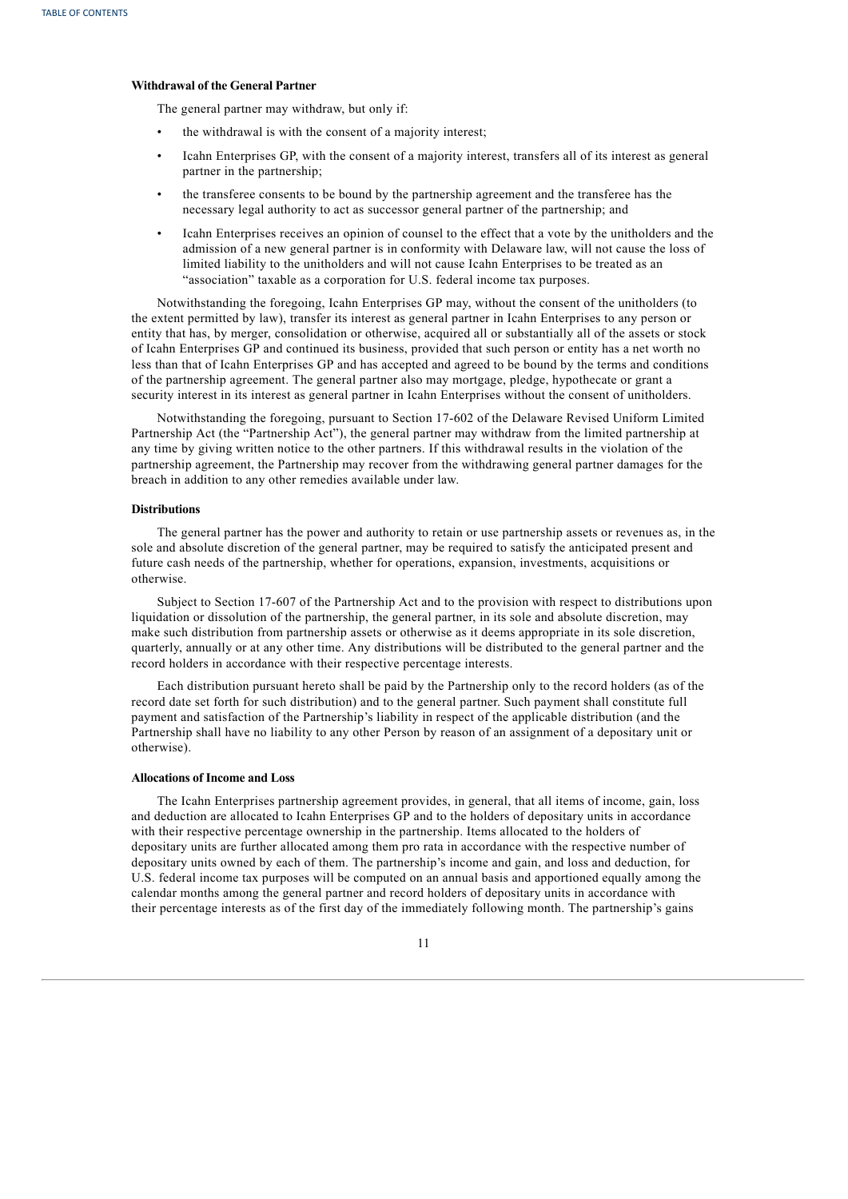# **Withdrawal of the General Partner**

The general partner may withdraw, but only if:

- the withdrawal is with the consent of a majority interest;
- Icahn Enterprises GP, with the consent of a majority interest, transfers all of its interest as general partner in the partnership;
- the transferee consents to be bound by the partnership agreement and the transferee has the necessary legal authority to act as successor general partner of the partnership; and
- Icahn Enterprises receives an opinion of counsel to the effect that a vote by the unitholders and the admission of a new general partner is in conformity with Delaware law, will not cause the loss of limited liability to the unitholders and will not cause Icahn Enterprises to be treated as an "association" taxable as a corporation for U.S. federal income tax purposes.

Notwithstanding the foregoing, Icahn Enterprises GP may, without the consent of the unitholders (to the extent permitted by law), transfer its interest as general partner in Icahn Enterprises to any person or entity that has, by merger, consolidation or otherwise, acquired all or substantially all of the assets or stock of Icahn Enterprises GP and continued its business, provided that such person or entity has a net worth no less than that of Icahn Enterprises GP and has accepted and agreed to be bound by the terms and conditions of the partnership agreement. The general partner also may mortgage, pledge, hypothecate or grant a security interest in its interest as general partner in Icahn Enterprises without the consent of unitholders.

Notwithstanding the foregoing, pursuant to Section 17-602 of the Delaware Revised Uniform Limited Partnership Act (the "Partnership Act"), the general partner may withdraw from the limited partnership at any time by giving written notice to the other partners. If this withdrawal results in the violation of the partnership agreement, the Partnership may recover from the withdrawing general partner damages for the breach in addition to any other remedies available under law.

# **Distributions**

The general partner has the power and authority to retain or use partnership assets or revenues as, in the sole and absolute discretion of the general partner, may be required to satisfy the anticipated present and future cash needs of the partnership, whether for operations, expansion, investments, acquisitions or otherwise.

Subject to Section 17-607 of the Partnership Act and to the provision with respect to distributions upon liquidation or dissolution of the partnership, the general partner, in its sole and absolute discretion, may make such distribution from partnership assets or otherwise as it deems appropriate in its sole discretion, quarterly, annually or at any other time. Any distributions will be distributed to the general partner and the record holders in accordance with their respective percentage interests.

Each distribution pursuant hereto shall be paid by the Partnership only to the record holders (as of the record date set forth for such distribution) and to the general partner. Such payment shall constitute full payment and satisfaction of the Partnership's liability in respect of the applicable distribution (and the Partnership shall have no liability to any other Person by reason of an assignment of a depositary unit or otherwise).

# **Allocations of Income and Loss**

The Icahn Enterprises partnership agreement provides, in general, that all items of income, gain, loss and deduction are allocated to Icahn Enterprises GP and to the holders of depositary units in accordance with their respective percentage ownership in the partnership. Items allocated to the holders of depositary units are further allocated among them pro rata in accordance with the respective number of depositary units owned by each of them. The partnership's income and gain, and loss and deduction, for U.S. federal income tax purposes will be computed on an annual basis and apportioned equally among the calendar months among the general partner and record holders of depositary units in accordance with their percentage interests as of the first day of the immediately following month. The partnership's gains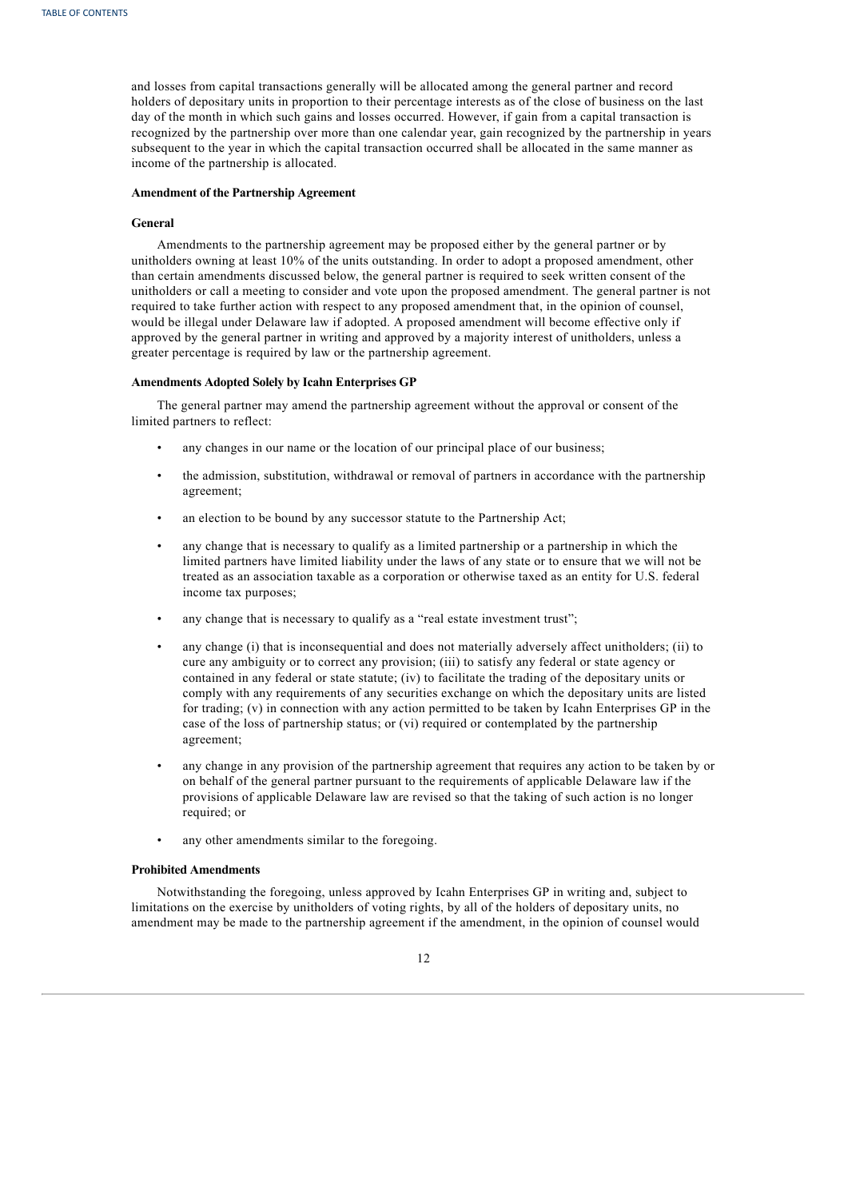and losses from capital transactions generally will be allocated among the general partner and record holders of depositary units in proportion to their percentage interests as of the close of business on the last day of the month in which such gains and losses occurred. However, if gain from a capital transaction is recognized by the partnership over more than one calendar year, gain recognized by the partnership in years subsequent to the year in which the capital transaction occurred shall be allocated in the same manner as income of the partnership is allocated.

## **Amendment of the Partnership Agreement**

## **General**

Amendments to the partnership agreement may be proposed either by the general partner or by unitholders owning at least 10% of the units outstanding. In order to adopt a proposed amendment, other than certain amendments discussed below, the general partner is required to seek written consent of the unitholders or call a meeting to consider and vote upon the proposed amendment. The general partner is not required to take further action with respect to any proposed amendment that, in the opinion of counsel, would be illegal under Delaware law if adopted. A proposed amendment will become effective only if approved by the general partner in writing and approved by a majority interest of unitholders, unless a greater percentage is required by law or the partnership agreement.

# **Amendments Adopted Solely by Icahn Enterprises GP**

The general partner may amend the partnership agreement without the approval or consent of the limited partners to reflect:

- any changes in our name or the location of our principal place of our business;
- the admission, substitution, withdrawal or removal of partners in accordance with the partnership agreement;
- an election to be bound by any successor statute to the Partnership Act;
- any change that is necessary to qualify as a limited partnership or a partnership in which the limited partners have limited liability under the laws of any state or to ensure that we will not be treated as an association taxable as a corporation or otherwise taxed as an entity for U.S. federal income tax purposes;
- any change that is necessary to qualify as a "real estate investment trust";
- any change (i) that is inconsequential and does not materially adversely affect unitholders; (ii) to cure any ambiguity or to correct any provision; (iii) to satisfy any federal or state agency or contained in any federal or state statute; (iv) to facilitate the trading of the depositary units or comply with any requirements of any securities exchange on which the depositary units are listed for trading; (v) in connection with any action permitted to be taken by Icahn Enterprises GP in the case of the loss of partnership status; or (vi) required or contemplated by the partnership agreement;
- any change in any provision of the partnership agreement that requires any action to be taken by or on behalf of the general partner pursuant to the requirements of applicable Delaware law if the provisions of applicable Delaware law are revised so that the taking of such action is no longer required; or
- any other amendments similar to the foregoing.

#### **Prohibited Amendments**

Notwithstanding the foregoing, unless approved by Icahn Enterprises GP in writing and, subject to limitations on the exercise by unitholders of voting rights, by all of the holders of depositary units, no amendment may be made to the partnership agreement if the amendment, in the opinion of counsel would

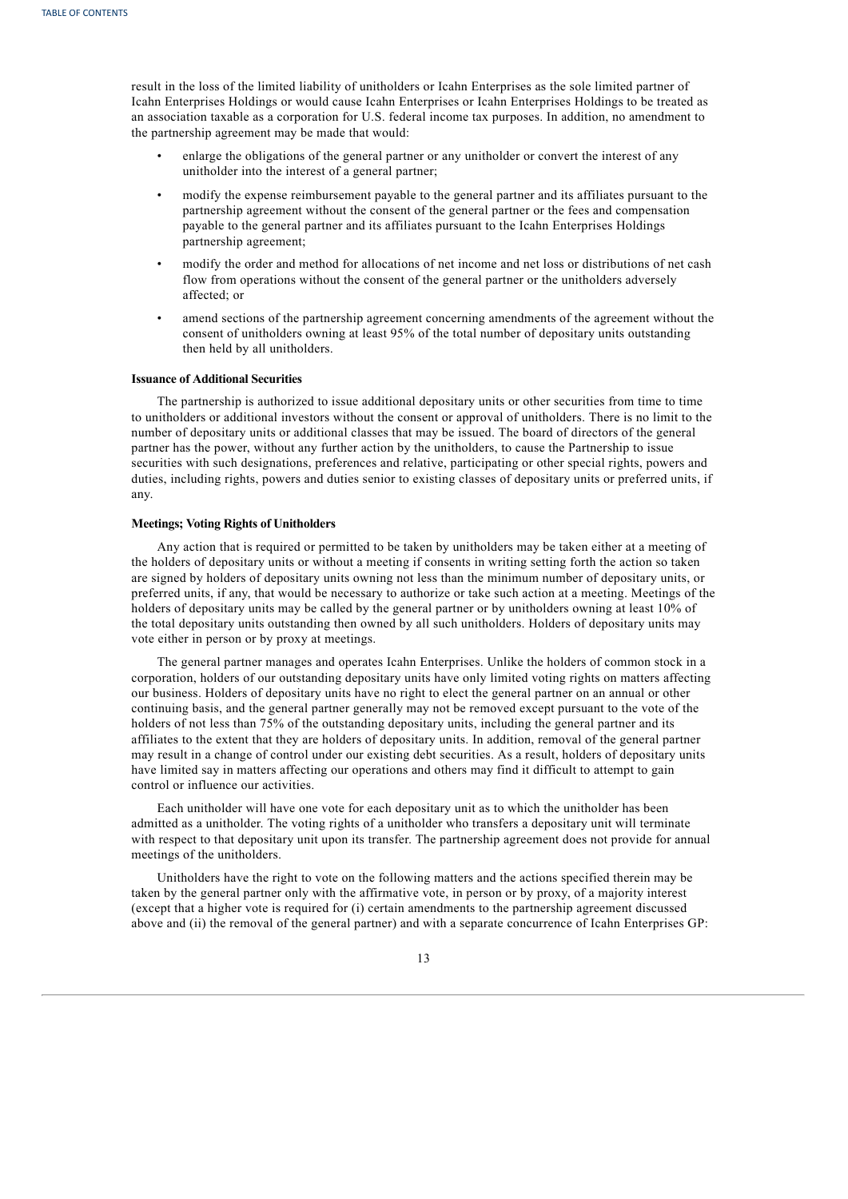result in the loss of the limited liability of unitholders or Icahn Enterprises as the sole limited partner of Icahn Enterprises Holdings or would cause Icahn Enterprises or Icahn Enterprises Holdings to be treated as an association taxable as a corporation for U.S. federal income tax purposes. In addition, no amendment to the partnership agreement may be made that would:

- enlarge the obligations of the general partner or any unitholder or convert the interest of any unitholder into the interest of a general partner;
- modify the expense reimbursement payable to the general partner and its affiliates pursuant to the partnership agreement without the consent of the general partner or the fees and compensation payable to the general partner and its affiliates pursuant to the Icahn Enterprises Holdings partnership agreement;
- modify the order and method for allocations of net income and net loss or distributions of net cash flow from operations without the consent of the general partner or the unitholders adversely affected; or
- amend sections of the partnership agreement concerning amendments of the agreement without the consent of unitholders owning at least 95% of the total number of depositary units outstanding then held by all unitholders.

#### **Issuance of Additional Securities**

The partnership is authorized to issue additional depositary units or other securities from time to time to unitholders or additional investors without the consent or approval of unitholders. There is no limit to the number of depositary units or additional classes that may be issued. The board of directors of the general partner has the power, without any further action by the unitholders, to cause the Partnership to issue securities with such designations, preferences and relative, participating or other special rights, powers and duties, including rights, powers and duties senior to existing classes of depositary units or preferred units, if any.

## **Meetings; Voting Rights of Unitholders**

Any action that is required or permitted to be taken by unitholders may be taken either at a meeting of the holders of depositary units or without a meeting if consents in writing setting forth the action so taken are signed by holders of depositary units owning not less than the minimum number of depositary units, or preferred units, if any, that would be necessary to authorize or take such action at a meeting. Meetings of the holders of depositary units may be called by the general partner or by unitholders owning at least 10% of the total depositary units outstanding then owned by all such unitholders. Holders of depositary units may vote either in person or by proxy at meetings.

The general partner manages and operates Icahn Enterprises. Unlike the holders of common stock in a corporation, holders of our outstanding depositary units have only limited voting rights on matters affecting our business. Holders of depositary units have no right to elect the general partner on an annual or other continuing basis, and the general partner generally may not be removed except pursuant to the vote of the holders of not less than 75% of the outstanding depositary units, including the general partner and its affiliates to the extent that they are holders of depositary units. In addition, removal of the general partner may result in a change of control under our existing debt securities. As a result, holders of depositary units have limited say in matters affecting our operations and others may find it difficult to attempt to gain control or influence our activities.

Each unitholder will have one vote for each depositary unit as to which the unitholder has been admitted as a unitholder. The voting rights of a unitholder who transfers a depositary unit will terminate with respect to that depositary unit upon its transfer. The partnership agreement does not provide for annual meetings of the unitholders.

Unitholders have the right to vote on the following matters and the actions specified therein may be taken by the general partner only with the affirmative vote, in person or by proxy, of a majority interest (except that a higher vote is required for (i) certain amendments to the partnership agreement discussed above and (ii) the removal of the general partner) and with a separate concurrence of Icahn Enterprises GP: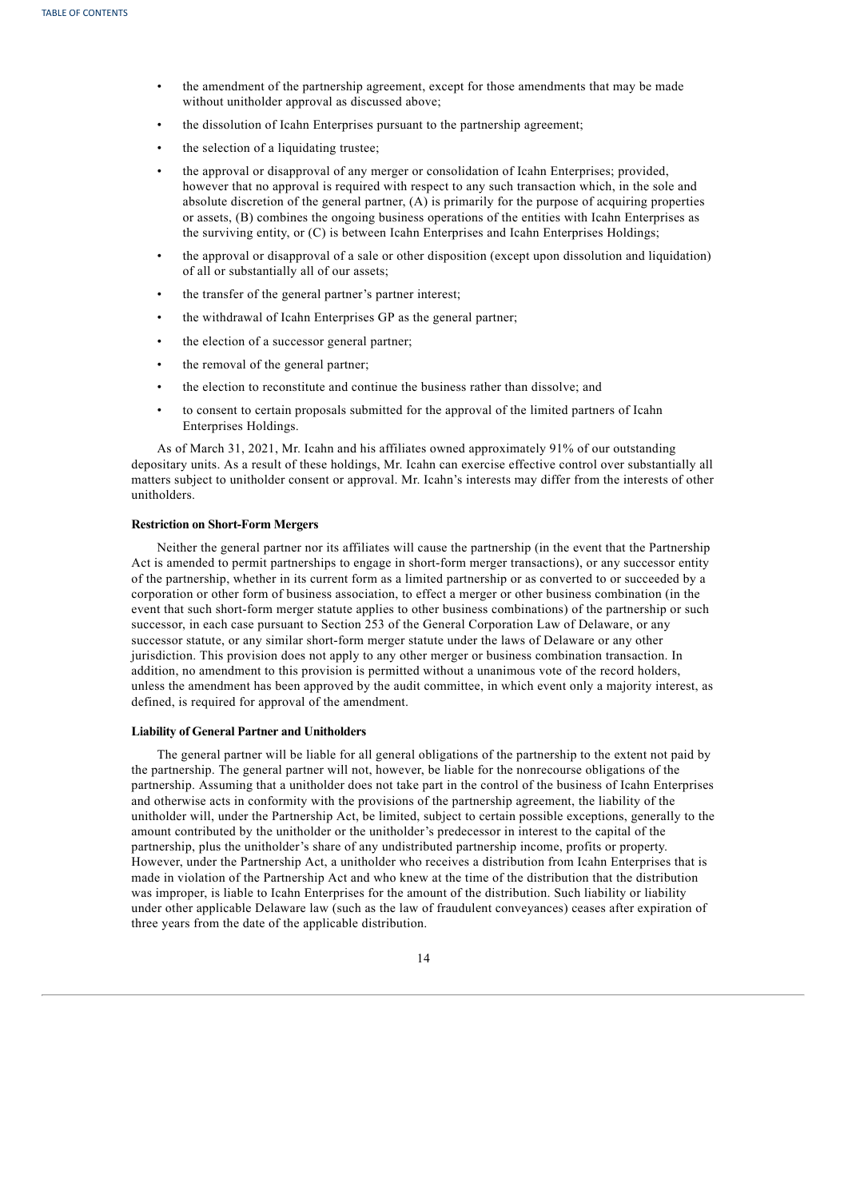- the amendment of the partnership agreement, except for those amendments that may be made without unitholder approval as discussed above;
- the dissolution of Icahn Enterprises pursuant to the partnership agreement;
- the selection of a liquidating trustee;
- the approval or disapproval of any merger or consolidation of Icahn Enterprises; provided, however that no approval is required with respect to any such transaction which, in the sole and absolute discretion of the general partner, (A) is primarily for the purpose of acquiring properties or assets, (B) combines the ongoing business operations of the entities with Icahn Enterprises as the surviving entity, or (C) is between Icahn Enterprises and Icahn Enterprises Holdings;
- the approval or disapproval of a sale or other disposition (except upon dissolution and liquidation) of all or substantially all of our assets;
- the transfer of the general partner's partner interest;
- the withdrawal of Icahn Enterprises GP as the general partner;
- the election of a successor general partner;
- the removal of the general partner;
- the election to reconstitute and continue the business rather than dissolve; and
- to consent to certain proposals submitted for the approval of the limited partners of Icahn Enterprises Holdings.

As of March 31, 2021, Mr. Icahn and his affiliates owned approximately 91% of our outstanding depositary units. As a result of these holdings, Mr. Icahn can exercise effective control over substantially all matters subject to unitholder consent or approval. Mr. Icahn's interests may differ from the interests of other unitholders.

# **Restriction on Short-Form Mergers**

Neither the general partner nor its affiliates will cause the partnership (in the event that the Partnership Act is amended to permit partnerships to engage in short-form merger transactions), or any successor entity of the partnership, whether in its current form as a limited partnership or as converted to or succeeded by a corporation or other form of business association, to effect a merger or other business combination (in the event that such short-form merger statute applies to other business combinations) of the partnership or such successor, in each case pursuant to Section 253 of the General Corporation Law of Delaware, or any successor statute, or any similar short-form merger statute under the laws of Delaware or any other jurisdiction. This provision does not apply to any other merger or business combination transaction. In addition, no amendment to this provision is permitted without a unanimous vote of the record holders, unless the amendment has been approved by the audit committee, in which event only a majority interest, as defined, is required for approval of the amendment.

# **Liability of General Partner and Unitholders**

The general partner will be liable for all general obligations of the partnership to the extent not paid by the partnership. The general partner will not, however, be liable for the nonrecourse obligations of the partnership. Assuming that a unitholder does not take part in the control of the business of Icahn Enterprises and otherwise acts in conformity with the provisions of the partnership agreement, the liability of the unitholder will, under the Partnership Act, be limited, subject to certain possible exceptions, generally to the amount contributed by the unitholder or the unitholder's predecessor in interest to the capital of the partnership, plus the unitholder's share of any undistributed partnership income, profits or property. However, under the Partnership Act, a unitholder who receives a distribution from Icahn Enterprises that is made in violation of the Partnership Act and who knew at the time of the distribution that the distribution was improper, is liable to Icahn Enterprises for the amount of the distribution. Such liability or liability under other applicable Delaware law (such as the law of fraudulent conveyances) ceases after expiration of three years from the date of the applicable distribution.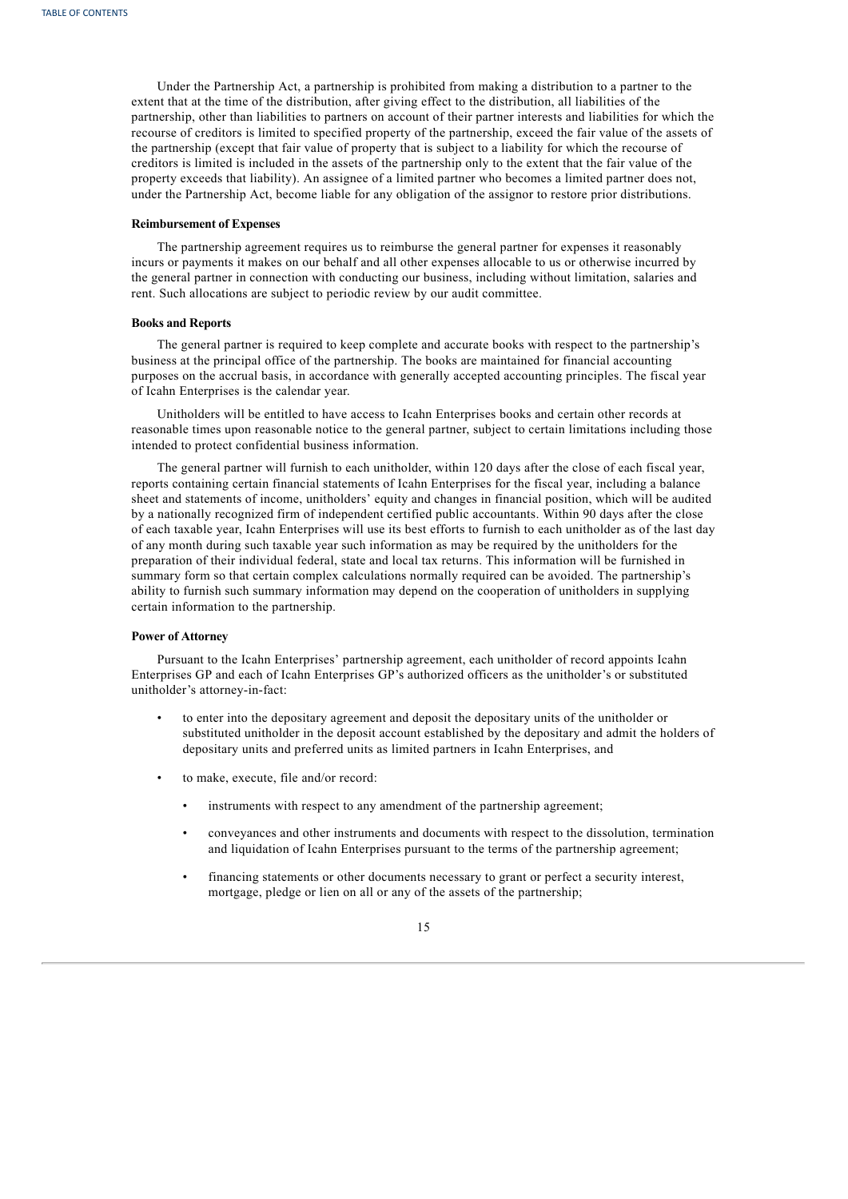Under the Partnership Act, a partnership is prohibited from making a distribution to a partner to the extent that at the time of the distribution, after giving effect to the distribution, all liabilities of the partnership, other than liabilities to partners on account of their partner interests and liabilities for which the recourse of creditors is limited to specified property of the partnership, exceed the fair value of the assets of the partnership (except that fair value of property that is subject to a liability for which the recourse of creditors is limited is included in the assets of the partnership only to the extent that the fair value of the property exceeds that liability). An assignee of a limited partner who becomes a limited partner does not, under the Partnership Act, become liable for any obligation of the assignor to restore prior distributions.

# **Reimbursement of Expenses**

The partnership agreement requires us to reimburse the general partner for expenses it reasonably incurs or payments it makes on our behalf and all other expenses allocable to us or otherwise incurred by the general partner in connection with conducting our business, including without limitation, salaries and rent. Such allocations are subject to periodic review by our audit committee.

#### **Books and Reports**

The general partner is required to keep complete and accurate books with respect to the partnership's business at the principal office of the partnership. The books are maintained for financial accounting purposes on the accrual basis, in accordance with generally accepted accounting principles. The fiscal year of Icahn Enterprises is the calendar year.

Unitholders will be entitled to have access to Icahn Enterprises books and certain other records at reasonable times upon reasonable notice to the general partner, subject to certain limitations including those intended to protect confidential business information.

The general partner will furnish to each unitholder, within 120 days after the close of each fiscal year, reports containing certain financial statements of Icahn Enterprises for the fiscal year, including a balance sheet and statements of income, unitholders' equity and changes in financial position, which will be audited by a nationally recognized firm of independent certified public accountants. Within 90 days after the close of each taxable year, Icahn Enterprises will use its best efforts to furnish to each unitholder as of the last day of any month during such taxable year such information as may be required by the unitholders for the preparation of their individual federal, state and local tax returns. This information will be furnished in summary form so that certain complex calculations normally required can be avoided. The partnership's ability to furnish such summary information may depend on the cooperation of unitholders in supplying certain information to the partnership.

#### **Power of Attorney**

Pursuant to the Icahn Enterprises' partnership agreement, each unitholder of record appoints Icahn Enterprises GP and each of Icahn Enterprises GP's authorized officers as the unitholder's or substituted unitholder's attorney-in-fact:

- to enter into the depositary agreement and deposit the depositary units of the unitholder or substituted unitholder in the deposit account established by the depositary and admit the holders of depositary units and preferred units as limited partners in Icahn Enterprises, and
- to make, execute, file and/or record:
	- instruments with respect to any amendment of the partnership agreement;
	- conveyances and other instruments and documents with respect to the dissolution, termination and liquidation of Icahn Enterprises pursuant to the terms of the partnership agreement;
	- financing statements or other documents necessary to grant or perfect a security interest, mortgage, pledge or lien on all or any of the assets of the partnership;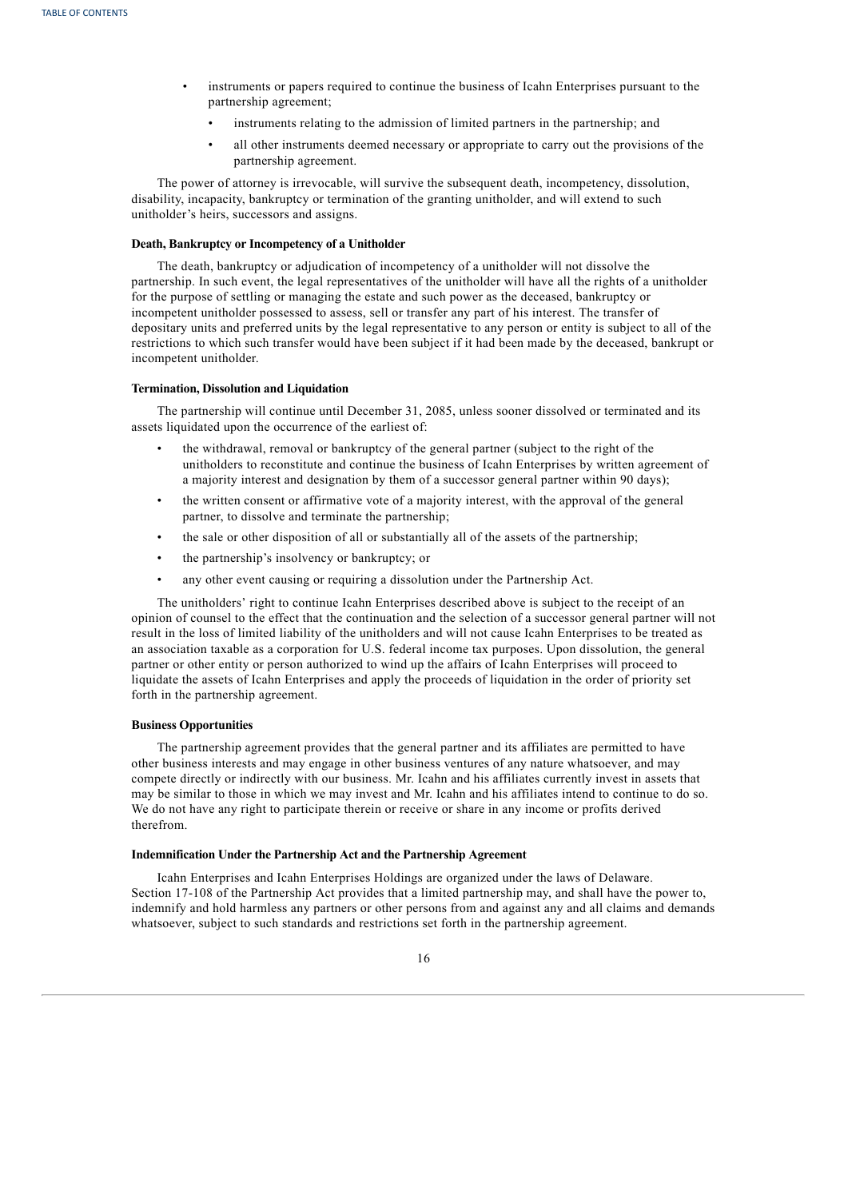- instruments or papers required to continue the business of Icahn Enterprises pursuant to the partnership agreement;
	- instruments relating to the admission of limited partners in the partnership; and
	- all other instruments deemed necessary or appropriate to carry out the provisions of the partnership agreement.

The power of attorney is irrevocable, will survive the subsequent death, incompetency, dissolution, disability, incapacity, bankruptcy or termination of the granting unitholder, and will extend to such unitholder's heirs, successors and assigns.

# **Death, Bankruptcy or Incompetency of a Unitholder**

The death, bankruptcy or adjudication of incompetency of a unitholder will not dissolve the partnership. In such event, the legal representatives of the unitholder will have all the rights of a unitholder for the purpose of settling or managing the estate and such power as the deceased, bankruptcy or incompetent unitholder possessed to assess, sell or transfer any part of his interest. The transfer of depositary units and preferred units by the legal representative to any person or entity is subject to all of the restrictions to which such transfer would have been subject if it had been made by the deceased, bankrupt or incompetent unitholder.

# **Termination, Dissolution and Liquidation**

The partnership will continue until December 31, 2085, unless sooner dissolved or terminated and its assets liquidated upon the occurrence of the earliest of:

- the withdrawal, removal or bankruptcy of the general partner (subject to the right of the unitholders to reconstitute and continue the business of Icahn Enterprises by written agreement of a majority interest and designation by them of a successor general partner within 90 days);
- the written consent or affirmative vote of a majority interest, with the approval of the general partner, to dissolve and terminate the partnership;
- the sale or other disposition of all or substantially all of the assets of the partnership;
- the partnership's insolvency or bankruptcy; or
- any other event causing or requiring a dissolution under the Partnership Act.

The unitholders' right to continue Icahn Enterprises described above is subject to the receipt of an opinion of counsel to the effect that the continuation and the selection of a successor general partner will not result in the loss of limited liability of the unitholders and will not cause Icahn Enterprises to be treated as an association taxable as a corporation for U.S. federal income tax purposes. Upon dissolution, the general partner or other entity or person authorized to wind up the affairs of Icahn Enterprises will proceed to liquidate the assets of Icahn Enterprises and apply the proceeds of liquidation in the order of priority set forth in the partnership agreement.

#### **Business Opportunities**

The partnership agreement provides that the general partner and its affiliates are permitted to have other business interests and may engage in other business ventures of any nature whatsoever, and may compete directly or indirectly with our business. Mr. Icahn and his affiliates currently invest in assets that may be similar to those in which we may invest and Mr. Icahn and his affiliates intend to continue to do so. We do not have any right to participate therein or receive or share in any income or profits derived therefrom.

#### **Indemnification Under the Partnership Act and the Partnership Agreement**

Icahn Enterprises and Icahn Enterprises Holdings are organized under the laws of Delaware. Section 17-108 of the Partnership Act provides that a limited partnership may, and shall have the power to, indemnify and hold harmless any partners or other persons from and against any and all claims and demands whatsoever, subject to such standards and restrictions set forth in the partnership agreement.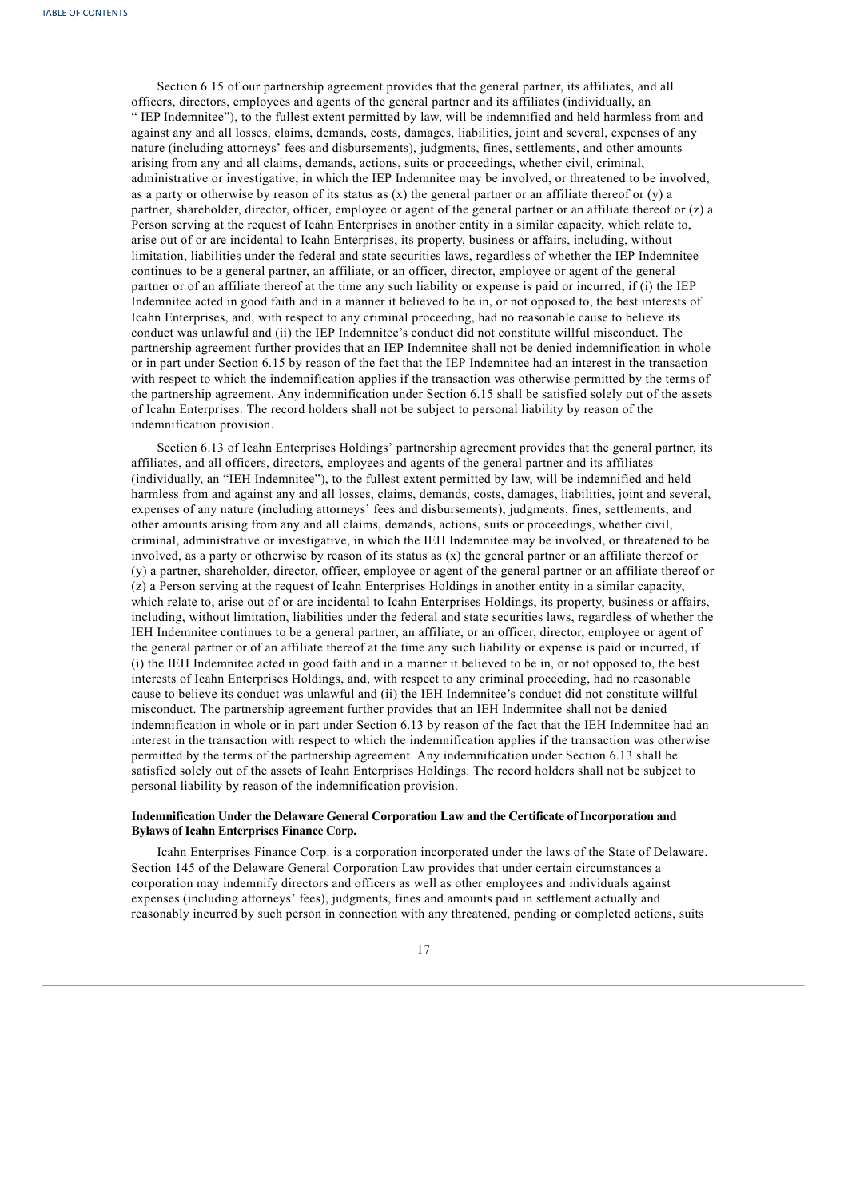Section 6.15 of our partnership agreement provides that the general partner, its affiliates, and all officers, directors, employees and agents of the general partner and its affiliates (individually, an " IEP Indemnitee"), to the fullest extent permitted by law, will be indemnified and held harmless from and against any and all losses, claims, demands, costs, damages, liabilities, joint and several, expenses of any nature (including attorneys' fees and disbursements), judgments, fines, settlements, and other amounts arising from any and all claims, demands, actions, suits or proceedings, whether civil, criminal, administrative or investigative, in which the IEP Indemnitee may be involved, or threatened to be involved, as a party or otherwise by reason of its status as  $(x)$  the general partner or an affiliate thereof or  $(y)$  a partner, shareholder, director, officer, employee or agent of the general partner or an affiliate thereof or (z) a Person serving at the request of Icahn Enterprises in another entity in a similar capacity, which relate to, arise out of or are incidental to Icahn Enterprises, its property, business or affairs, including, without limitation, liabilities under the federal and state securities laws, regardless of whether the IEP Indemnitee continues to be a general partner, an affiliate, or an officer, director, employee or agent of the general partner or of an affiliate thereof at the time any such liability or expense is paid or incurred, if (i) the IEP Indemnitee acted in good faith and in a manner it believed to be in, or not opposed to, the best interests of Icahn Enterprises, and, with respect to any criminal proceeding, had no reasonable cause to believe its conduct was unlawful and (ii) the IEP Indemnitee's conduct did not constitute willful misconduct. The partnership agreement further provides that an IEP Indemnitee shall not be denied indemnification in whole or in part under Section 6.15 by reason of the fact that the IEP Indemnitee had an interest in the transaction with respect to which the indemnification applies if the transaction was otherwise permitted by the terms of the partnership agreement. Any indemnification under Section 6.15 shall be satisfied solely out of the assets of Icahn Enterprises. The record holders shall not be subject to personal liability by reason of the indemnification provision.

Section 6.13 of Icahn Enterprises Holdings' partnership agreement provides that the general partner, its affiliates, and all officers, directors, employees and agents of the general partner and its affiliates (individually, an "IEH Indemnitee"), to the fullest extent permitted by law, will be indemnified and held harmless from and against any and all losses, claims, demands, costs, damages, liabilities, joint and several, expenses of any nature (including attorneys' fees and disbursements), judgments, fines, settlements, and other amounts arising from any and all claims, demands, actions, suits or proceedings, whether civil, criminal, administrative or investigative, in which the IEH Indemnitee may be involved, or threatened to be involved, as a party or otherwise by reason of its status as  $(x)$  the general partner or an affiliate thereof or (y) a partner, shareholder, director, officer, employee or agent of the general partner or an affiliate thereof or (z) a Person serving at the request of Icahn Enterprises Holdings in another entity in a similar capacity, which relate to, arise out of or are incidental to Icahn Enterprises Holdings, its property, business or affairs, including, without limitation, liabilities under the federal and state securities laws, regardless of whether the IEH Indemnitee continues to be a general partner, an affiliate, or an officer, director, employee or agent of the general partner or of an affiliate thereof at the time any such liability or expense is paid or incurred, if (i) the IEH Indemnitee acted in good faith and in a manner it believed to be in, or not opposed to, the best interests of Icahn Enterprises Holdings, and, with respect to any criminal proceeding, had no reasonable cause to believe its conduct was unlawful and (ii) the IEH Indemnitee's conduct did not constitute willful misconduct. The partnership agreement further provides that an IEH Indemnitee shall not be denied indemnification in whole or in part under Section 6.13 by reason of the fact that the IEH Indemnitee had an interest in the transaction with respect to which the indemnification applies if the transaction was otherwise permitted by the terms of the partnership agreement. Any indemnification under Section 6.13 shall be satisfied solely out of the assets of Icahn Enterprises Holdings. The record holders shall not be subject to personal liability by reason of the indemnification provision.

# **Indemnification Under the Delaware General Corporation Law and the Certificate of Incorporation and Bylaws of Icahn Enterprises Finance Corp.**

Icahn Enterprises Finance Corp. is a corporation incorporated under the laws of the State of Delaware. Section 145 of the Delaware General Corporation Law provides that under certain circumstances a corporation may indemnify directors and officers as well as other employees and individuals against expenses (including attorneys' fees), judgments, fines and amounts paid in settlement actually and reasonably incurred by such person in connection with any threatened, pending or completed actions, suits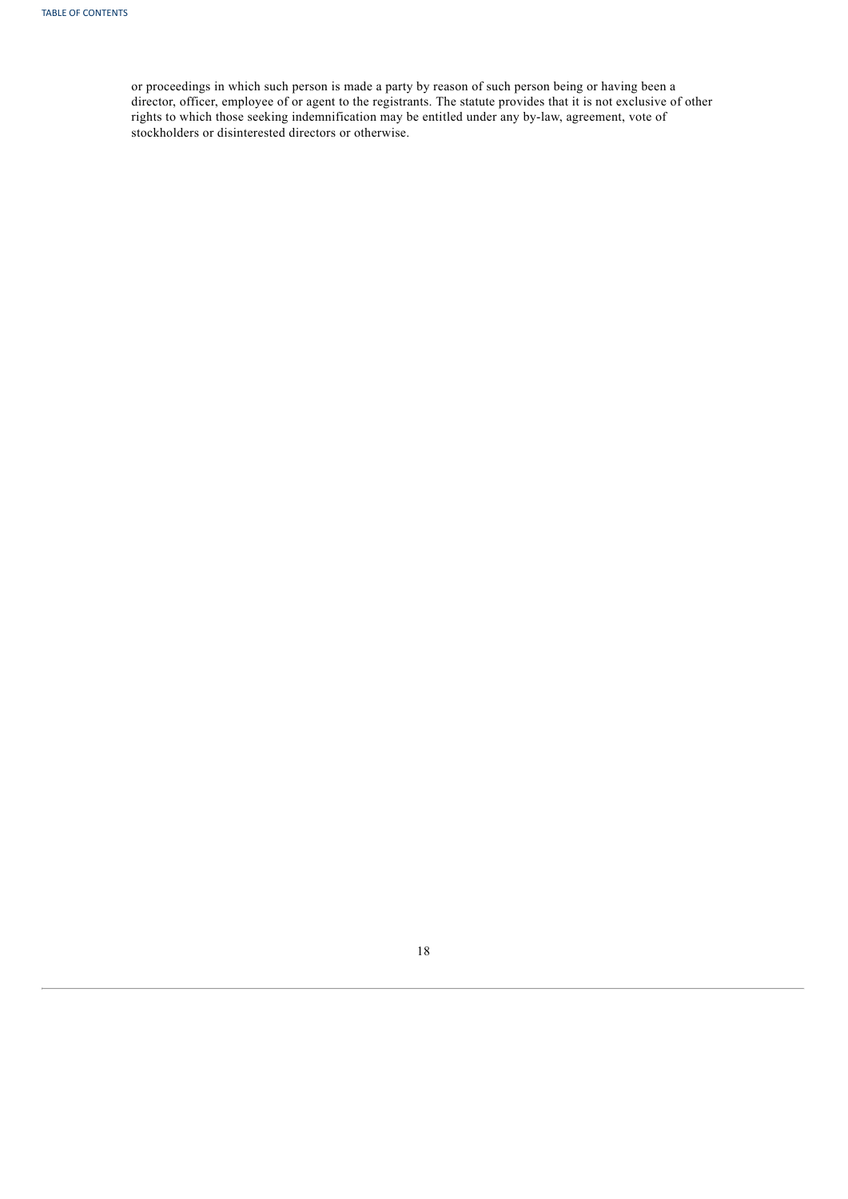<span id="page-45-0"></span>or proceedings in which such person is made a party by reason of such person being or having been a director, officer, employee of or agent to the registrants. The statute provides that it is not exclusive of other rights to which those seeking indemnification may be entitled under any by-law, agreement, vote of stockholders or disinterested directors or otherwise.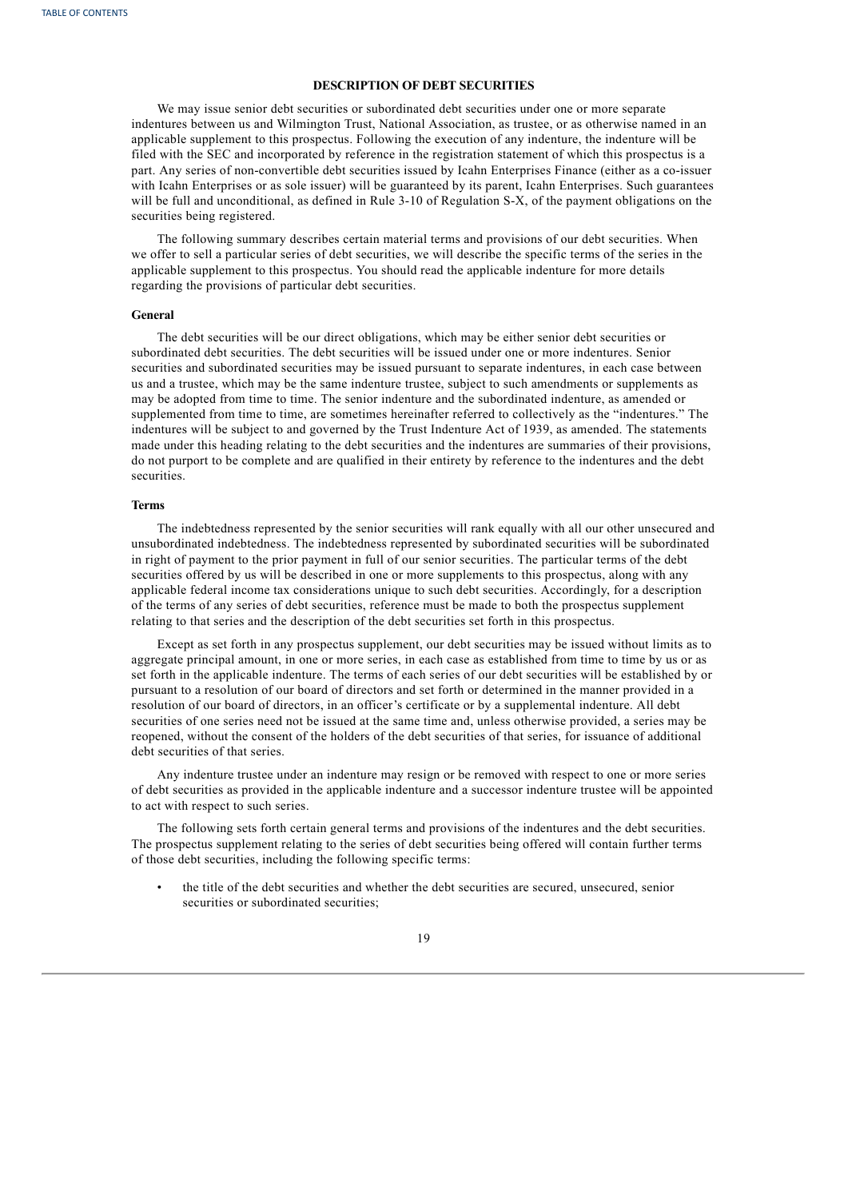# **DESCRIPTION OF DEBT SECURITIES**

We may issue senior debt securities or subordinated debt securities under one or more separate indentures between us and Wilmington Trust, National Association, as trustee, or as otherwise named in an applicable supplement to this prospectus. Following the execution of any indenture, the indenture will be filed with the SEC and incorporated by reference in the registration statement of which this prospectus is a part. Any series of non-convertible debt securities issued by Icahn Enterprises Finance (either as a co-issuer with Icahn Enterprises or as sole issuer) will be guaranteed by its parent, Icahn Enterprises. Such guarantees will be full and unconditional, as defined in Rule 3-10 of Regulation S-X, of the payment obligations on the securities being registered.

The following summary describes certain material terms and provisions of our debt securities. When we offer to sell a particular series of debt securities, we will describe the specific terms of the series in the applicable supplement to this prospectus. You should read the applicable indenture for more details regarding the provisions of particular debt securities.

#### **General**

The debt securities will be our direct obligations, which may be either senior debt securities or subordinated debt securities. The debt securities will be issued under one or more indentures. Senior securities and subordinated securities may be issued pursuant to separate indentures, in each case between us and a trustee, which may be the same indenture trustee, subject to such amendments or supplements as may be adopted from time to time. The senior indenture and the subordinated indenture, as amended or supplemented from time to time, are sometimes hereinafter referred to collectively as the "indentures." The indentures will be subject to and governed by the Trust Indenture Act of 1939, as amended. The statements made under this heading relating to the debt securities and the indentures are summaries of their provisions, do not purport to be complete and are qualified in their entirety by reference to the indentures and the debt securities.

#### **Terms**

The indebtedness represented by the senior securities will rank equally with all our other unsecured and unsubordinated indebtedness. The indebtedness represented by subordinated securities will be subordinated in right of payment to the prior payment in full of our senior securities. The particular terms of the debt securities offered by us will be described in one or more supplements to this prospectus, along with any applicable federal income tax considerations unique to such debt securities. Accordingly, for a description of the terms of any series of debt securities, reference must be made to both the prospectus supplement relating to that series and the description of the debt securities set forth in this prospectus.

Except as set forth in any prospectus supplement, our debt securities may be issued without limits as to aggregate principal amount, in one or more series, in each case as established from time to time by us or as set forth in the applicable indenture. The terms of each series of our debt securities will be established by or pursuant to a resolution of our board of directors and set forth or determined in the manner provided in a resolution of our board of directors, in an officer's certificate or by a supplemental indenture. All debt securities of one series need not be issued at the same time and, unless otherwise provided, a series may be reopened, without the consent of the holders of the debt securities of that series, for issuance of additional debt securities of that series.

Any indenture trustee under an indenture may resign or be removed with respect to one or more series of debt securities as provided in the applicable indenture and a successor indenture trustee will be appointed to act with respect to such series.

The following sets forth certain general terms and provisions of the indentures and the debt securities. The prospectus supplement relating to the series of debt securities being offered will contain further terms of those debt securities, including the following specific terms:

• the title of the debt securities and whether the debt securities are secured, unsecured, senior securities or subordinated securities;

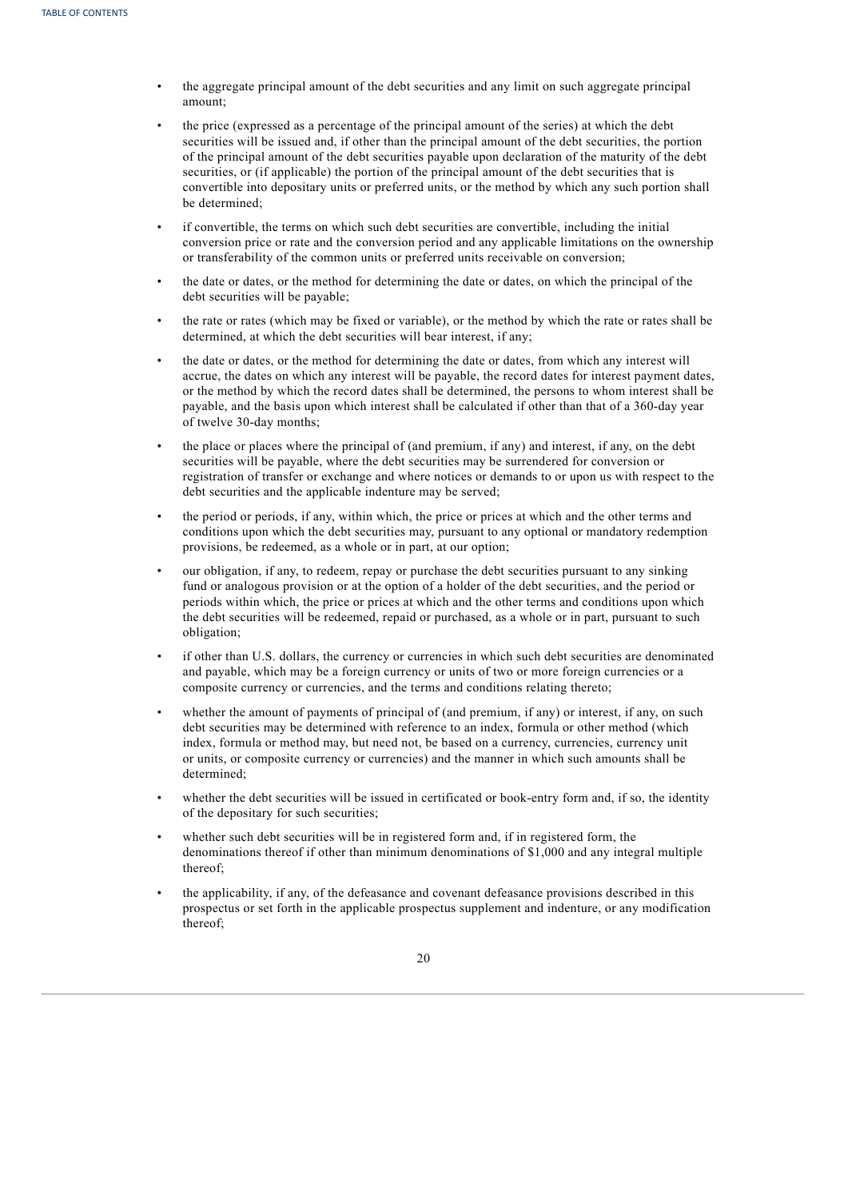- the aggregate principal amount of the debt securities and any limit on such aggregate principal amount;
- the price (expressed as a percentage of the principal amount of the series) at which the debt securities will be issued and, if other than the principal amount of the debt securities, the portion of the principal amount of the debt securities payable upon declaration of the maturity of the debt securities, or (if applicable) the portion of the principal amount of the debt securities that is convertible into depositary units or preferred units, or the method by which any such portion shall be determined;
- if convertible, the terms on which such debt securities are convertible, including the initial conversion price or rate and the conversion period and any applicable limitations on the ownership or transferability of the common units or preferred units receivable on conversion;
- the date or dates, or the method for determining the date or dates, on which the principal of the debt securities will be payable;
- the rate or rates (which may be fixed or variable), or the method by which the rate or rates shall be determined, at which the debt securities will bear interest, if any;
- the date or dates, or the method for determining the date or dates, from which any interest will accrue, the dates on which any interest will be payable, the record dates for interest payment dates, or the method by which the record dates shall be determined, the persons to whom interest shall be payable, and the basis upon which interest shall be calculated if other than that of a 360-day year of twelve 30-day months;
- the place or places where the principal of (and premium, if any) and interest, if any, on the debt securities will be payable, where the debt securities may be surrendered for conversion or registration of transfer or exchange and where notices or demands to or upon us with respect to the debt securities and the applicable indenture may be served;
- the period or periods, if any, within which, the price or prices at which and the other terms and conditions upon which the debt securities may, pursuant to any optional or mandatory redemption provisions, be redeemed, as a whole or in part, at our option;
- our obligation, if any, to redeem, repay or purchase the debt securities pursuant to any sinking fund or analogous provision or at the option of a holder of the debt securities, and the period or periods within which, the price or prices at which and the other terms and conditions upon which the debt securities will be redeemed, repaid or purchased, as a whole or in part, pursuant to such obligation;
- if other than U.S. dollars, the currency or currencies in which such debt securities are denominated and payable, which may be a foreign currency or units of two or more foreign currencies or a composite currency or currencies, and the terms and conditions relating thereto;
- whether the amount of payments of principal of (and premium, if any) or interest, if any, on such debt securities may be determined with reference to an index, formula or other method (which index, formula or method may, but need not, be based on a currency, currencies, currency unit or units, or composite currency or currencies) and the manner in which such amounts shall be determined;
- whether the debt securities will be issued in certificated or book-entry form and, if so, the identity of the depositary for such securities;
- whether such debt securities will be in registered form and, if in registered form, the denominations thereof if other than minimum denominations of \$1,000 and any integral multiple thereof;
- the applicability, if any, of the defeasance and covenant defeasance provisions described in this prospectus or set forth in the applicable prospectus supplement and indenture, or any modification thereof;

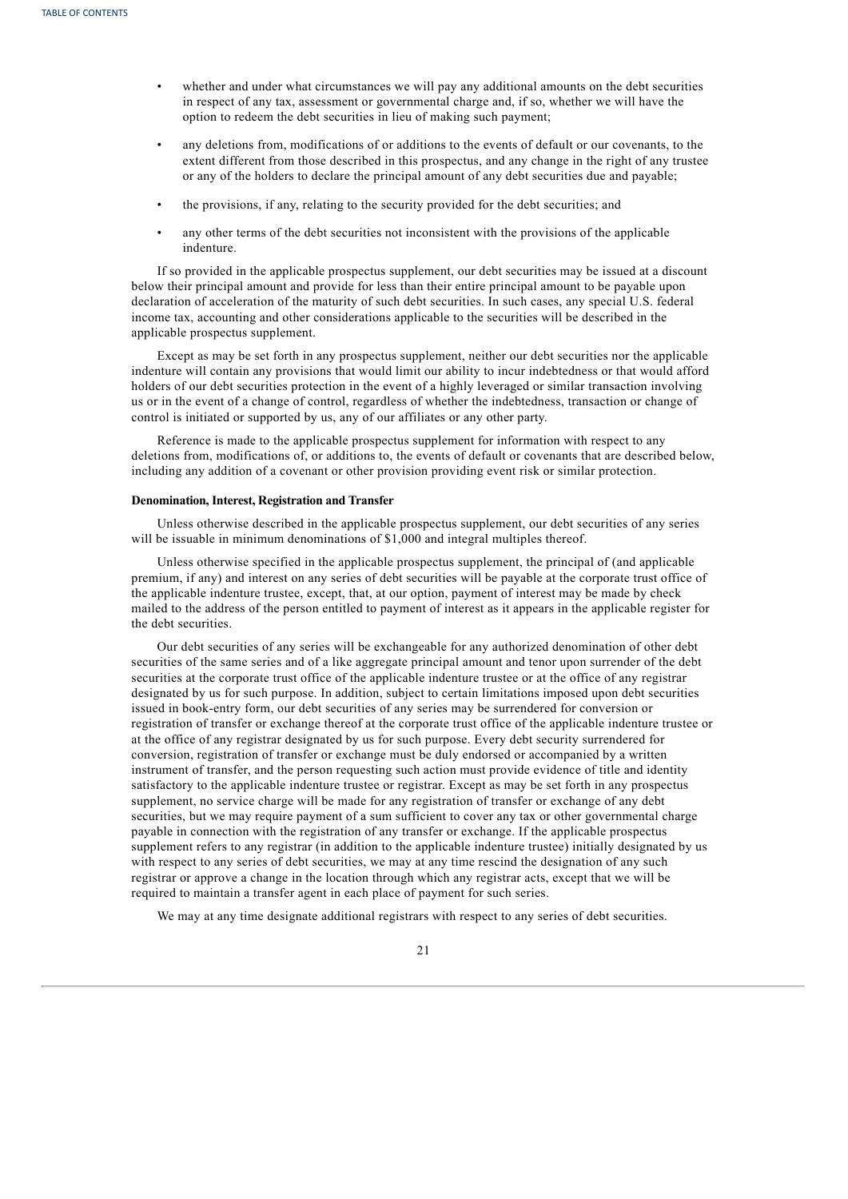- whether and under what circumstances we will pay any additional amounts on the debt securities in respect of any tax, assessment or governmental charge and, if so, whether we will have the option to redeem the debt securities in lieu of making such payment;
- any deletions from, modifications of or additions to the events of default or our covenants, to the extent different from those described in this prospectus, and any change in the right of any trustee or any of the holders to declare the principal amount of any debt securities due and payable;
- the provisions, if any, relating to the security provided for the debt securities; and
- any other terms of the debt securities not inconsistent with the provisions of the applicable indenture.

If so provided in the applicable prospectus supplement, our debt securities may be issued at a discount below their principal amount and provide for less than their entire principal amount to be payable upon declaration of acceleration of the maturity of such debt securities. In such cases, any special U.S. federal income tax, accounting and other considerations applicable to the securities will be described in the applicable prospectus supplement.

Except as may be set forth in any prospectus supplement, neither our debt securities nor the applicable indenture will contain any provisions that would limit our ability to incur indebtedness or that would afford holders of our debt securities protection in the event of a highly leveraged or similar transaction involving us or in the event of a change of control, regardless of whether the indebtedness, transaction or change of control is initiated or supported by us, any of our affiliates or any other party.

Reference is made to the applicable prospectus supplement for information with respect to any deletions from, modifications of, or additions to, the events of default or covenants that are described below, including any addition of a covenant or other provision providing event risk or similar protection.

# **Denomination, Interest, Registration and Transfer**

Unless otherwise described in the applicable prospectus supplement, our debt securities of any series will be issuable in minimum denominations of \$1,000 and integral multiples thereof.

Unless otherwise specified in the applicable prospectus supplement, the principal of (and applicable premium, if any) and interest on any series of debt securities will be payable at the corporate trust office of the applicable indenture trustee, except, that, at our option, payment of interest may be made by check mailed to the address of the person entitled to payment of interest as it appears in the applicable register for the debt securities.

Our debt securities of any series will be exchangeable for any authorized denomination of other debt securities of the same series and of a like aggregate principal amount and tenor upon surrender of the debt securities at the corporate trust office of the applicable indenture trustee or at the office of any registrar designated by us for such purpose. In addition, subject to certain limitations imposed upon debt securities issued in book-entry form, our debt securities of any series may be surrendered for conversion or registration of transfer or exchange thereof at the corporate trust office of the applicable indenture trustee or at the office of any registrar designated by us for such purpose. Every debt security surrendered for conversion, registration of transfer or exchange must be duly endorsed or accompanied by a written instrument of transfer, and the person requesting such action must provide evidence of title and identity satisfactory to the applicable indenture trustee or registrar. Except as may be set forth in any prospectus supplement, no service charge will be made for any registration of transfer or exchange of any debt securities, but we may require payment of a sum sufficient to cover any tax or other governmental charge payable in connection with the registration of any transfer or exchange. If the applicable prospectus supplement refers to any registrar (in addition to the applicable indenture trustee) initially designated by us with respect to any series of debt securities, we may at any time rescind the designation of any such registrar or approve a change in the location through which any registrar acts, except that we will be required to maintain a transfer agent in each place of payment for such series.

We may at any time designate additional registrars with respect to any series of debt securities.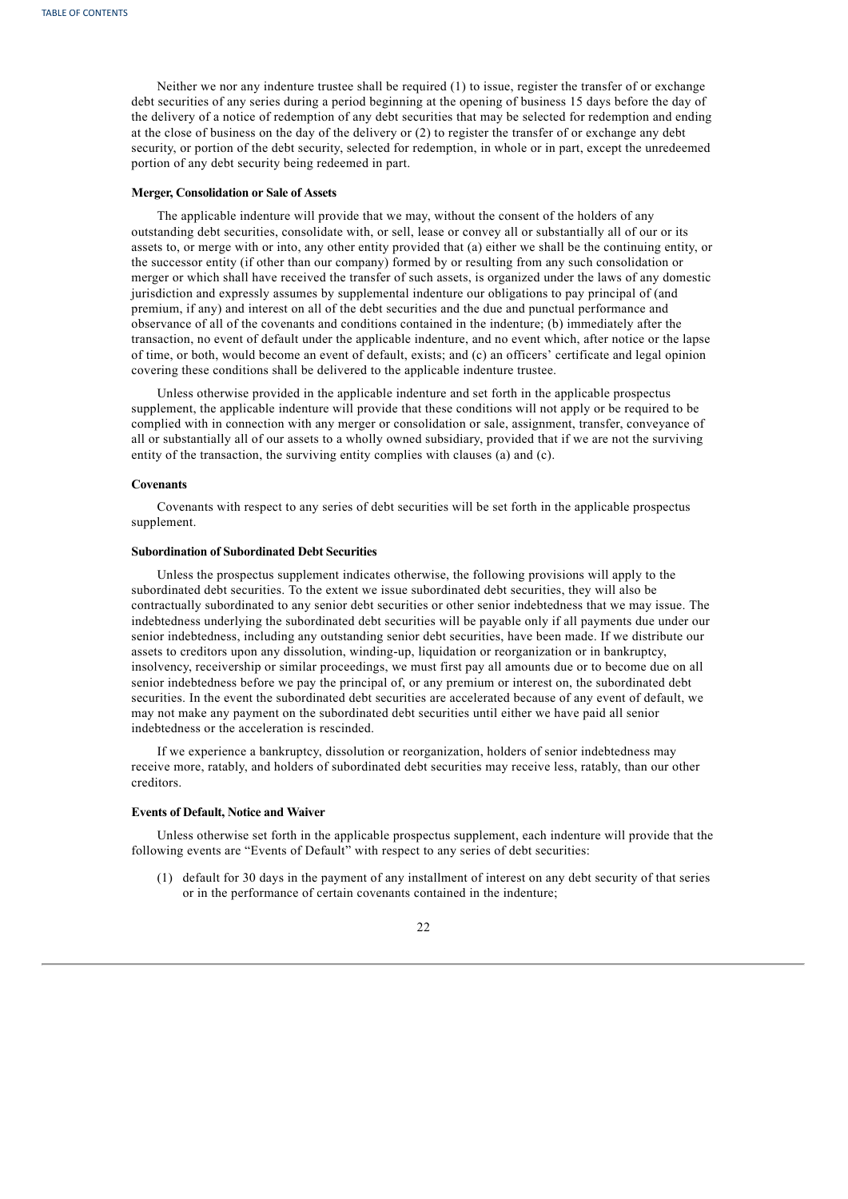Neither we nor any indenture trustee shall be required (1) to issue, register the transfer of or exchange debt securities of any series during a period beginning at the opening of business 15 days before the day of the delivery of a notice of redemption of any debt securities that may be selected for redemption and ending at the close of business on the day of the delivery or (2) to register the transfer of or exchange any debt security, or portion of the debt security, selected for redemption, in whole or in part, except the unredeemed portion of any debt security being redeemed in part.

# **Merger, Consolidation or Sale of Assets**

The applicable indenture will provide that we may, without the consent of the holders of any outstanding debt securities, consolidate with, or sell, lease or convey all or substantially all of our or its assets to, or merge with or into, any other entity provided that (a) either we shall be the continuing entity, or the successor entity (if other than our company) formed by or resulting from any such consolidation or merger or which shall have received the transfer of such assets, is organized under the laws of any domestic jurisdiction and expressly assumes by supplemental indenture our obligations to pay principal of (and premium, if any) and interest on all of the debt securities and the due and punctual performance and observance of all of the covenants and conditions contained in the indenture; (b) immediately after the transaction, no event of default under the applicable indenture, and no event which, after notice or the lapse of time, or both, would become an event of default, exists; and (c) an officers' certificate and legal opinion covering these conditions shall be delivered to the applicable indenture trustee.

Unless otherwise provided in the applicable indenture and set forth in the applicable prospectus supplement, the applicable indenture will provide that these conditions will not apply or be required to be complied with in connection with any merger or consolidation or sale, assignment, transfer, conveyance of all or substantially all of our assets to a wholly owned subsidiary, provided that if we are not the surviving entity of the transaction, the surviving entity complies with clauses (a) and (c).

#### **Covenants**

Covenants with respect to any series of debt securities will be set forth in the applicable prospectus supplement.

# **Subordination of Subordinated Debt Securities**

Unless the prospectus supplement indicates otherwise, the following provisions will apply to the subordinated debt securities. To the extent we issue subordinated debt securities, they will also be contractually subordinated to any senior debt securities or other senior indebtedness that we may issue. The indebtedness underlying the subordinated debt securities will be payable only if all payments due under our senior indebtedness, including any outstanding senior debt securities, have been made. If we distribute our assets to creditors upon any dissolution, winding-up, liquidation or reorganization or in bankruptcy, insolvency, receivership or similar proceedings, we must first pay all amounts due or to become due on all senior indebtedness before we pay the principal of, or any premium or interest on, the subordinated debt securities. In the event the subordinated debt securities are accelerated because of any event of default, we may not make any payment on the subordinated debt securities until either we have paid all senior indebtedness or the acceleration is rescinded.

If we experience a bankruptcy, dissolution or reorganization, holders of senior indebtedness may receive more, ratably, and holders of subordinated debt securities may receive less, ratably, than our other creditors.

# **Events of Default, Notice and Waiver**

Unless otherwise set forth in the applicable prospectus supplement, each indenture will provide that the following events are "Events of Default" with respect to any series of debt securities:

(1) default for 30 days in the payment of any installment of interest on any debt security of that series or in the performance of certain covenants contained in the indenture;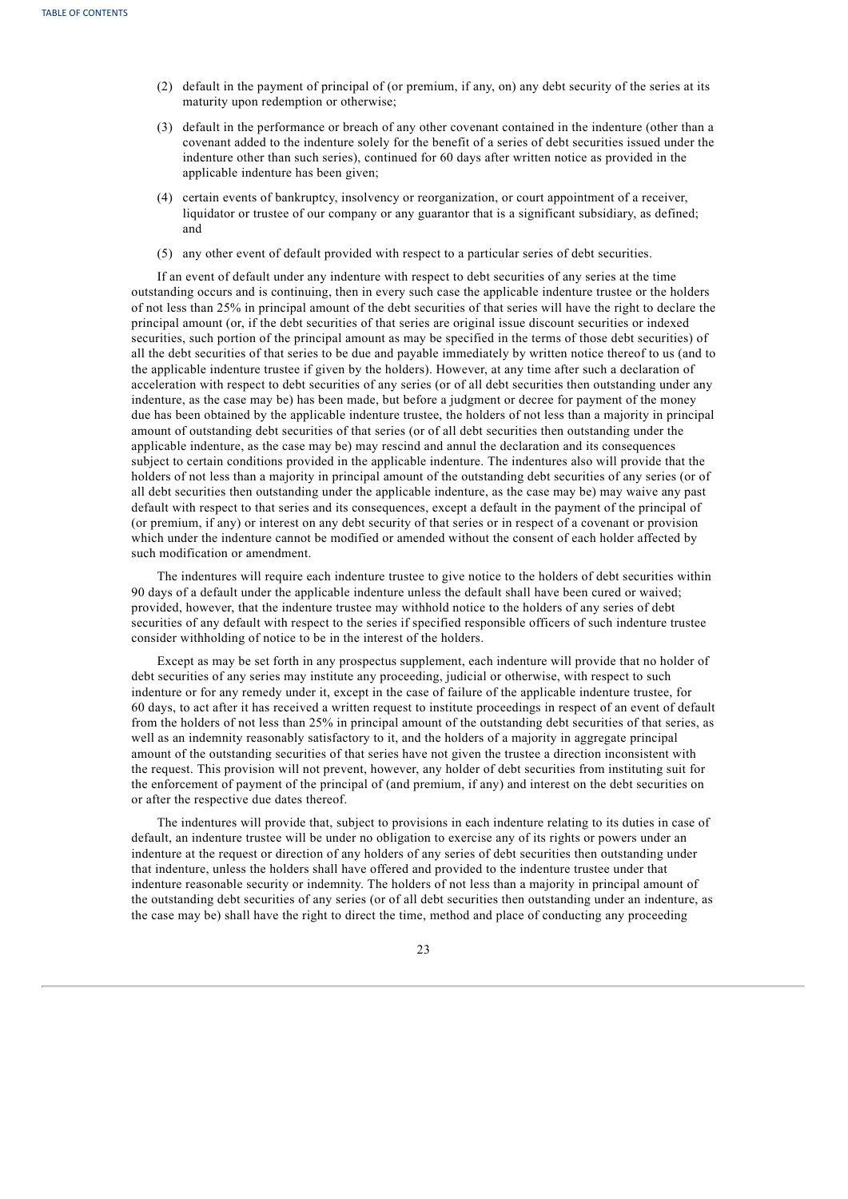- (2) default in the payment of principal of (or premium, if any, on) any debt security of the series at its maturity upon redemption or otherwise;
- (3) default in the performance or breach of any other covenant contained in the indenture (other than a covenant added to the indenture solely for the benefit of a series of debt securities issued under the indenture other than such series), continued for 60 days after written notice as provided in the applicable indenture has been given;
- (4) certain events of bankruptcy, insolvency or reorganization, or court appointment of a receiver, liquidator or trustee of our company or any guarantor that is a significant subsidiary, as defined; and
- (5) any other event of default provided with respect to a particular series of debt securities.

If an event of default under any indenture with respect to debt securities of any series at the time outstanding occurs and is continuing, then in every such case the applicable indenture trustee or the holders of not less than 25% in principal amount of the debt securities of that series will have the right to declare the principal amount (or, if the debt securities of that series are original issue discount securities or indexed securities, such portion of the principal amount as may be specified in the terms of those debt securities) of all the debt securities of that series to be due and payable immediately by written notice thereof to us (and to the applicable indenture trustee if given by the holders). However, at any time after such a declaration of acceleration with respect to debt securities of any series (or of all debt securities then outstanding under any indenture, as the case may be) has been made, but before a judgment or decree for payment of the money due has been obtained by the applicable indenture trustee, the holders of not less than a majority in principal amount of outstanding debt securities of that series (or of all debt securities then outstanding under the applicable indenture, as the case may be) may rescind and annul the declaration and its consequences subject to certain conditions provided in the applicable indenture. The indentures also will provide that the holders of not less than a majority in principal amount of the outstanding debt securities of any series (or of all debt securities then outstanding under the applicable indenture, as the case may be) may waive any past default with respect to that series and its consequences, except a default in the payment of the principal of (or premium, if any) or interest on any debt security of that series or in respect of a covenant or provision which under the indenture cannot be modified or amended without the consent of each holder affected by such modification or amendment.

The indentures will require each indenture trustee to give notice to the holders of debt securities within 90 days of a default under the applicable indenture unless the default shall have been cured or waived; provided, however, that the indenture trustee may withhold notice to the holders of any series of debt securities of any default with respect to the series if specified responsible officers of such indenture trustee consider withholding of notice to be in the interest of the holders.

Except as may be set forth in any prospectus supplement, each indenture will provide that no holder of debt securities of any series may institute any proceeding, judicial or otherwise, with respect to such indenture or for any remedy under it, except in the case of failure of the applicable indenture trustee, for 60 days, to act after it has received a written request to institute proceedings in respect of an event of default from the holders of not less than 25% in principal amount of the outstanding debt securities of that series, as well as an indemnity reasonably satisfactory to it, and the holders of a majority in aggregate principal amount of the outstanding securities of that series have not given the trustee a direction inconsistent with the request. This provision will not prevent, however, any holder of debt securities from instituting suit for the enforcement of payment of the principal of (and premium, if any) and interest on the debt securities on or after the respective due dates thereof.

The indentures will provide that, subject to provisions in each indenture relating to its duties in case of default, an indenture trustee will be under no obligation to exercise any of its rights or powers under an indenture at the request or direction of any holders of any series of debt securities then outstanding under that indenture, unless the holders shall have offered and provided to the indenture trustee under that indenture reasonable security or indemnity. The holders of not less than a majority in principal amount of the outstanding debt securities of any series (or of all debt securities then outstanding under an indenture, as the case may be) shall have the right to direct the time, method and place of conducting any proceeding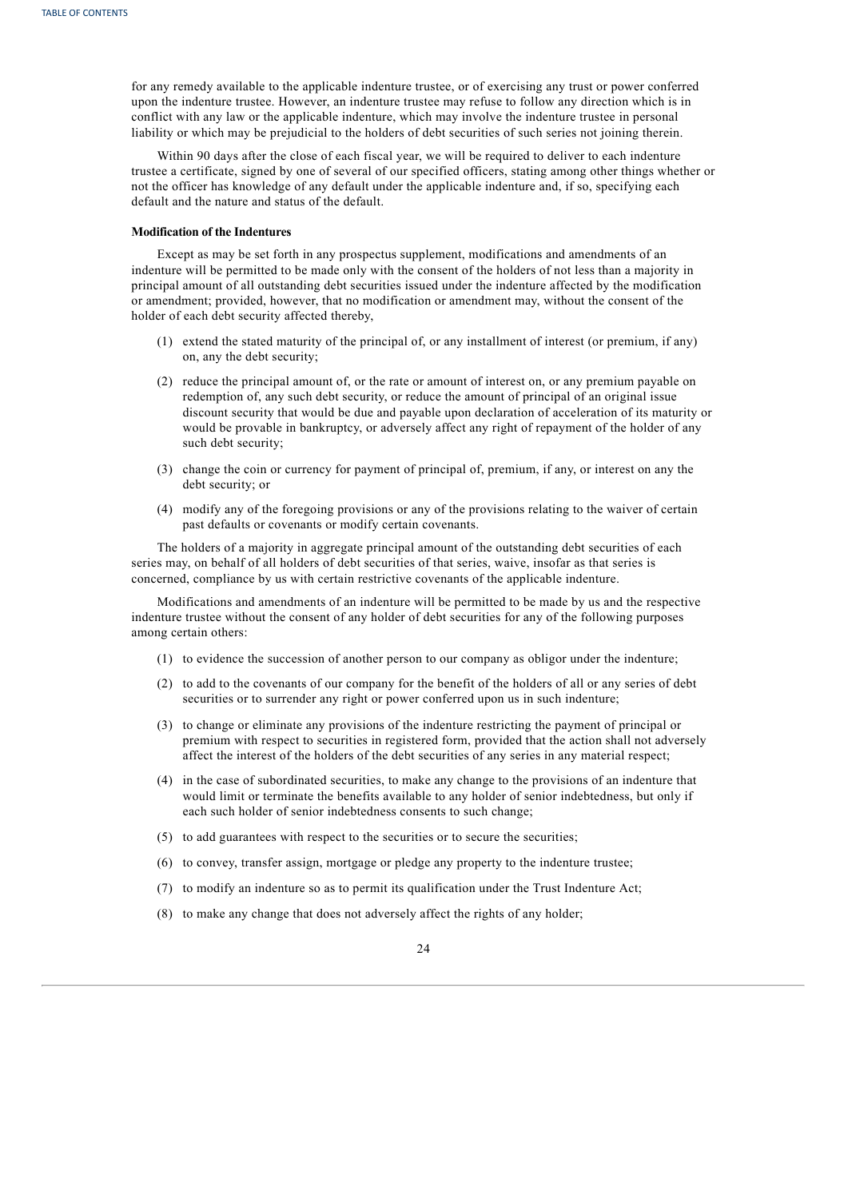for any remedy available to the applicable indenture trustee, or of exercising any trust or power conferred upon the indenture trustee. However, an indenture trustee may refuse to follow any direction which is in conflict with any law or the applicable indenture, which may involve the indenture trustee in personal liability or which may be prejudicial to the holders of debt securities of such series not joining therein.

Within 90 days after the close of each fiscal year, we will be required to deliver to each indenture trustee a certificate, signed by one of several of our specified officers, stating among other things whether or not the officer has knowledge of any default under the applicable indenture and, if so, specifying each default and the nature and status of the default.

# **Modification of the Indentures**

Except as may be set forth in any prospectus supplement, modifications and amendments of an indenture will be permitted to be made only with the consent of the holders of not less than a majority in principal amount of all outstanding debt securities issued under the indenture affected by the modification or amendment; provided, however, that no modification or amendment may, without the consent of the holder of each debt security affected thereby,

- (1) extend the stated maturity of the principal of, or any installment of interest (or premium, if any) on, any the debt security;
- (2) reduce the principal amount of, or the rate or amount of interest on, or any premium payable on redemption of, any such debt security, or reduce the amount of principal of an original issue discount security that would be due and payable upon declaration of acceleration of its maturity or would be provable in bankruptcy, or adversely affect any right of repayment of the holder of any such debt security;
- (3) change the coin or currency for payment of principal of, premium, if any, or interest on any the debt security; or
- (4) modify any of the foregoing provisions or any of the provisions relating to the waiver of certain past defaults or covenants or modify certain covenants.

The holders of a majority in aggregate principal amount of the outstanding debt securities of each series may, on behalf of all holders of debt securities of that series, waive, insofar as that series is concerned, compliance by us with certain restrictive covenants of the applicable indenture.

Modifications and amendments of an indenture will be permitted to be made by us and the respective indenture trustee without the consent of any holder of debt securities for any of the following purposes among certain others:

- (1) to evidence the succession of another person to our company as obligor under the indenture;
- (2) to add to the covenants of our company for the benefit of the holders of all or any series of debt securities or to surrender any right or power conferred upon us in such indenture;
- (3) to change or eliminate any provisions of the indenture restricting the payment of principal or premium with respect to securities in registered form, provided that the action shall not adversely affect the interest of the holders of the debt securities of any series in any material respect;
- (4) in the case of subordinated securities, to make any change to the provisions of an indenture that would limit or terminate the benefits available to any holder of senior indebtedness, but only if each such holder of senior indebtedness consents to such change;
- (5) to add guarantees with respect to the securities or to secure the securities;
- (6) to convey, transfer assign, mortgage or pledge any property to the indenture trustee;
- (7) to modify an indenture so as to permit its qualification under the Trust Indenture Act;
- (8) to make any change that does not adversely affect the rights of any holder;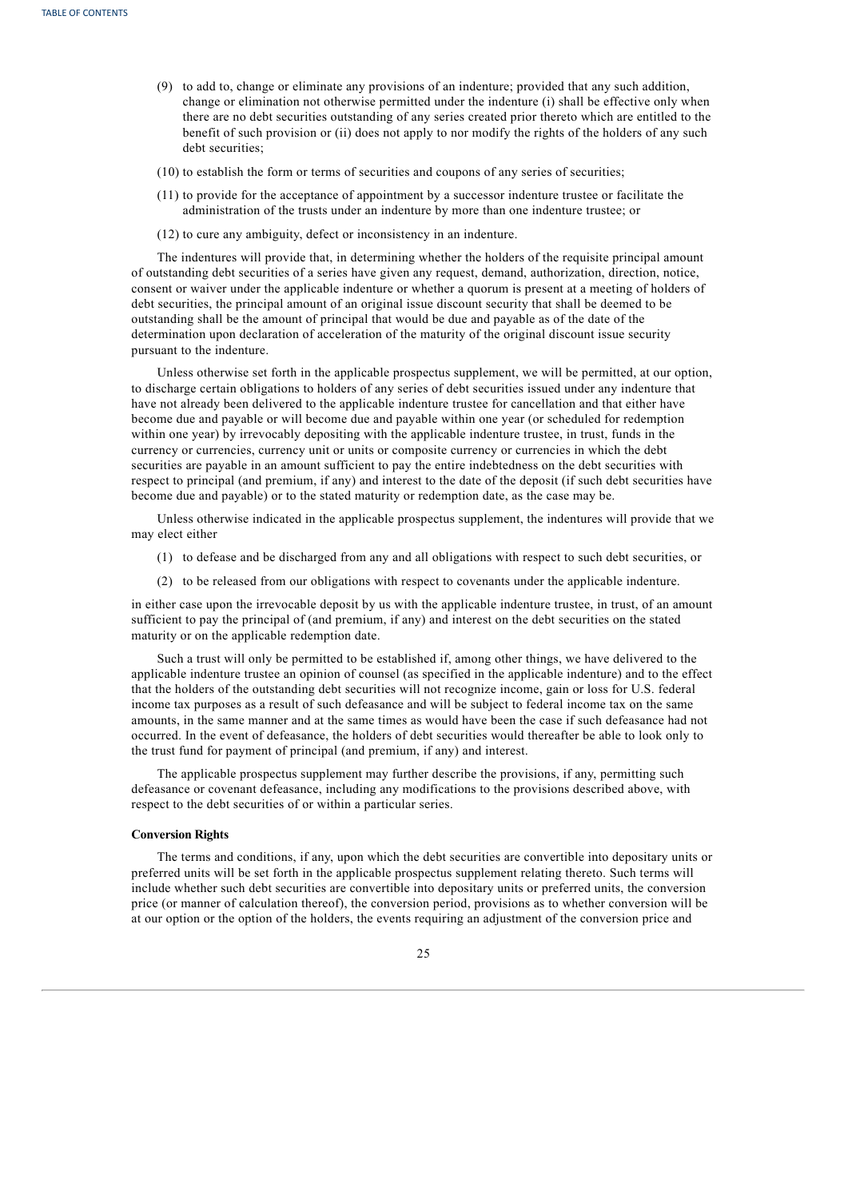- (9) to add to, change or eliminate any provisions of an indenture; provided that any such addition, change or elimination not otherwise permitted under the indenture (i) shall be effective only when there are no debt securities outstanding of any series created prior thereto which are entitled to the benefit of such provision or (ii) does not apply to nor modify the rights of the holders of any such debt securities;
- (10) to establish the form or terms of securities and coupons of any series of securities;
- (11) to provide for the acceptance of appointment by a successor indenture trustee or facilitate the administration of the trusts under an indenture by more than one indenture trustee; or
- (12) to cure any ambiguity, defect or inconsistency in an indenture.

The indentures will provide that, in determining whether the holders of the requisite principal amount of outstanding debt securities of a series have given any request, demand, authorization, direction, notice, consent or waiver under the applicable indenture or whether a quorum is present at a meeting of holders of debt securities, the principal amount of an original issue discount security that shall be deemed to be outstanding shall be the amount of principal that would be due and payable as of the date of the determination upon declaration of acceleration of the maturity of the original discount issue security pursuant to the indenture.

Unless otherwise set forth in the applicable prospectus supplement, we will be permitted, at our option, to discharge certain obligations to holders of any series of debt securities issued under any indenture that have not already been delivered to the applicable indenture trustee for cancellation and that either have become due and payable or will become due and payable within one year (or scheduled for redemption within one year) by irrevocably depositing with the applicable indenture trustee, in trust, funds in the currency or currencies, currency unit or units or composite currency or currencies in which the debt securities are payable in an amount sufficient to pay the entire indebtedness on the debt securities with respect to principal (and premium, if any) and interest to the date of the deposit (if such debt securities have become due and payable) or to the stated maturity or redemption date, as the case may be.

Unless otherwise indicated in the applicable prospectus supplement, the indentures will provide that we may elect either

- (1) to defease and be discharged from any and all obligations with respect to such debt securities, or
- (2) to be released from our obligations with respect to covenants under the applicable indenture.

in either case upon the irrevocable deposit by us with the applicable indenture trustee, in trust, of an amount sufficient to pay the principal of (and premium, if any) and interest on the debt securities on the stated maturity or on the applicable redemption date.

Such a trust will only be permitted to be established if, among other things, we have delivered to the applicable indenture trustee an opinion of counsel (as specified in the applicable indenture) and to the effect that the holders of the outstanding debt securities will not recognize income, gain or loss for U.S. federal income tax purposes as a result of such defeasance and will be subject to federal income tax on the same amounts, in the same manner and at the same times as would have been the case if such defeasance had not occurred. In the event of defeasance, the holders of debt securities would thereafter be able to look only to the trust fund for payment of principal (and premium, if any) and interest.

The applicable prospectus supplement may further describe the provisions, if any, permitting such defeasance or covenant defeasance, including any modifications to the provisions described above, with respect to the debt securities of or within a particular series.

## **Conversion Rights**

The terms and conditions, if any, upon which the debt securities are convertible into depositary units or preferred units will be set forth in the applicable prospectus supplement relating thereto. Such terms will include whether such debt securities are convertible into depositary units or preferred units, the conversion price (or manner of calculation thereof), the conversion period, provisions as to whether conversion will be at our option or the option of the holders, the events requiring an adjustment of the conversion price and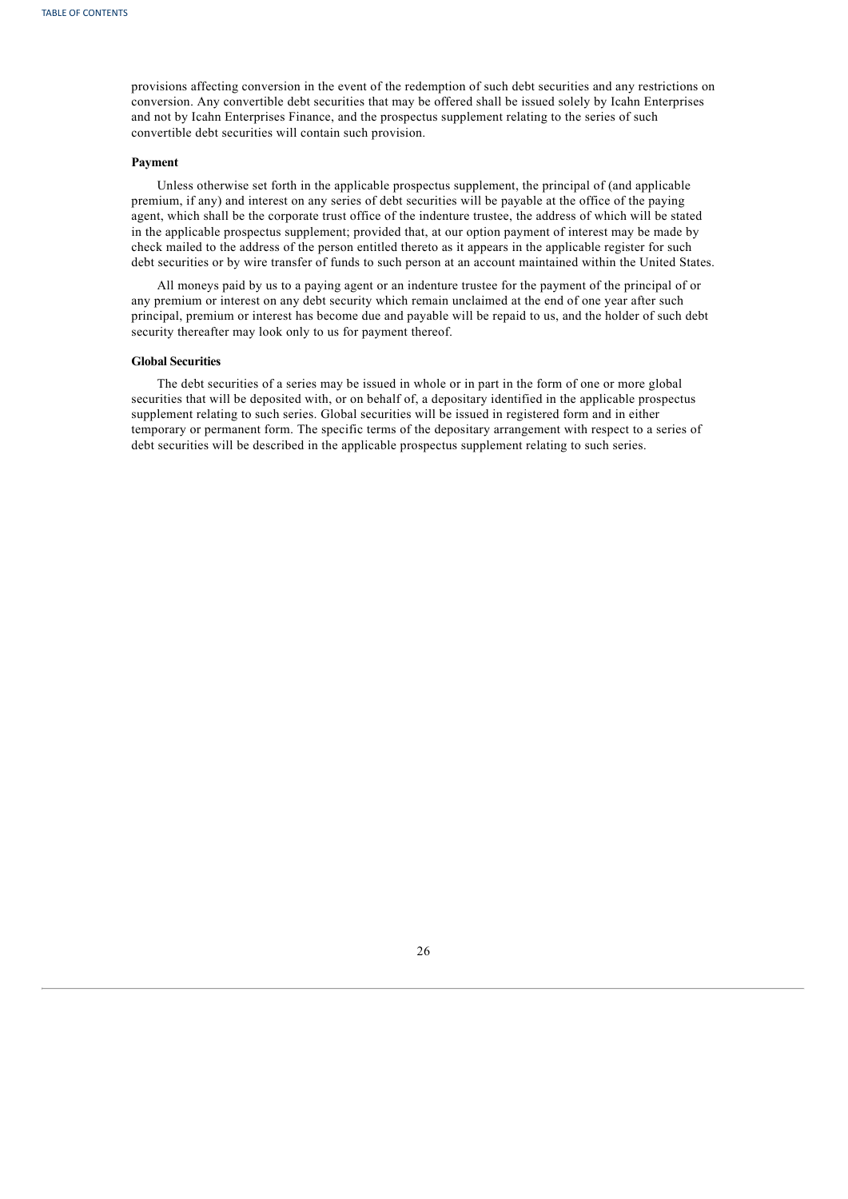provisions affecting conversion in the event of the redemption of such debt securities and any restrictions on conversion. Any convertible debt securities that may be offered shall be issued solely by Icahn Enterprises and not by Icahn Enterprises Finance, and the prospectus supplement relating to the series of such convertible debt securities will contain such provision.

#### **Payment**

Unless otherwise set forth in the applicable prospectus supplement, the principal of (and applicable premium, if any) and interest on any series of debt securities will be payable at the office of the paying agent, which shall be the corporate trust office of the indenture trustee, the address of which will be stated in the applicable prospectus supplement; provided that, at our option payment of interest may be made by check mailed to the address of the person entitled thereto as it appears in the applicable register for such debt securities or by wire transfer of funds to such person at an account maintained within the United States.

All moneys paid by us to a paying agent or an indenture trustee for the payment of the principal of or any premium or interest on any debt security which remain unclaimed at the end of one year after such principal, premium or interest has become due and payable will be repaid to us, and the holder of such debt security thereafter may look only to us for payment thereof.

#### **Global Securities**

<span id="page-53-0"></span>The debt securities of a series may be issued in whole or in part in the form of one or more global securities that will be deposited with, or on behalf of, a depositary identified in the applicable prospectus supplement relating to such series. Global securities will be issued in registered form and in either temporary or permanent form. The specific terms of the depositary arrangement with respect to a series of debt securities will be described in the applicable prospectus supplement relating to such series.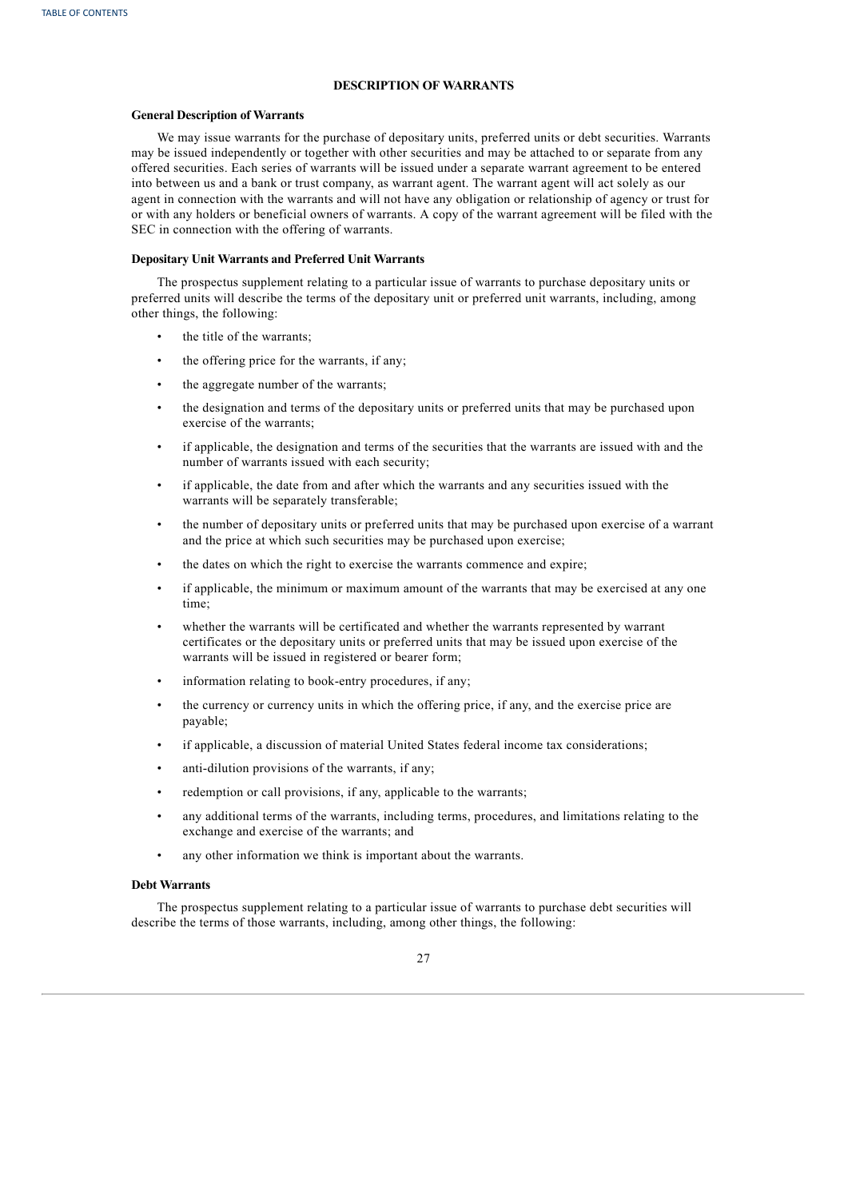# **DESCRIPTION OF WARRANTS**

# **General Description of Warrants**

We may issue warrants for the purchase of depositary units, preferred units or debt securities. Warrants may be issued independently or together with other securities and may be attached to or separate from any offered securities. Each series of warrants will be issued under a separate warrant agreement to be entered into between us and a bank or trust company, as warrant agent. The warrant agent will act solely as our agent in connection with the warrants and will not have any obligation or relationship of agency or trust for or with any holders or beneficial owners of warrants. A copy of the warrant agreement will be filed with the SEC in connection with the offering of warrants.

# **Depositary Unit Warrants and Preferred Unit Warrants**

The prospectus supplement relating to a particular issue of warrants to purchase depositary units or preferred units will describe the terms of the depositary unit or preferred unit warrants, including, among other things, the following:

- the title of the warrants;
- the offering price for the warrants, if any;
- the aggregate number of the warrants;
- the designation and terms of the depositary units or preferred units that may be purchased upon exercise of the warrants;
- if applicable, the designation and terms of the securities that the warrants are issued with and the number of warrants issued with each security;
- if applicable, the date from and after which the warrants and any securities issued with the warrants will be separately transferable;
- the number of depositary units or preferred units that may be purchased upon exercise of a warrant and the price at which such securities may be purchased upon exercise;
- the dates on which the right to exercise the warrants commence and expire;
- if applicable, the minimum or maximum amount of the warrants that may be exercised at any one time;
- whether the warrants will be certificated and whether the warrants represented by warrant certificates or the depositary units or preferred units that may be issued upon exercise of the warrants will be issued in registered or bearer form;
- information relating to book-entry procedures, if any;
- the currency or currency units in which the offering price, if any, and the exercise price are payable;
- if applicable, a discussion of material United States federal income tax considerations;
- anti-dilution provisions of the warrants, if any;
- redemption or call provisions, if any, applicable to the warrants;
- any additional terms of the warrants, including terms, procedures, and limitations relating to the exchange and exercise of the warrants; and
- any other information we think is important about the warrants.

#### **Debt Warrants**

The prospectus supplement relating to a particular issue of warrants to purchase debt securities will describe the terms of those warrants, including, among other things, the following:

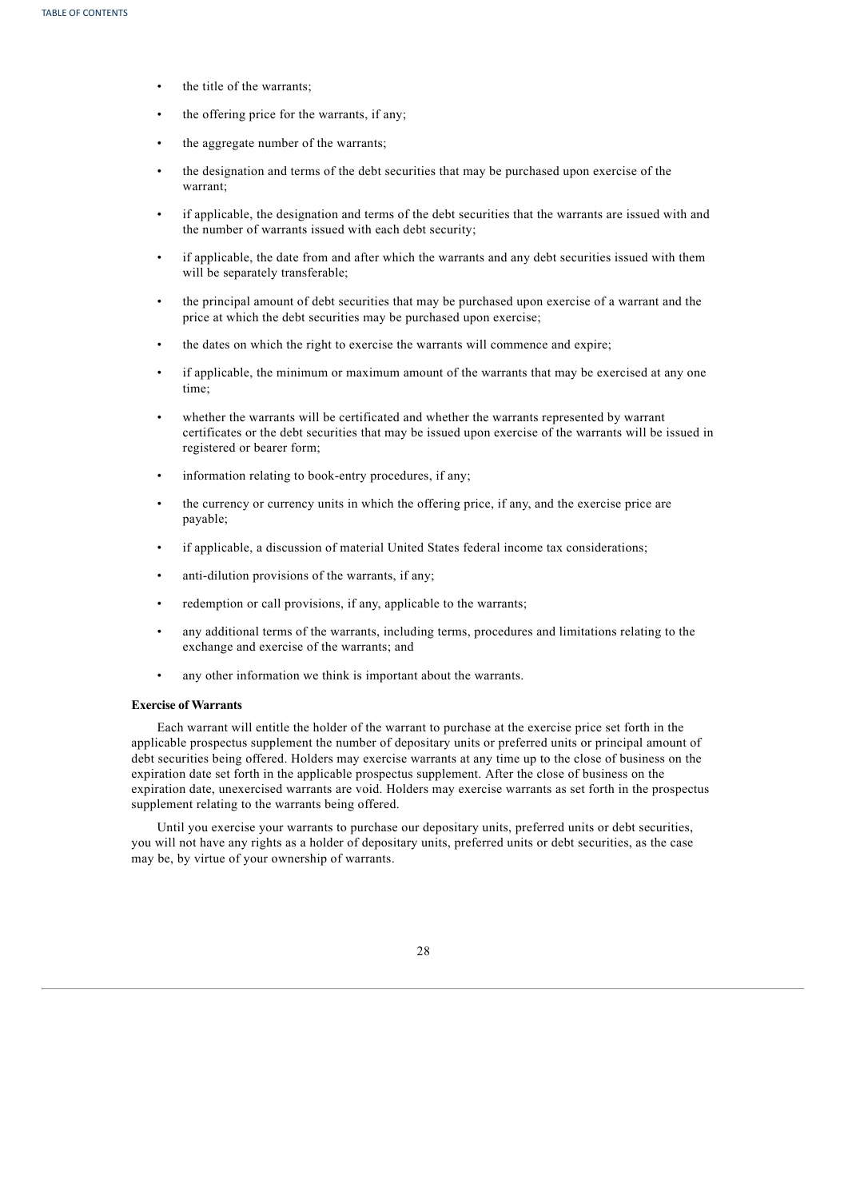- the title of the warrants;
- the offering price for the warrants, if any;
- the aggregate number of the warrants;
- the designation and terms of the debt securities that may be purchased upon exercise of the warrant;
- if applicable, the designation and terms of the debt securities that the warrants are issued with and the number of warrants issued with each debt security;
- if applicable, the date from and after which the warrants and any debt securities issued with them will be separately transferable;
- the principal amount of debt securities that may be purchased upon exercise of a warrant and the price at which the debt securities may be purchased upon exercise;
- the dates on which the right to exercise the warrants will commence and expire;
- if applicable, the minimum or maximum amount of the warrants that may be exercised at any one time;
- whether the warrants will be certificated and whether the warrants represented by warrant certificates or the debt securities that may be issued upon exercise of the warrants will be issued in registered or bearer form;
- information relating to book-entry procedures, if any;
- the currency or currency units in which the offering price, if any, and the exercise price are payable;
- if applicable, a discussion of material United States federal income tax considerations;
- anti-dilution provisions of the warrants, if any;
- redemption or call provisions, if any, applicable to the warrants;
- any additional terms of the warrants, including terms, procedures and limitations relating to the exchange and exercise of the warrants; and
- any other information we think is important about the warrants.

#### **Exercise of Warrants**

Each warrant will entitle the holder of the warrant to purchase at the exercise price set forth in the applicable prospectus supplement the number of depositary units or preferred units or principal amount of debt securities being offered. Holders may exercise warrants at any time up to the close of business on the expiration date set forth in the applicable prospectus supplement. After the close of business on the expiration date, unexercised warrants are void. Holders may exercise warrants as set forth in the prospectus supplement relating to the warrants being offered.

<span id="page-55-0"></span>Until you exercise your warrants to purchase our depositary units, preferred units or debt securities, you will not have any rights as a holder of depositary units, preferred units or debt securities, as the case may be, by virtue of your ownership of warrants.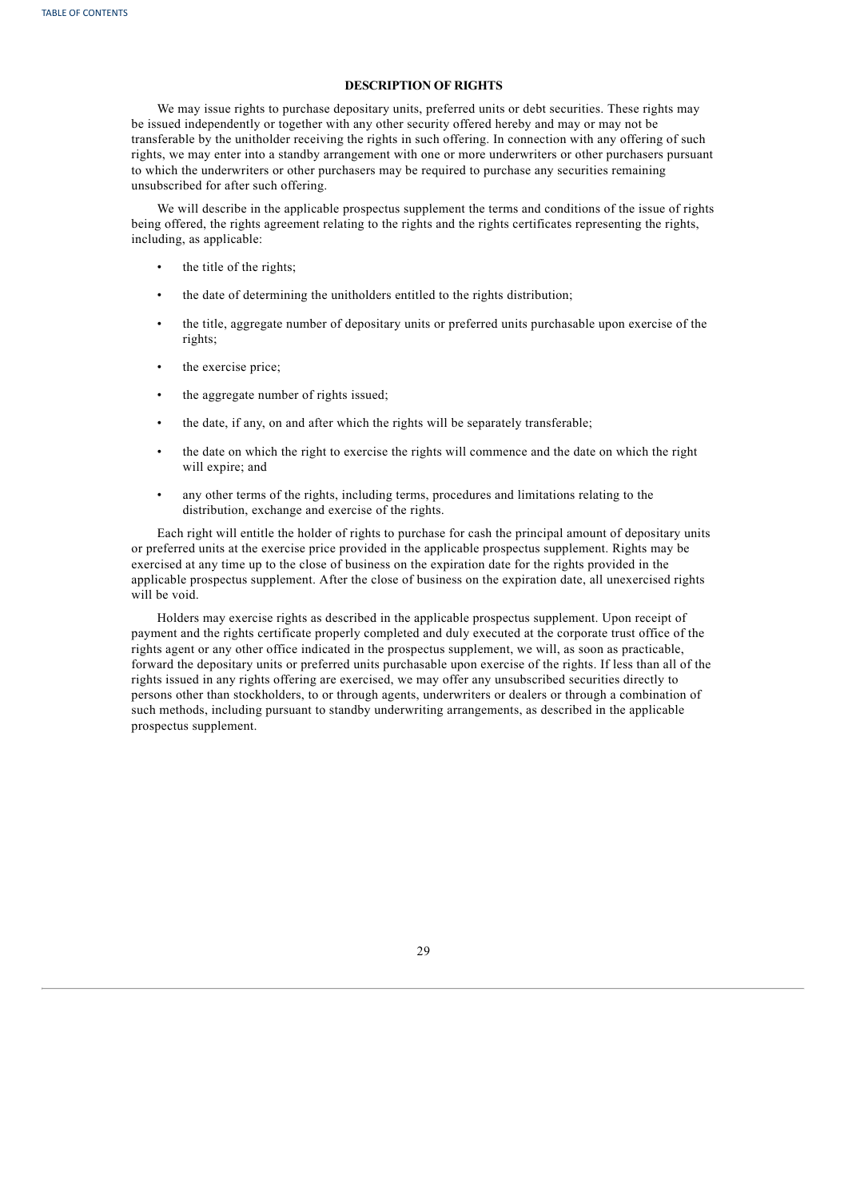# **DESCRIPTION OF RIGHTS**

We may issue rights to purchase depositary units, preferred units or debt securities. These rights may be issued independently or together with any other security offered hereby and may or may not be transferable by the unitholder receiving the rights in such offering. In connection with any offering of such rights, we may enter into a standby arrangement with one or more underwriters or other purchasers pursuant to which the underwriters or other purchasers may be required to purchase any securities remaining unsubscribed for after such offering.

We will describe in the applicable prospectus supplement the terms and conditions of the issue of rights being offered, the rights agreement relating to the rights and the rights certificates representing the rights, including, as applicable:

- the title of the rights;
- the date of determining the unitholders entitled to the rights distribution;
- the title, aggregate number of depositary units or preferred units purchasable upon exercise of the rights;
- the exercise price;
- the aggregate number of rights issued;
- the date, if any, on and after which the rights will be separately transferable;
- the date on which the right to exercise the rights will commence and the date on which the right will expire; and
- any other terms of the rights, including terms, procedures and limitations relating to the distribution, exchange and exercise of the rights.

Each right will entitle the holder of rights to purchase for cash the principal amount of depositary units or preferred units at the exercise price provided in the applicable prospectus supplement. Rights may be exercised at any time up to the close of business on the expiration date for the rights provided in the applicable prospectus supplement. After the close of business on the expiration date, all unexercised rights will be void.

<span id="page-56-0"></span>Holders may exercise rights as described in the applicable prospectus supplement. Upon receipt of payment and the rights certificate properly completed and duly executed at the corporate trust office of the rights agent or any other office indicated in the prospectus supplement, we will, as soon as practicable, forward the depositary units or preferred units purchasable upon exercise of the rights. If less than all of the rights issued in any rights offering are exercised, we may offer any unsubscribed securities directly to persons other than stockholders, to or through agents, underwriters or dealers or through a combination of such methods, including pursuant to standby underwriting arrangements, as described in the applicable prospectus supplement.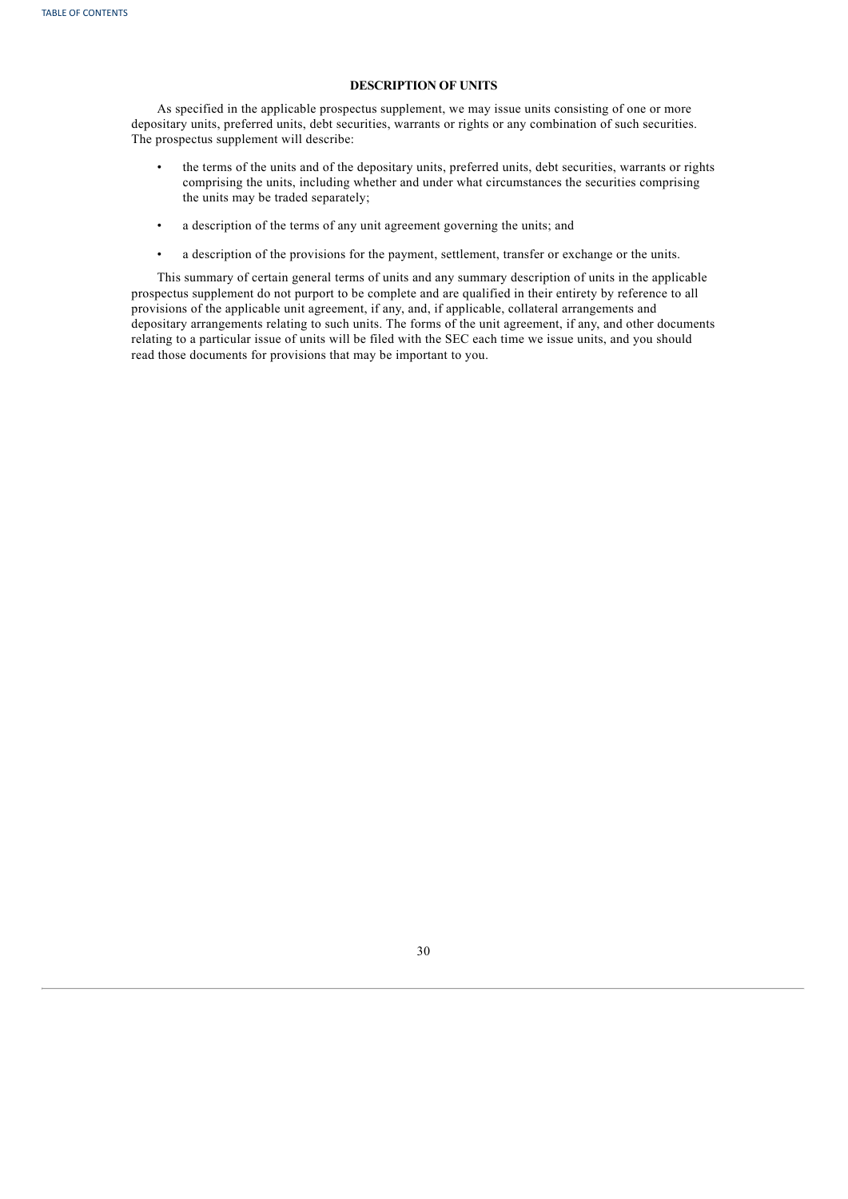# **DESCRIPTION OF UNITS**

As specified in the applicable prospectus supplement, we may issue units consisting of one or more depositary units, preferred units, debt securities, warrants or rights or any combination of such securities. The prospectus supplement will describe:

- the terms of the units and of the depositary units, preferred units, debt securities, warrants or rights comprising the units, including whether and under what circumstances the securities comprising the units may be traded separately;
- a description of the terms of any unit agreement governing the units; and
- a description of the provisions for the payment, settlement, transfer or exchange or the units.

<span id="page-57-0"></span>This summary of certain general terms of units and any summary description of units in the applicable prospectus supplement do not purport to be complete and are qualified in their entirety by reference to all provisions of the applicable unit agreement, if any, and, if applicable, collateral arrangements and depositary arrangements relating to such units. The forms of the unit agreement, if any, and other documents relating to a particular issue of units will be filed with the SEC each time we issue units, and you should read those documents for provisions that may be important to you.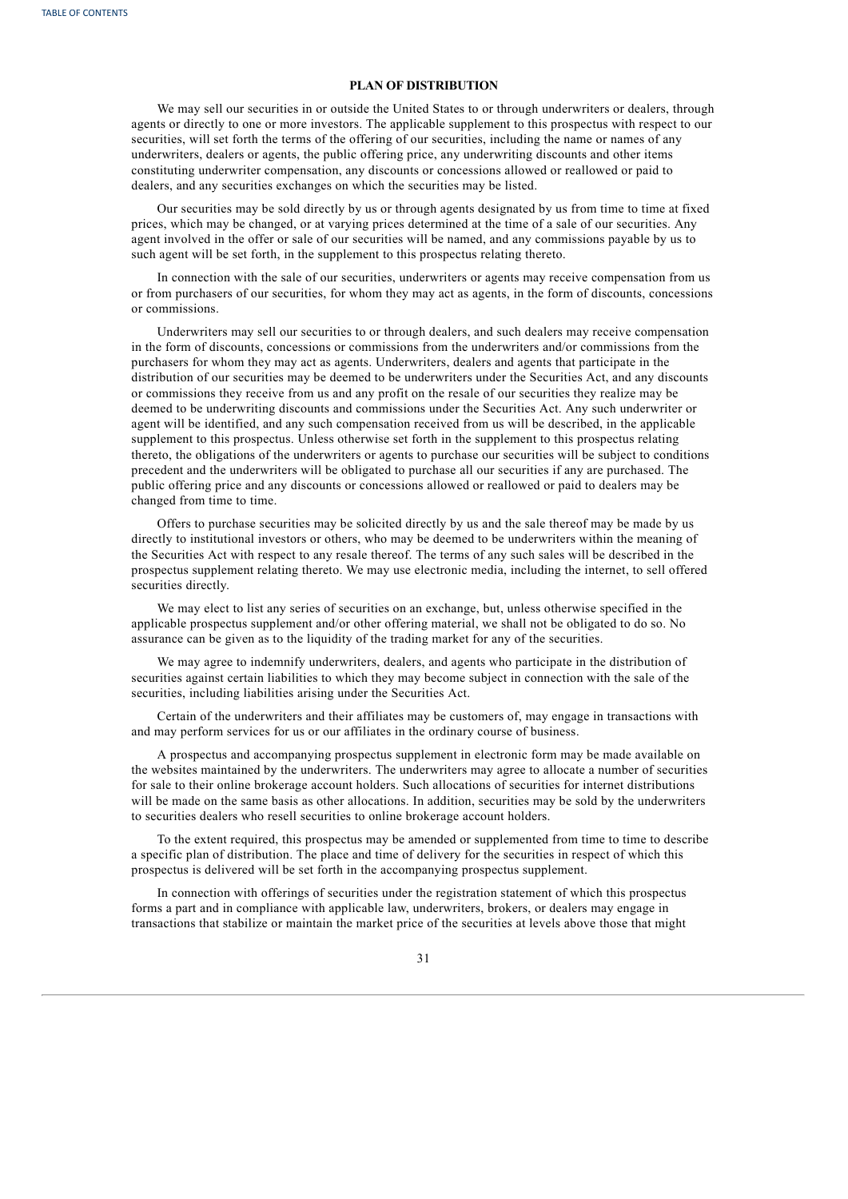# **PLAN OF DISTRIBUTION**

We may sell our securities in or outside the United States to or through underwriters or dealers, through agents or directly to one or more investors. The applicable supplement to this prospectus with respect to our securities, will set forth the terms of the offering of our securities, including the name or names of any underwriters, dealers or agents, the public offering price, any underwriting discounts and other items constituting underwriter compensation, any discounts or concessions allowed or reallowed or paid to dealers, and any securities exchanges on which the securities may be listed.

Our securities may be sold directly by us or through agents designated by us from time to time at fixed prices, which may be changed, or at varying prices determined at the time of a sale of our securities. Any agent involved in the offer or sale of our securities will be named, and any commissions payable by us to such agent will be set forth, in the supplement to this prospectus relating thereto.

In connection with the sale of our securities, underwriters or agents may receive compensation from us or from purchasers of our securities, for whom they may act as agents, in the form of discounts, concessions or commissions.

Underwriters may sell our securities to or through dealers, and such dealers may receive compensation in the form of discounts, concessions or commissions from the underwriters and/or commissions from the purchasers for whom they may act as agents. Underwriters, dealers and agents that participate in the distribution of our securities may be deemed to be underwriters under the Securities Act, and any discounts or commissions they receive from us and any profit on the resale of our securities they realize may be deemed to be underwriting discounts and commissions under the Securities Act. Any such underwriter or agent will be identified, and any such compensation received from us will be described, in the applicable supplement to this prospectus. Unless otherwise set forth in the supplement to this prospectus relating thereto, the obligations of the underwriters or agents to purchase our securities will be subject to conditions precedent and the underwriters will be obligated to purchase all our securities if any are purchased. The public offering price and any discounts or concessions allowed or reallowed or paid to dealers may be changed from time to time.

Offers to purchase securities may be solicited directly by us and the sale thereof may be made by us directly to institutional investors or others, who may be deemed to be underwriters within the meaning of the Securities Act with respect to any resale thereof. The terms of any such sales will be described in the prospectus supplement relating thereto. We may use electronic media, including the internet, to sell offered securities directly.

We may elect to list any series of securities on an exchange, but, unless otherwise specified in the applicable prospectus supplement and/or other offering material, we shall not be obligated to do so. No assurance can be given as to the liquidity of the trading market for any of the securities.

We may agree to indemnify underwriters, dealers, and agents who participate in the distribution of securities against certain liabilities to which they may become subject in connection with the sale of the securities, including liabilities arising under the Securities Act.

Certain of the underwriters and their affiliates may be customers of, may engage in transactions with and may perform services for us or our affiliates in the ordinary course of business.

A prospectus and accompanying prospectus supplement in electronic form may be made available on the websites maintained by the underwriters. The underwriters may agree to allocate a number of securities for sale to their online brokerage account holders. Such allocations of securities for internet distributions will be made on the same basis as other allocations. In addition, securities may be sold by the underwriters to securities dealers who resell securities to online brokerage account holders.

To the extent required, this prospectus may be amended or supplemented from time to time to describe a specific plan of distribution. The place and time of delivery for the securities in respect of which this prospectus is delivered will be set forth in the accompanying prospectus supplement.

In connection with offerings of securities under the registration statement of which this prospectus forms a part and in compliance with applicable law, underwriters, brokers, or dealers may engage in transactions that stabilize or maintain the market price of the securities at levels above those that might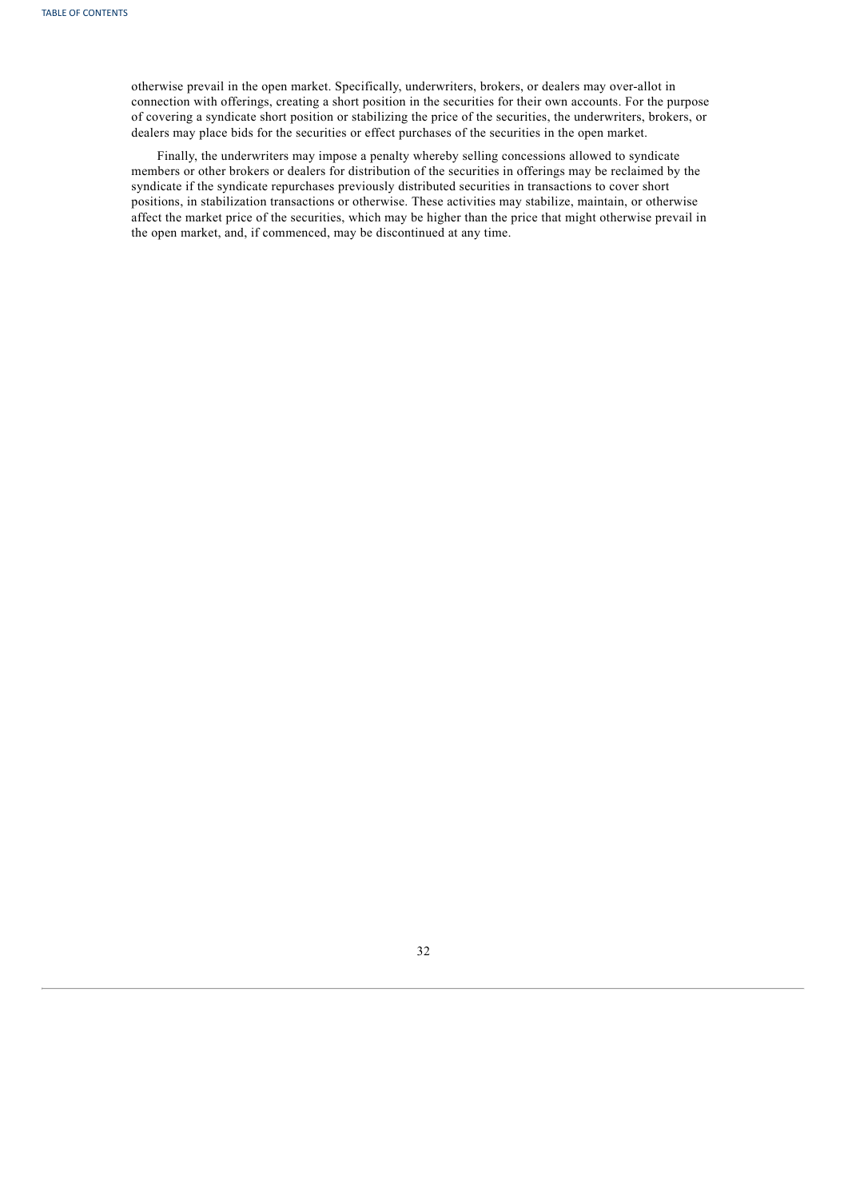otherwise prevail in the open market. Specifically, underwriters, brokers, or dealers may over-allot in connection with offerings, creating a short position in the securities for their own accounts. For the purpose of covering a syndicate short position or stabilizing the price of the securities, the underwriters, brokers, or dealers may place bids for the securities or effect purchases of the securities in the open market.

<span id="page-59-0"></span>Finally, the underwriters may impose a penalty whereby selling concessions allowed to syndicate members or other brokers or dealers for distribution of the securities in offerings may be reclaimed by the syndicate if the syndicate repurchases previously distributed securities in transactions to cover short positions, in stabilization transactions or otherwise. These activities may stabilize, maintain, or otherwise affect the market price of the securities, which may be higher than the price that might otherwise prevail in the open market, and, if commenced, may be discontinued at any time.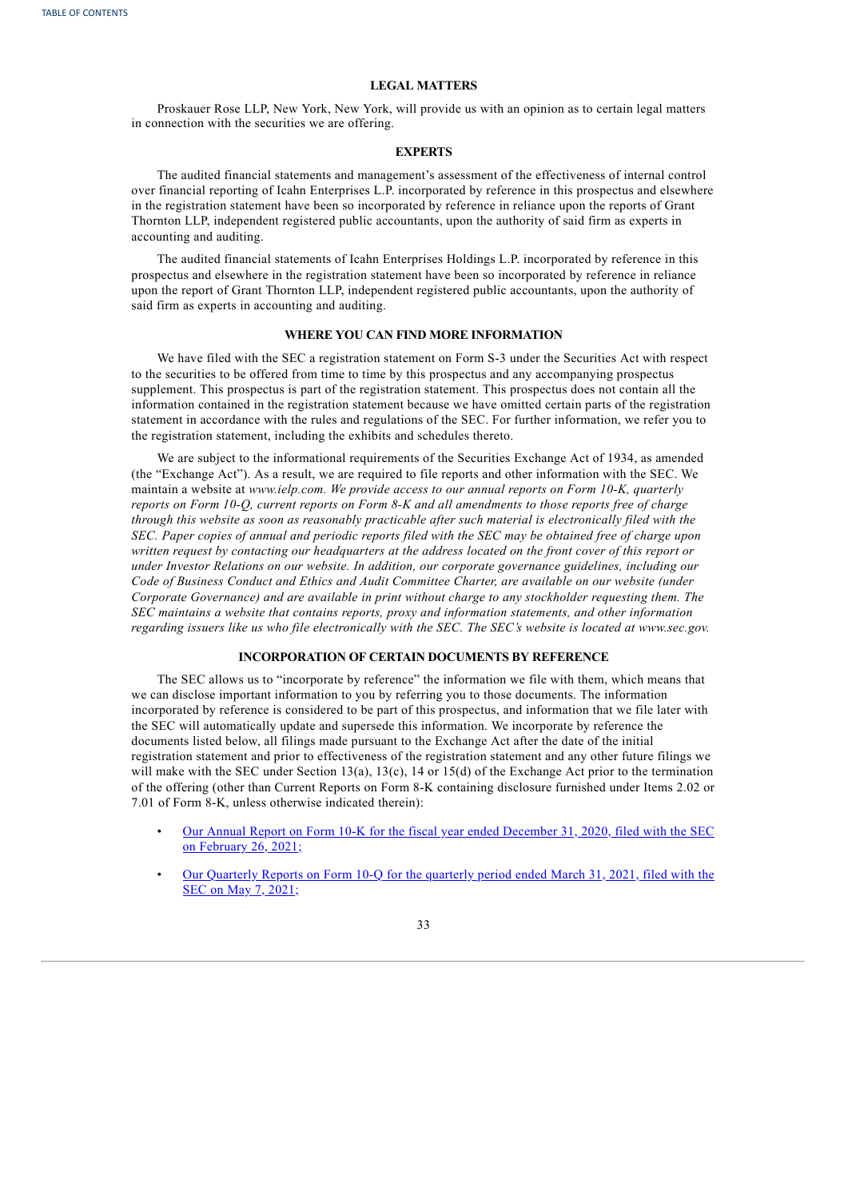# **LEGAL MATTERS**

Proskauer Rose LLP, New York, New York, will provide us with an opinion as to certain legal matters in connection with the securities we are offering.

# **EXPERTS**

The audited financial statements and management's assessment of the effectiveness of internal control over financial reporting of Icahn Enterprises L.P. incorporated by reference in this prospectus and elsewhere in the registration statement have been so incorporated by reference in reliance upon the reports of Grant Thornton LLP, independent registered public accountants, upon the authority of said firm as experts in accounting and auditing.

The audited financial statements of Icahn Enterprises Holdings L.P. incorporated by reference in this prospectus and elsewhere in the registration statement have been so incorporated by reference in reliance upon the report of Grant Thornton LLP, independent registered public accountants, upon the authority of said firm as experts in accounting and auditing.

# **WHERE YOU CAN FIND MORE INFORMATION**

We have filed with the SEC a registration statement on Form S-3 under the Securities Act with respect to the securities to be offered from time to time by this prospectus and any accompanying prospectus supplement. This prospectus is part of the registration statement. This prospectus does not contain all the information contained in the registration statement because we have omitted certain parts of the registration statement in accordance with the rules and regulations of the SEC. For further information, we refer you to the registration statement, including the exhibits and schedules thereto.

We are subject to the informational requirements of the Securities Exchange Act of 1934, as amended (the "Exchange Act"). As a result, we are required to file reports and other information with the SEC. We maintain a website at *www.ielp.com. We provide access to our annual reports on Form 10-K, quarterly* reports on Form 10-Q, current reports on Form 8-K and all amendments to those reports free of charge *through this website as soon as reasonably practicable after such material is electronically filed with the* SEC. Paper copies of annual and periodic reports filed with the SEC may be obtained free of charge upon written request by contacting our headquarters at the address located on the front cover of this report or *under Investor Relations on our website. In addition, our corporate governance guidelines, including our Code of Business Conduct and Ethics and Audit Committee Charter, are available on our website (under Corporate Governance) and are available in print without charge to any stockholder requesting them. The SEC maintains a website that contains reports, proxy and information statements, and other information* regarding issuers like us who file electronically with the SEC. The SEC's website is located at www.sec.gov.

#### **INCORPORATION OF CERTAIN DOCUMENTS BY REFERENCE**

The SEC allows us to "incorporate by reference" the information we file with them, which means that we can disclose important information to you by referring you to those documents. The information incorporated by reference is considered to be part of this prospectus, and information that we file later with the SEC will automatically update and supersede this information. We incorporate by reference the documents listed below, all filings made pursuant to the Exchange Act after the date of the initial registration statement and prior to effectiveness of the registration statement and any other future filings we will make with the SEC under Section 13(a), 13(c), 14 or 15(d) of the Exchange Act prior to the termination of the offering (other than Current Reports on Form 8-K containing disclosure furnished under Items 2.02 or 7.01 of Form 8-K, unless otherwise indicated therein):

- Our Annual Report on Form 10-K for the fiscal year ended [December](http://www.sec.gov/ix?doc=/Archives/edgar/data/813762/000155837021002010/tmb-20201231x10k.htm) 31, 2020, filed with the SEC on February 26, 2021;
- Our [Quarterly](http://www.sec.gov/ix?doc=/Archives/edgar/data/813762/000155837021006505/tmb-20210331x10q.htm) Reports on Form 10-Q for the quarterly period ended March 31, 2021, filed with the SEC on May 7, 2021;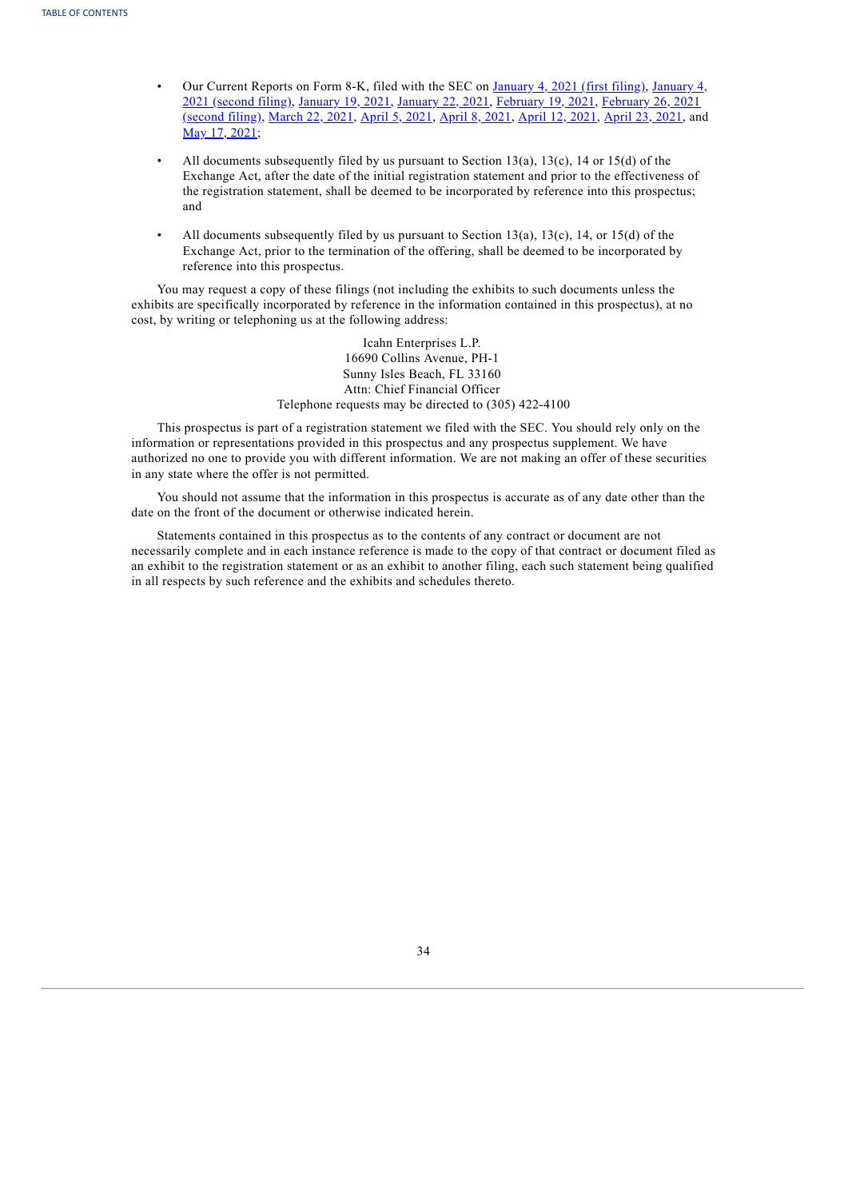- Our Current Reports on Form 8-K, filed with the SEC on [January](http://www.sec.gov/ix?doc=/Archives/edgar/data/813762/000110465921000131/tm211410d1_8k.htm) 4, 2021 (first filing), January 4, 2021 (second filing), [January](http://www.sec.gov/ix?doc=/Archives/edgar/data/813762/000110465921005325/tm213465d1_8k.htm) 19, 2021, [January](http://www.sec.gov/ix?doc=/Archives/edgar/data/813762/000110465921006673/tm213841d1_8k.htm) 22, 2021, [February](http://www.sec.gov/ix?doc=/Archives/edgar/data/813762/000110465921000398/tm211410d2_8k.htm) 19, 2021, February 26, 2021 (second filing), [March](http://www.sec.gov/ix?doc=/Archives/edgar/data/813762/000110465921039712/tm2110463d1_8k.htm) 22, 2021, [April](http://www.sec.gov/ix?doc=/Archives/edgar/data/813762/000110465921046327/tm2112087d1_8k.htm) 5, 2021, [April](http://www.sec.gov/ix?doc=/Archives/edgar/data/813762/000110465921048140/tm2112439d1_8k.htm) 8, 2021, [April](http://www.sec.gov/ix?doc=/Archives/edgar/data/813762/000110465921049335/tm2112709d1_8k.htm) 12, 2021, [April](http://www.sec.gov/ix?doc=/Archives/edgar/data/813762/000110465921054559/tm2113900d1_8k.htm) 23, 2021, and May 17, [2021](http://www.sec.gov/ix?doc=/Archives/edgar/data/813762/000110465921068250/tm2116385d1_8k.htm);
- All documents subsequently filed by us pursuant to Section 13(a), 13(c), 14 or 15(d) of the Exchange Act, after the date of the initial registration statement and prior to the effectiveness of the registration statement, shall be deemed to be incorporated by reference into this prospectus; and
- All documents subsequently filed by us pursuant to Section 13(a), 13(c), 14, or 15(d) of the Exchange Act, prior to the termination of the offering, shall be deemed to be incorporated by reference into this prospectus.

You may request a copy of these filings (not including the exhibits to such documents unless the exhibits are specifically incorporated by reference in the information contained in this prospectus), at no cost, by writing or telephoning us at the following address:

> Icahn Enterprises L.P. 16690 Collins Avenue, PH-1 Sunny Isles Beach, FL 33160 Attn: Chief Financial Officer Telephone requests may be directed to (305) 422-4100

This prospectus is part of a registration statement we filed with the SEC. You should rely only on the information or representations provided in this prospectus and any prospectus supplement. We have authorized no one to provide you with different information. We are not making an offer of these securities in any state where the offer is not permitted.

You should not assume that the information in this prospectus is accurate as of any date other than the date on the front of the document or otherwise indicated herein.

Statements contained in this prospectus as to the contents of any contract or document are not necessarily complete and in each instance reference is made to the copy of that contract or document filed as an exhibit to the registration statement or as an exhibit to another filing, each such statement being qualified in all respects by such reference and the exhibits and schedules thereto.